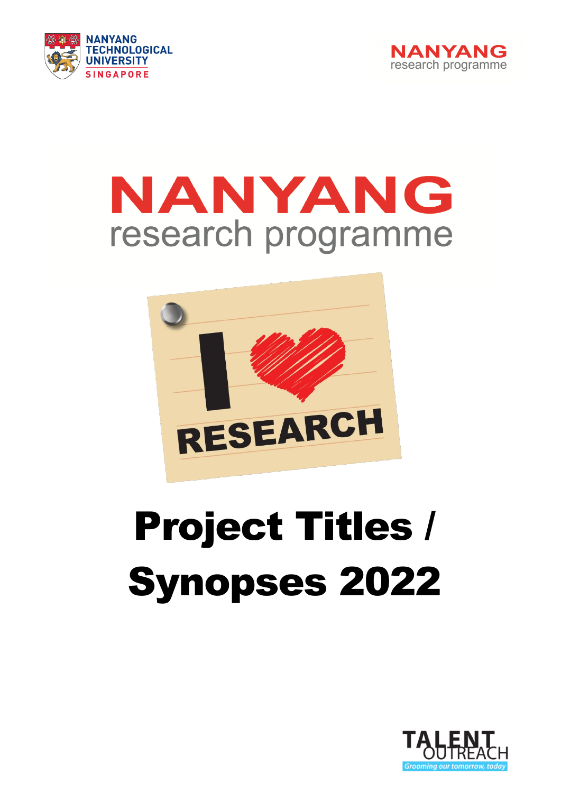



# NANYANG research programme



# Project Titles / Synopses 2022

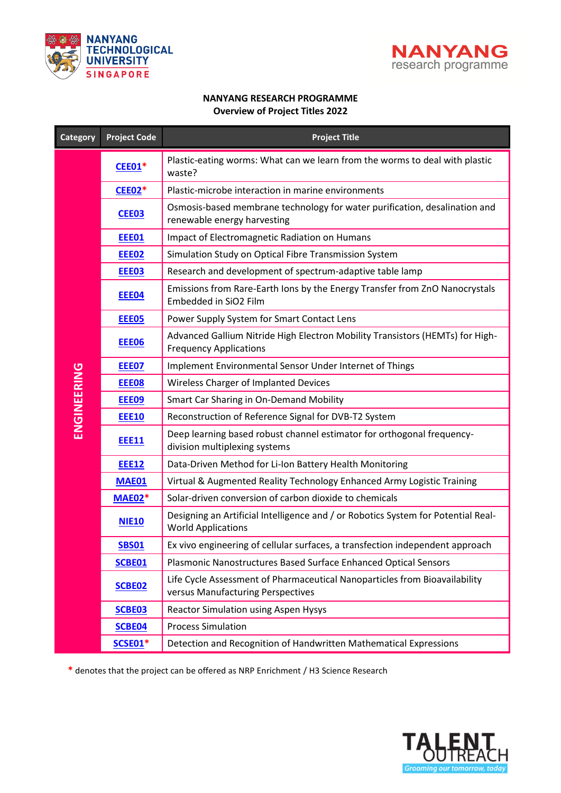



#### **NANYANG RESEARCH PROGRAMME Overview of Project Titles 2022**

<span id="page-1-0"></span>

| <b>Category</b> | <b>Project Code</b> | <b>Project Title</b>                                                                                            |
|-----------------|---------------------|-----------------------------------------------------------------------------------------------------------------|
|                 | <b>CEE01*</b>       | Plastic-eating worms: What can we learn from the worms to deal with plastic<br>waste?                           |
|                 | <b>CEE02*</b>       | Plastic-microbe interaction in marine environments                                                              |
|                 | CEE03               | Osmosis-based membrane technology for water purification, desalination and<br>renewable energy harvesting       |
|                 | <b>EEE01</b>        | Impact of Electromagnetic Radiation on Humans                                                                   |
|                 | <b>EEE02</b>        | Simulation Study on Optical Fibre Transmission System                                                           |
|                 | <b>EEE03</b>        | Research and development of spectrum-adaptive table lamp                                                        |
|                 | EEE04               | Emissions from Rare-Earth Ions by the Energy Transfer from ZnO Nanocrystals<br>Embedded in SiO2 Film            |
|                 | <b>EEE05</b>        | Power Supply System for Smart Contact Lens                                                                      |
|                 | EEE06               | Advanced Gallium Nitride High Electron Mobility Transistors (HEMTs) for High-<br><b>Frequency Applications</b>  |
|                 | <b>EEE07</b>        | Implement Environmental Sensor Under Internet of Things                                                         |
|                 | <b>EEE08</b>        | Wireless Charger of Implanted Devices                                                                           |
| ENGINEERING     | <b>EEE09</b>        | Smart Car Sharing in On-Demand Mobility                                                                         |
|                 | <b>EEE10</b>        | Reconstruction of Reference Signal for DVB-T2 System                                                            |
|                 | <b>EEE11</b>        | Deep learning based robust channel estimator for orthogonal frequency-<br>division multiplexing systems         |
|                 | <b>EEE12</b>        | Data-Driven Method for Li-Ion Battery Health Monitoring                                                         |
|                 | <b>MAE01</b>        | Virtual & Augmented Reality Technology Enhanced Army Logistic Training                                          |
|                 | <b>MAE02*</b>       | Solar-driven conversion of carbon dioxide to chemicals                                                          |
|                 | <b>NIE10</b>        | Designing an Artificial Intelligence and / or Robotics System for Potential Real-<br><b>World Applications</b>  |
|                 | <b>SBS01</b>        | Ex vivo engineering of cellular surfaces, a transfection independent approach                                   |
|                 | SCBE01              | Plasmonic Nanostructures Based Surface Enhanced Optical Sensors                                                 |
|                 | SCBE02              | Life Cycle Assessment of Pharmaceutical Nanoparticles from Bioavailability<br>versus Manufacturing Perspectives |
|                 | SCBE03              | <b>Reactor Simulation using Aspen Hysys</b>                                                                     |
|                 | SCBE04              | <b>Process Simulation</b>                                                                                       |
|                 | <b>SCSE01*</b>      | Detection and Recognition of Handwritten Mathematical Expressions                                               |

**\*** denotes that the project can be offered as NRP Enrichment / H3 Science Research

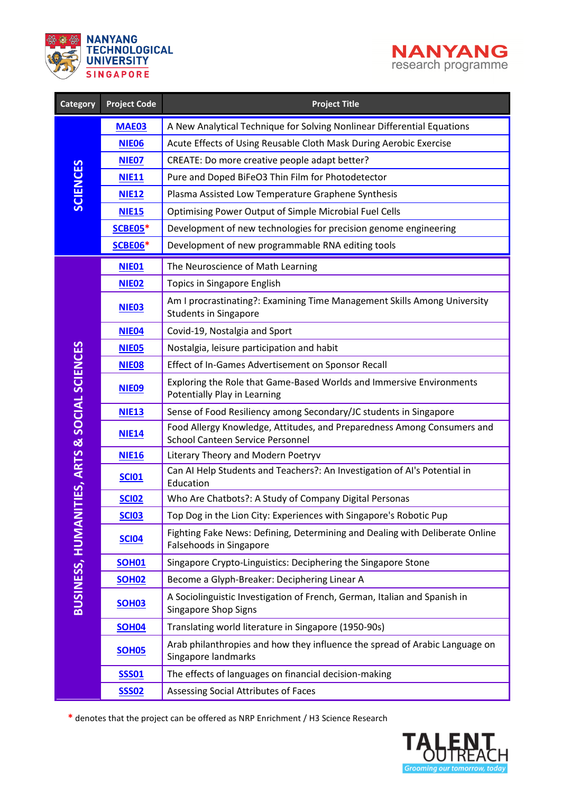



<span id="page-2-0"></span>

| <b>Category</b>                              | <b>Project Code</b> | <b>Project Title</b>                                                                                        |
|----------------------------------------------|---------------------|-------------------------------------------------------------------------------------------------------------|
| <b>SCIENCES</b>                              | <b>MAE03</b>        | A New Analytical Technique for Solving Nonlinear Differential Equations                                     |
|                                              | <b>NIE06</b>        | Acute Effects of Using Reusable Cloth Mask During Aerobic Exercise                                          |
|                                              | <b>NIE07</b>        | CREATE: Do more creative people adapt better?                                                               |
|                                              | <b>NIE11</b>        | Pure and Doped BiFeO3 Thin Film for Photodetector                                                           |
|                                              | <b>NIE12</b>        | Plasma Assisted Low Temperature Graphene Synthesis                                                          |
|                                              | <b>NIE15</b>        | Optimising Power Output of Simple Microbial Fuel Cells                                                      |
|                                              | <b>SCBE05*</b>      | Development of new technologies for precision genome engineering                                            |
|                                              | <b>SCBE06*</b>      | Development of new programmable RNA editing tools                                                           |
|                                              | <b>NIE01</b>        | The Neuroscience of Math Learning                                                                           |
|                                              | <b>NIE02</b>        | Topics in Singapore English                                                                                 |
|                                              | <b>NIE03</b>        | Am I procrastinating?: Examining Time Management Skills Among University<br><b>Students in Singapore</b>    |
|                                              | <b>NIE04</b>        | Covid-19, Nostalgia and Sport                                                                               |
|                                              | <b>NIE05</b>        | Nostalgia, leisure participation and habit                                                                  |
|                                              | <b>NIE08</b>        | Effect of In-Games Advertisement on Sponsor Recall                                                          |
|                                              | <b>NIE09</b>        | Exploring the Role that Game-Based Worlds and Immersive Environments<br>Potentially Play in Learning        |
|                                              | <b>NIE13</b>        | Sense of Food Resiliency among Secondary/JC students in Singapore                                           |
|                                              | <b>NIE14</b>        | Food Allergy Knowledge, Attitudes, and Preparedness Among Consumers and<br>School Canteen Service Personnel |
|                                              | <b>NIE16</b>        | Literary Theory and Modern Poetryv                                                                          |
|                                              | <b>SCI01</b>        | Can AI Help Students and Teachers?: An Investigation of AI's Potential in<br>Education                      |
|                                              | <b>SCI02</b>        | Who Are Chatbots?: A Study of Company Digital Personas                                                      |
|                                              | <b>SCI03</b>        | Top Dog in the Lion City: Experiences with Singapore's Robotic Pup                                          |
|                                              | <b>SCI04</b>        | Fighting Fake News: Defining, Determining and Dealing with Deliberate Online<br>Falsehoods in Singapore     |
|                                              | <b>SOH01</b>        | Singapore Crypto-Linguistics: Deciphering the Singapore Stone                                               |
|                                              | <b>SOH02</b>        | Become a Glyph-Breaker: Deciphering Linear A                                                                |
| BUSINESS, HUMANITIES, ARTS & SOCIAL SCIENCES | <b>SOH03</b>        | A Sociolinguistic Investigation of French, German, Italian and Spanish in<br><b>Singapore Shop Signs</b>    |
|                                              | <b>SOH04</b>        | Translating world literature in Singapore (1950-90s)                                                        |
|                                              | <b>SOH05</b>        | Arab philanthropies and how they influence the spread of Arabic Language on<br>Singapore landmarks          |
|                                              | <b>SSS01</b>        | The effects of languages on financial decision-making                                                       |
|                                              | <b>SSS02</b>        | Assessing Social Attributes of Faces                                                                        |

**\*** denotes that the project can be offered as NRP Enrichment / H3 Science Research

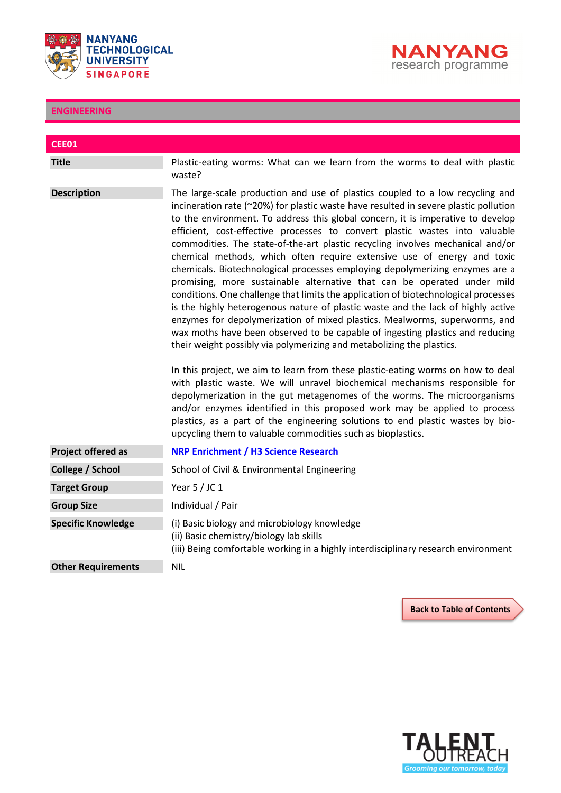



<span id="page-3-0"></span>

| <b>CEE01</b>              |                                                                                                                                                                                                                                                                                                                                                                                                                                                                                                                                                                                                                                                                                                                                                                                                                                                                                                                                                                                                                                                                                                                                                                                                                                                                                                                                                                                                                                                                                                                                                               |
|---------------------------|---------------------------------------------------------------------------------------------------------------------------------------------------------------------------------------------------------------------------------------------------------------------------------------------------------------------------------------------------------------------------------------------------------------------------------------------------------------------------------------------------------------------------------------------------------------------------------------------------------------------------------------------------------------------------------------------------------------------------------------------------------------------------------------------------------------------------------------------------------------------------------------------------------------------------------------------------------------------------------------------------------------------------------------------------------------------------------------------------------------------------------------------------------------------------------------------------------------------------------------------------------------------------------------------------------------------------------------------------------------------------------------------------------------------------------------------------------------------------------------------------------------------------------------------------------------|
| <b>Title</b>              | Plastic-eating worms: What can we learn from the worms to deal with plastic<br>waste?                                                                                                                                                                                                                                                                                                                                                                                                                                                                                                                                                                                                                                                                                                                                                                                                                                                                                                                                                                                                                                                                                                                                                                                                                                                                                                                                                                                                                                                                         |
| <b>Description</b>        | The large-scale production and use of plastics coupled to a low recycling and<br>incineration rate (~20%) for plastic waste have resulted in severe plastic pollution<br>to the environment. To address this global concern, it is imperative to develop<br>efficient, cost-effective processes to convert plastic wastes into valuable<br>commodities. The state-of-the-art plastic recycling involves mechanical and/or<br>chemical methods, which often require extensive use of energy and toxic<br>chemicals. Biotechnological processes employing depolymerizing enzymes are a<br>promising, more sustainable alternative that can be operated under mild<br>conditions. One challenge that limits the application of biotechnological processes<br>is the highly heterogenous nature of plastic waste and the lack of highly active<br>enzymes for depolymerization of mixed plastics. Mealworms, superworms, and<br>wax moths have been observed to be capable of ingesting plastics and reducing<br>their weight possibly via polymerizing and metabolizing the plastics.<br>In this project, we aim to learn from these plastic-eating worms on how to deal<br>with plastic waste. We will unravel biochemical mechanisms responsible for<br>depolymerization in the gut metagenomes of the worms. The microorganisms<br>and/or enzymes identified in this proposed work may be applied to process<br>plastics, as a part of the engineering solutions to end plastic wastes by bio-<br>upcycling them to valuable commodities such as bioplastics. |
| Project offered as        | <b>NRP Enrichment / H3 Science Research</b>                                                                                                                                                                                                                                                                                                                                                                                                                                                                                                                                                                                                                                                                                                                                                                                                                                                                                                                                                                                                                                                                                                                                                                                                                                                                                                                                                                                                                                                                                                                   |
| College / School          | School of Civil & Environmental Engineering                                                                                                                                                                                                                                                                                                                                                                                                                                                                                                                                                                                                                                                                                                                                                                                                                                                                                                                                                                                                                                                                                                                                                                                                                                                                                                                                                                                                                                                                                                                   |
| <b>Target Group</b>       | Year $5/$ JC 1                                                                                                                                                                                                                                                                                                                                                                                                                                                                                                                                                                                                                                                                                                                                                                                                                                                                                                                                                                                                                                                                                                                                                                                                                                                                                                                                                                                                                                                                                                                                                |
| <b>Group Size</b>         | Individual / Pair                                                                                                                                                                                                                                                                                                                                                                                                                                                                                                                                                                                                                                                                                                                                                                                                                                                                                                                                                                                                                                                                                                                                                                                                                                                                                                                                                                                                                                                                                                                                             |
| <b>Specific Knowledge</b> | (i) Basic biology and microbiology knowledge<br>(ii) Basic chemistry/biology lab skills<br>(iii) Being comfortable working in a highly interdisciplinary research environment                                                                                                                                                                                                                                                                                                                                                                                                                                                                                                                                                                                                                                                                                                                                                                                                                                                                                                                                                                                                                                                                                                                                                                                                                                                                                                                                                                                 |
| <b>Other Requirements</b> | <b>NIL</b>                                                                                                                                                                                                                                                                                                                                                                                                                                                                                                                                                                                                                                                                                                                                                                                                                                                                                                                                                                                                                                                                                                                                                                                                                                                                                                                                                                                                                                                                                                                                                    |

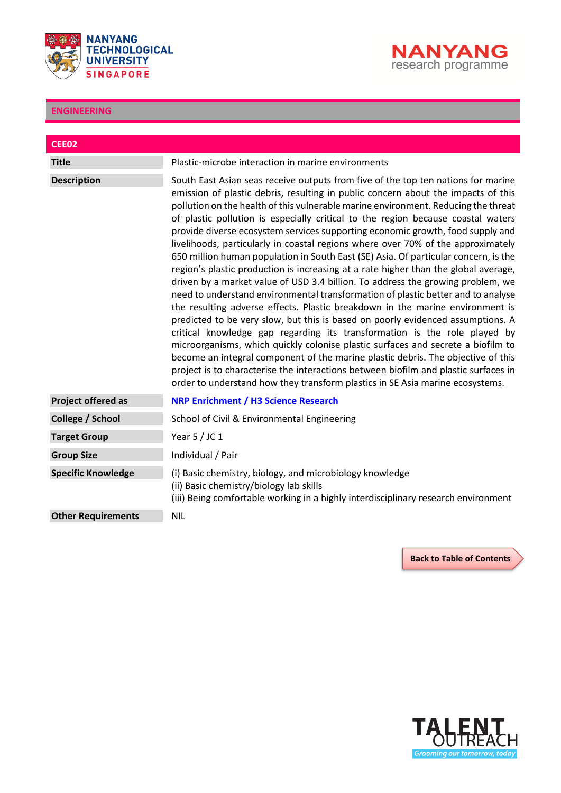



<span id="page-4-0"></span>

| <b>CEE02</b>              |                                                                                                                                                                                                                                                                                                                                                                                                                                                                                                                                                                                                                                                                                                                                                                                                                                                                                                                                                                                                                                                                                                                                                                                                                                                                                                                                                                                                                                                                              |
|---------------------------|------------------------------------------------------------------------------------------------------------------------------------------------------------------------------------------------------------------------------------------------------------------------------------------------------------------------------------------------------------------------------------------------------------------------------------------------------------------------------------------------------------------------------------------------------------------------------------------------------------------------------------------------------------------------------------------------------------------------------------------------------------------------------------------------------------------------------------------------------------------------------------------------------------------------------------------------------------------------------------------------------------------------------------------------------------------------------------------------------------------------------------------------------------------------------------------------------------------------------------------------------------------------------------------------------------------------------------------------------------------------------------------------------------------------------------------------------------------------------|
| <b>Title</b>              | Plastic-microbe interaction in marine environments                                                                                                                                                                                                                                                                                                                                                                                                                                                                                                                                                                                                                                                                                                                                                                                                                                                                                                                                                                                                                                                                                                                                                                                                                                                                                                                                                                                                                           |
| <b>Description</b>        | South East Asian seas receive outputs from five of the top ten nations for marine<br>emission of plastic debris, resulting in public concern about the impacts of this<br>pollution on the health of this vulnerable marine environment. Reducing the threat<br>of plastic pollution is especially critical to the region because coastal waters<br>provide diverse ecosystem services supporting economic growth, food supply and<br>livelihoods, particularly in coastal regions where over 70% of the approximately<br>650 million human population in South East (SE) Asia. Of particular concern, is the<br>region's plastic production is increasing at a rate higher than the global average,<br>driven by a market value of USD 3.4 billion. To address the growing problem, we<br>need to understand environmental transformation of plastic better and to analyse<br>the resulting adverse effects. Plastic breakdown in the marine environment is<br>predicted to be very slow, but this is based on poorly evidenced assumptions. A<br>critical knowledge gap regarding its transformation is the role played by<br>microorganisms, which quickly colonise plastic surfaces and secrete a biofilm to<br>become an integral component of the marine plastic debris. The objective of this<br>project is to characterise the interactions between biofilm and plastic surfaces in<br>order to understand how they transform plastics in SE Asia marine ecosystems. |
| <b>Project offered as</b> | <b>NRP Enrichment / H3 Science Research</b>                                                                                                                                                                                                                                                                                                                                                                                                                                                                                                                                                                                                                                                                                                                                                                                                                                                                                                                                                                                                                                                                                                                                                                                                                                                                                                                                                                                                                                  |
| College / School          | School of Civil & Environmental Engineering                                                                                                                                                                                                                                                                                                                                                                                                                                                                                                                                                                                                                                                                                                                                                                                                                                                                                                                                                                                                                                                                                                                                                                                                                                                                                                                                                                                                                                  |
| <b>Target Group</b>       | Year $5/$ JC 1                                                                                                                                                                                                                                                                                                                                                                                                                                                                                                                                                                                                                                                                                                                                                                                                                                                                                                                                                                                                                                                                                                                                                                                                                                                                                                                                                                                                                                                               |
| <b>Group Size</b>         | Individual / Pair                                                                                                                                                                                                                                                                                                                                                                                                                                                                                                                                                                                                                                                                                                                                                                                                                                                                                                                                                                                                                                                                                                                                                                                                                                                                                                                                                                                                                                                            |
| <b>Specific Knowledge</b> | (i) Basic chemistry, biology, and microbiology knowledge<br>(ii) Basic chemistry/biology lab skills<br>(iii) Being comfortable working in a highly interdisciplinary research environment                                                                                                                                                                                                                                                                                                                                                                                                                                                                                                                                                                                                                                                                                                                                                                                                                                                                                                                                                                                                                                                                                                                                                                                                                                                                                    |
| <b>Other Requirements</b> | <b>NIL</b>                                                                                                                                                                                                                                                                                                                                                                                                                                                                                                                                                                                                                                                                                                                                                                                                                                                                                                                                                                                                                                                                                                                                                                                                                                                                                                                                                                                                                                                                   |

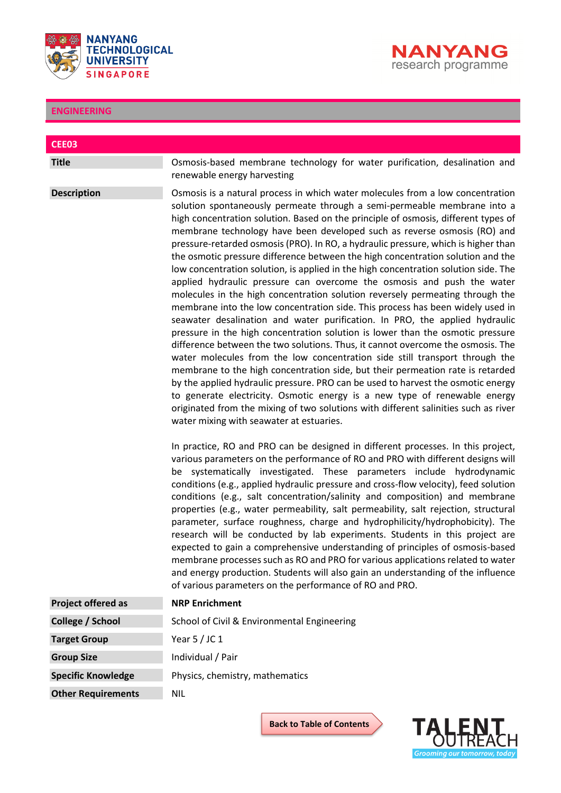



<span id="page-5-0"></span>

| <b>CEE03</b>              |                                                                                                                                                                                                                                                                                                                                                                                                                                                                                                                                                                                                                                                                                                                                                                                                                                                                                                                                                                                                                                                                                                                                                                                                                                                                                                                                                                                                                                                                                                                                                                    |
|---------------------------|--------------------------------------------------------------------------------------------------------------------------------------------------------------------------------------------------------------------------------------------------------------------------------------------------------------------------------------------------------------------------------------------------------------------------------------------------------------------------------------------------------------------------------------------------------------------------------------------------------------------------------------------------------------------------------------------------------------------------------------------------------------------------------------------------------------------------------------------------------------------------------------------------------------------------------------------------------------------------------------------------------------------------------------------------------------------------------------------------------------------------------------------------------------------------------------------------------------------------------------------------------------------------------------------------------------------------------------------------------------------------------------------------------------------------------------------------------------------------------------------------------------------------------------------------------------------|
| <b>Title</b>              | Osmosis-based membrane technology for water purification, desalination and                                                                                                                                                                                                                                                                                                                                                                                                                                                                                                                                                                                                                                                                                                                                                                                                                                                                                                                                                                                                                                                                                                                                                                                                                                                                                                                                                                                                                                                                                         |
|                           | renewable energy harvesting                                                                                                                                                                                                                                                                                                                                                                                                                                                                                                                                                                                                                                                                                                                                                                                                                                                                                                                                                                                                                                                                                                                                                                                                                                                                                                                                                                                                                                                                                                                                        |
| <b>Description</b>        | Osmosis is a natural process in which water molecules from a low concentration<br>solution spontaneously permeate through a semi-permeable membrane into a<br>high concentration solution. Based on the principle of osmosis, different types of<br>membrane technology have been developed such as reverse osmosis (RO) and<br>pressure-retarded osmosis (PRO). In RO, a hydraulic pressure, which is higher than<br>the osmotic pressure difference between the high concentration solution and the<br>low concentration solution, is applied in the high concentration solution side. The<br>applied hydraulic pressure can overcome the osmosis and push the water<br>molecules in the high concentration solution reversely permeating through the<br>membrane into the low concentration side. This process has been widely used in<br>seawater desalination and water purification. In PRO, the applied hydraulic<br>pressure in the high concentration solution is lower than the osmotic pressure<br>difference between the two solutions. Thus, it cannot overcome the osmosis. The<br>water molecules from the low concentration side still transport through the<br>membrane to the high concentration side, but their permeation rate is retarded<br>by the applied hydraulic pressure. PRO can be used to harvest the osmotic energy<br>to generate electricity. Osmotic energy is a new type of renewable energy<br>originated from the mixing of two solutions with different salinities such as river<br>water mixing with seawater at estuaries. |
|                           | In practice, RO and PRO can be designed in different processes. In this project,<br>various parameters on the performance of RO and PRO with different designs will<br>be systematically investigated. These parameters include hydrodynamic<br>conditions (e.g., applied hydraulic pressure and cross-flow velocity), feed solution<br>conditions (e.g., salt concentration/salinity and composition) and membrane<br>properties (e.g., water permeability, salt permeability, salt rejection, structural<br>parameter, surface roughness, charge and hydrophilicity/hydrophobicity). The<br>research will be conducted by lab experiments. Students in this project are<br>expected to gain a comprehensive understanding of principles of osmosis-based<br>membrane processes such as RO and PRO for various applications related to water<br>and energy production. Students will also gain an understanding of the influence<br>of various parameters on the performance of RO and PRO.                                                                                                                                                                                                                                                                                                                                                                                                                                                                                                                                                                       |
| Project offered as        | <b>NRP Enrichment</b>                                                                                                                                                                                                                                                                                                                                                                                                                                                                                                                                                                                                                                                                                                                                                                                                                                                                                                                                                                                                                                                                                                                                                                                                                                                                                                                                                                                                                                                                                                                                              |
| <b>College / School</b>   | School of Civil & Environmental Engineering                                                                                                                                                                                                                                                                                                                                                                                                                                                                                                                                                                                                                                                                                                                                                                                                                                                                                                                                                                                                                                                                                                                                                                                                                                                                                                                                                                                                                                                                                                                        |
| <b>Target Group</b>       | Year $5/$ JC 1                                                                                                                                                                                                                                                                                                                                                                                                                                                                                                                                                                                                                                                                                                                                                                                                                                                                                                                                                                                                                                                                                                                                                                                                                                                                                                                                                                                                                                                                                                                                                     |
| <b>Group Size</b>         | Individual / Pair                                                                                                                                                                                                                                                                                                                                                                                                                                                                                                                                                                                                                                                                                                                                                                                                                                                                                                                                                                                                                                                                                                                                                                                                                                                                                                                                                                                                                                                                                                                                                  |
| <b>Specific Knowledge</b> | Physics, chemistry, mathematics                                                                                                                                                                                                                                                                                                                                                                                                                                                                                                                                                                                                                                                                                                                                                                                                                                                                                                                                                                                                                                                                                                                                                                                                                                                                                                                                                                                                                                                                                                                                    |
| <b>Other Requirements</b> | <b>NIL</b>                                                                                                                                                                                                                                                                                                                                                                                                                                                                                                                                                                                                                                                                                                                                                                                                                                                                                                                                                                                                                                                                                                                                                                                                                                                                                                                                                                                                                                                                                                                                                         |

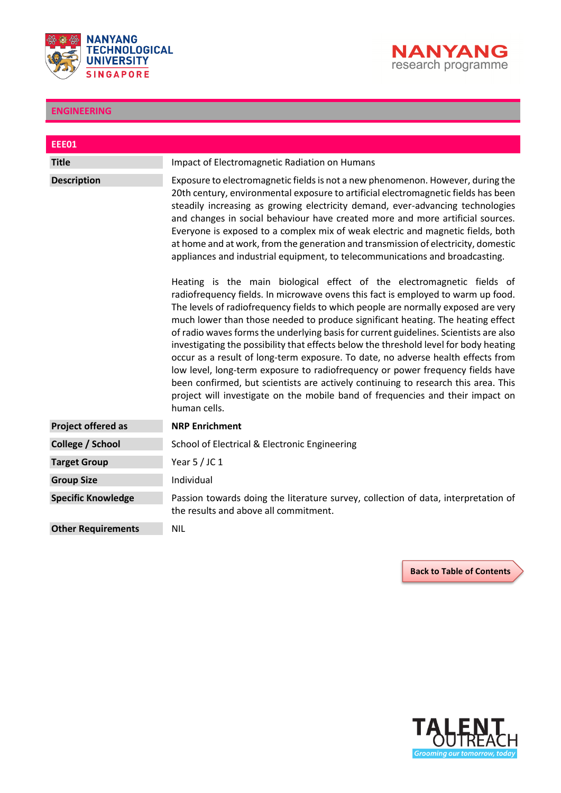



<span id="page-6-0"></span>

| <b>EEE01</b>              |                                                                                                                                                                                                                                                                                                                                                                                                                                                                                                                                                                                                                                                                                                                                                                                                                                                                                    |
|---------------------------|------------------------------------------------------------------------------------------------------------------------------------------------------------------------------------------------------------------------------------------------------------------------------------------------------------------------------------------------------------------------------------------------------------------------------------------------------------------------------------------------------------------------------------------------------------------------------------------------------------------------------------------------------------------------------------------------------------------------------------------------------------------------------------------------------------------------------------------------------------------------------------|
| <b>Title</b>              | Impact of Electromagnetic Radiation on Humans                                                                                                                                                                                                                                                                                                                                                                                                                                                                                                                                                                                                                                                                                                                                                                                                                                      |
| <b>Description</b>        | Exposure to electromagnetic fields is not a new phenomenon. However, during the<br>20th century, environmental exposure to artificial electromagnetic fields has been<br>steadily increasing as growing electricity demand, ever-advancing technologies<br>and changes in social behaviour have created more and more artificial sources.<br>Everyone is exposed to a complex mix of weak electric and magnetic fields, both<br>at home and at work, from the generation and transmission of electricity, domestic<br>appliances and industrial equipment, to telecommunications and broadcasting.                                                                                                                                                                                                                                                                                 |
|                           | Heating is the main biological effect of the electromagnetic fields of<br>radiofrequency fields. In microwave ovens this fact is employed to warm up food.<br>The levels of radiofrequency fields to which people are normally exposed are very<br>much lower than those needed to produce significant heating. The heating effect<br>of radio waves forms the underlying basis for current guidelines. Scientists are also<br>investigating the possibility that effects below the threshold level for body heating<br>occur as a result of long-term exposure. To date, no adverse health effects from<br>low level, long-term exposure to radiofrequency or power frequency fields have<br>been confirmed, but scientists are actively continuing to research this area. This<br>project will investigate on the mobile band of frequencies and their impact on<br>human cells. |
| <b>Project offered as</b> | <b>NRP Enrichment</b>                                                                                                                                                                                                                                                                                                                                                                                                                                                                                                                                                                                                                                                                                                                                                                                                                                                              |
| College / School          | School of Electrical & Electronic Engineering                                                                                                                                                                                                                                                                                                                                                                                                                                                                                                                                                                                                                                                                                                                                                                                                                                      |
| <b>Target Group</b>       | Year $5/$ JC 1                                                                                                                                                                                                                                                                                                                                                                                                                                                                                                                                                                                                                                                                                                                                                                                                                                                                     |
| <b>Group Size</b>         | Individual                                                                                                                                                                                                                                                                                                                                                                                                                                                                                                                                                                                                                                                                                                                                                                                                                                                                         |
| <b>Specific Knowledge</b> | Passion towards doing the literature survey, collection of data, interpretation of<br>the results and above all commitment.                                                                                                                                                                                                                                                                                                                                                                                                                                                                                                                                                                                                                                                                                                                                                        |
| <b>Other Requirements</b> | <b>NIL</b>                                                                                                                                                                                                                                                                                                                                                                                                                                                                                                                                                                                                                                                                                                                                                                                                                                                                         |

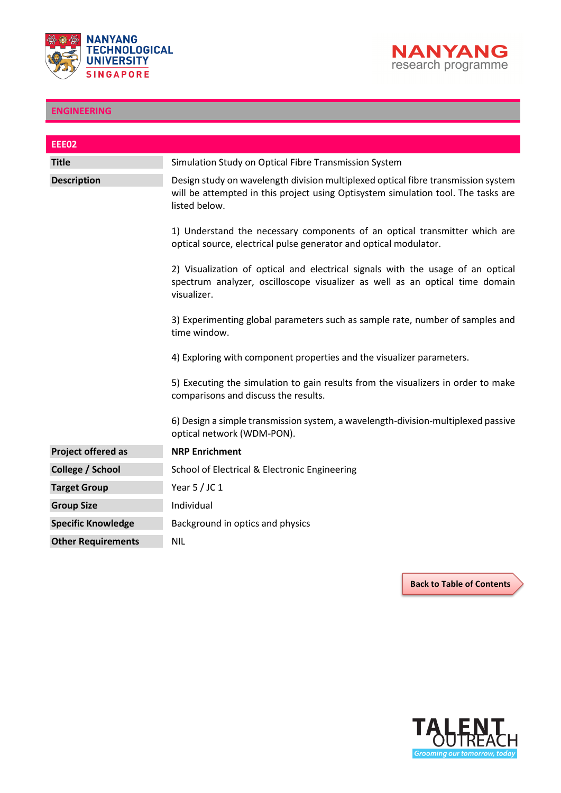



<span id="page-7-0"></span>

| <b>EEE02</b>              |                                                                                                                                                                                         |
|---------------------------|-----------------------------------------------------------------------------------------------------------------------------------------------------------------------------------------|
| <b>Title</b>              | Simulation Study on Optical Fibre Transmission System                                                                                                                                   |
| <b>Description</b>        | Design study on wavelength division multiplexed optical fibre transmission system<br>will be attempted in this project using Optisystem simulation tool. The tasks are<br>listed below. |
|                           | 1) Understand the necessary components of an optical transmitter which are<br>optical source, electrical pulse generator and optical modulator.                                         |
|                           | 2) Visualization of optical and electrical signals with the usage of an optical<br>spectrum analyzer, oscilloscope visualizer as well as an optical time domain<br>visualizer.          |
|                           | 3) Experimenting global parameters such as sample rate, number of samples and<br>time window.                                                                                           |
|                           | 4) Exploring with component properties and the visualizer parameters.                                                                                                                   |
|                           | 5) Executing the simulation to gain results from the visualizers in order to make<br>comparisons and discuss the results.                                                               |
|                           | 6) Design a simple transmission system, a wavelength-division-multiplexed passive<br>optical network (WDM-PON).                                                                         |
| <b>Project offered as</b> | <b>NRP Enrichment</b>                                                                                                                                                                   |
| College / School          | School of Electrical & Electronic Engineering                                                                                                                                           |
| <b>Target Group</b>       | Year $5/$ JC 1                                                                                                                                                                          |
| <b>Group Size</b>         | Individual                                                                                                                                                                              |
| <b>Specific Knowledge</b> | Background in optics and physics                                                                                                                                                        |
| <b>Other Requirements</b> | NIL.                                                                                                                                                                                    |

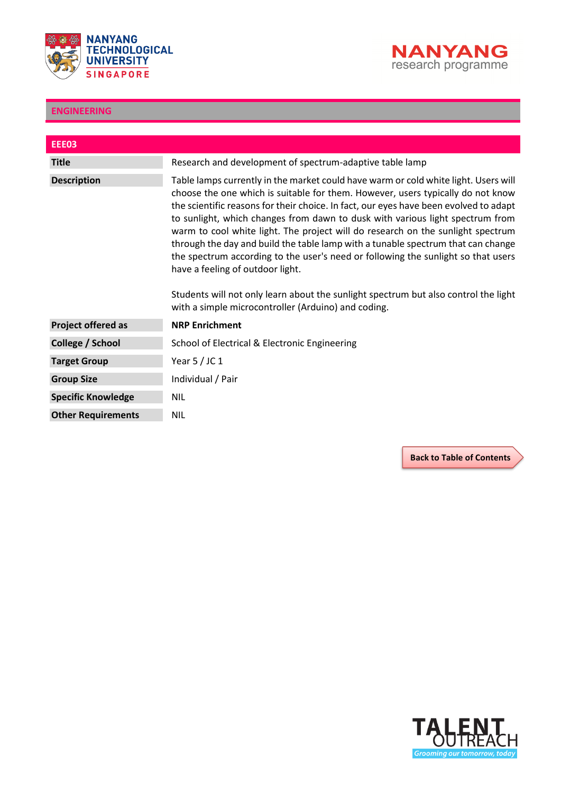



<span id="page-8-0"></span>

| <b>EEE03</b>              |                                                                                                                                                                                                                                                                                                                                                                                                                                                                                                                                                                                                                                                                                                                                                                                                |
|---------------------------|------------------------------------------------------------------------------------------------------------------------------------------------------------------------------------------------------------------------------------------------------------------------------------------------------------------------------------------------------------------------------------------------------------------------------------------------------------------------------------------------------------------------------------------------------------------------------------------------------------------------------------------------------------------------------------------------------------------------------------------------------------------------------------------------|
| <b>Title</b>              | Research and development of spectrum-adaptive table lamp                                                                                                                                                                                                                                                                                                                                                                                                                                                                                                                                                                                                                                                                                                                                       |
| <b>Description</b>        | Table lamps currently in the market could have warm or cold white light. Users will<br>choose the one which is suitable for them. However, users typically do not know<br>the scientific reasons for their choice. In fact, our eyes have been evolved to adapt<br>to sunlight, which changes from dawn to dusk with various light spectrum from<br>warm to cool white light. The project will do research on the sunlight spectrum<br>through the day and build the table lamp with a tunable spectrum that can change<br>the spectrum according to the user's need or following the sunlight so that users<br>have a feeling of outdoor light.<br>Students will not only learn about the sunlight spectrum but also control the light<br>with a simple microcontroller (Arduino) and coding. |
| <b>Project offered as</b> | <b>NRP Enrichment</b>                                                                                                                                                                                                                                                                                                                                                                                                                                                                                                                                                                                                                                                                                                                                                                          |
| College / School          | School of Electrical & Electronic Engineering                                                                                                                                                                                                                                                                                                                                                                                                                                                                                                                                                                                                                                                                                                                                                  |
| <b>Target Group</b>       | Year $5/$ JC 1                                                                                                                                                                                                                                                                                                                                                                                                                                                                                                                                                                                                                                                                                                                                                                                 |
| <b>Group Size</b>         | Individual / Pair                                                                                                                                                                                                                                                                                                                                                                                                                                                                                                                                                                                                                                                                                                                                                                              |
| <b>Specific Knowledge</b> | <b>NIL</b>                                                                                                                                                                                                                                                                                                                                                                                                                                                                                                                                                                                                                                                                                                                                                                                     |
| <b>Other Requirements</b> | <b>NIL</b>                                                                                                                                                                                                                                                                                                                                                                                                                                                                                                                                                                                                                                                                                                                                                                                     |

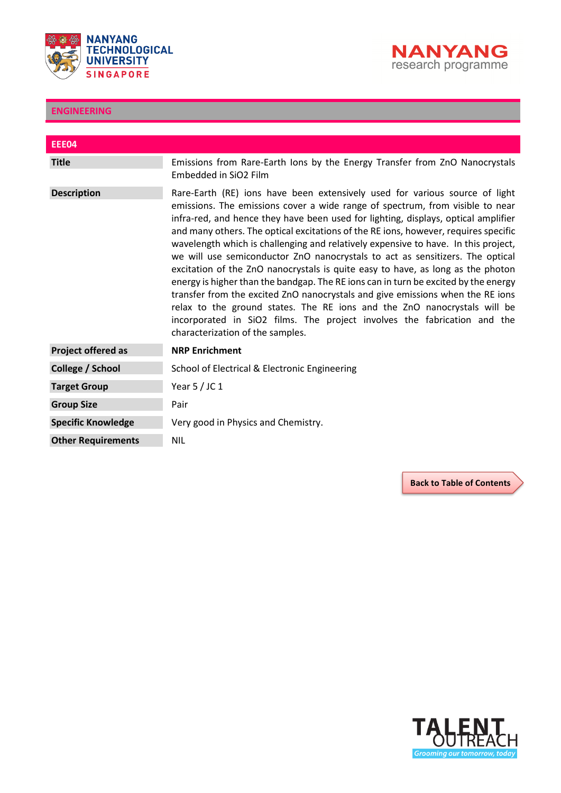



<span id="page-9-0"></span>

| <b>EEE04</b>              |                                                                                                                                                                                                                                                                                                                                                                                                                                                                                                                                                                                                                                                                                                                                                                                                                                                                                                                                                                          |
|---------------------------|--------------------------------------------------------------------------------------------------------------------------------------------------------------------------------------------------------------------------------------------------------------------------------------------------------------------------------------------------------------------------------------------------------------------------------------------------------------------------------------------------------------------------------------------------------------------------------------------------------------------------------------------------------------------------------------------------------------------------------------------------------------------------------------------------------------------------------------------------------------------------------------------------------------------------------------------------------------------------|
| <b>Title</b>              | Emissions from Rare-Earth lons by the Energy Transfer from ZnO Nanocrystals<br>Embedded in SiO2 Film                                                                                                                                                                                                                                                                                                                                                                                                                                                                                                                                                                                                                                                                                                                                                                                                                                                                     |
| <b>Description</b>        | Rare-Earth (RE) ions have been extensively used for various source of light<br>emissions. The emissions cover a wide range of spectrum, from visible to near<br>infra-red, and hence they have been used for lighting, displays, optical amplifier<br>and many others. The optical excitations of the RE ions, however, requires specific<br>wavelength which is challenging and relatively expensive to have. In this project,<br>we will use semiconductor ZnO nanocrystals to act as sensitizers. The optical<br>excitation of the ZnO nanocrystals is quite easy to have, as long as the photon<br>energy is higher than the bandgap. The RE ions can in turn be excited by the energy<br>transfer from the excited ZnO nanocrystals and give emissions when the RE ions<br>relax to the ground states. The RE ions and the ZnO nanocrystals will be<br>incorporated in SiO2 films. The project involves the fabrication and the<br>characterization of the samples. |
| <b>Project offered as</b> | <b>NRP Enrichment</b>                                                                                                                                                                                                                                                                                                                                                                                                                                                                                                                                                                                                                                                                                                                                                                                                                                                                                                                                                    |
| College / School          | School of Electrical & Electronic Engineering                                                                                                                                                                                                                                                                                                                                                                                                                                                                                                                                                                                                                                                                                                                                                                                                                                                                                                                            |
| <b>Target Group</b>       | Year $5/$ JC 1                                                                                                                                                                                                                                                                                                                                                                                                                                                                                                                                                                                                                                                                                                                                                                                                                                                                                                                                                           |
| <b>Group Size</b>         | Pair                                                                                                                                                                                                                                                                                                                                                                                                                                                                                                                                                                                                                                                                                                                                                                                                                                                                                                                                                                     |
| <b>Specific Knowledge</b> | Very good in Physics and Chemistry.                                                                                                                                                                                                                                                                                                                                                                                                                                                                                                                                                                                                                                                                                                                                                                                                                                                                                                                                      |
| <b>Other Requirements</b> | <b>NIL</b>                                                                                                                                                                                                                                                                                                                                                                                                                                                                                                                                                                                                                                                                                                                                                                                                                                                                                                                                                               |

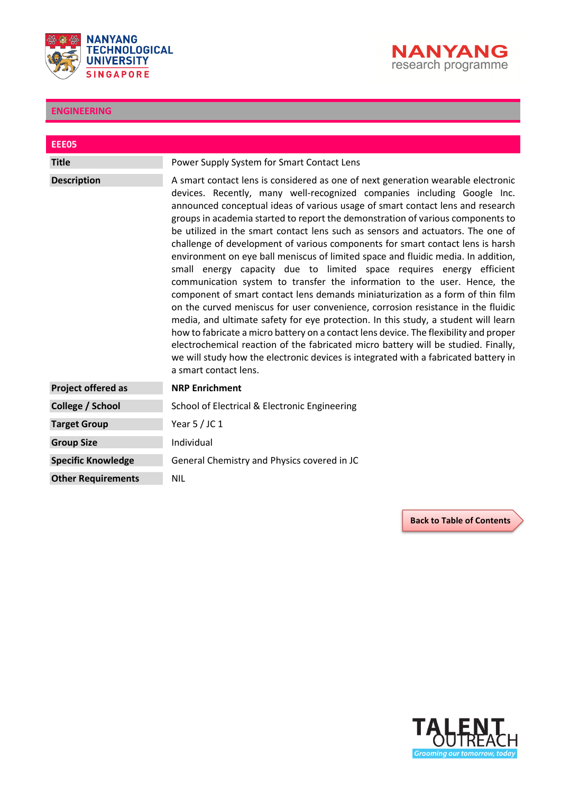



<span id="page-10-0"></span>

| <b>EEE05</b>              |                                                                                                                                                                                                                                                                                                                                                                                                                                                                                                                                                                                                                                                                                                                                                                                                                                                                                                                                                                                                                                                                                                                                                                                                                                                                                                           |
|---------------------------|-----------------------------------------------------------------------------------------------------------------------------------------------------------------------------------------------------------------------------------------------------------------------------------------------------------------------------------------------------------------------------------------------------------------------------------------------------------------------------------------------------------------------------------------------------------------------------------------------------------------------------------------------------------------------------------------------------------------------------------------------------------------------------------------------------------------------------------------------------------------------------------------------------------------------------------------------------------------------------------------------------------------------------------------------------------------------------------------------------------------------------------------------------------------------------------------------------------------------------------------------------------------------------------------------------------|
| <b>Title</b>              | Power Supply System for Smart Contact Lens                                                                                                                                                                                                                                                                                                                                                                                                                                                                                                                                                                                                                                                                                                                                                                                                                                                                                                                                                                                                                                                                                                                                                                                                                                                                |
| <b>Description</b>        | A smart contact lens is considered as one of next generation wearable electronic<br>devices. Recently, many well-recognized companies including Google Inc.<br>announced conceptual ideas of various usage of smart contact lens and research<br>groups in academia started to report the demonstration of various components to<br>be utilized in the smart contact lens such as sensors and actuators. The one of<br>challenge of development of various components for smart contact lens is harsh<br>environment on eye ball meniscus of limited space and fluidic media. In addition,<br>small energy capacity due to limited space requires energy efficient<br>communication system to transfer the information to the user. Hence, the<br>component of smart contact lens demands miniaturization as a form of thin film<br>on the curved meniscus for user convenience, corrosion resistance in the fluidic<br>media, and ultimate safety for eye protection. In this study, a student will learn<br>how to fabricate a micro battery on a contact lens device. The flexibility and proper<br>electrochemical reaction of the fabricated micro battery will be studied. Finally,<br>we will study how the electronic devices is integrated with a fabricated battery in<br>a smart contact lens. |
| <b>Project offered as</b> | <b>NRP Enrichment</b>                                                                                                                                                                                                                                                                                                                                                                                                                                                                                                                                                                                                                                                                                                                                                                                                                                                                                                                                                                                                                                                                                                                                                                                                                                                                                     |
| College / School          | School of Electrical & Electronic Engineering                                                                                                                                                                                                                                                                                                                                                                                                                                                                                                                                                                                                                                                                                                                                                                                                                                                                                                                                                                                                                                                                                                                                                                                                                                                             |
| <b>Target Group</b>       | Year $5/$ JC 1                                                                                                                                                                                                                                                                                                                                                                                                                                                                                                                                                                                                                                                                                                                                                                                                                                                                                                                                                                                                                                                                                                                                                                                                                                                                                            |
| <b>Group Size</b>         | Individual                                                                                                                                                                                                                                                                                                                                                                                                                                                                                                                                                                                                                                                                                                                                                                                                                                                                                                                                                                                                                                                                                                                                                                                                                                                                                                |
| <b>Specific Knowledge</b> | General Chemistry and Physics covered in JC                                                                                                                                                                                                                                                                                                                                                                                                                                                                                                                                                                                                                                                                                                                                                                                                                                                                                                                                                                                                                                                                                                                                                                                                                                                               |
| <b>Other Requirements</b> | <b>NIL</b>                                                                                                                                                                                                                                                                                                                                                                                                                                                                                                                                                                                                                                                                                                                                                                                                                                                                                                                                                                                                                                                                                                                                                                                                                                                                                                |

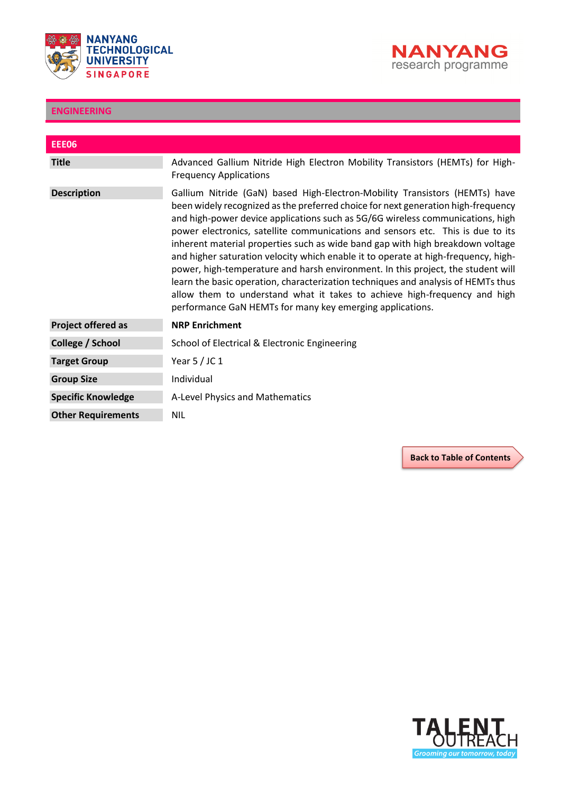



<span id="page-11-0"></span>

| <b>EEE06</b>              |                                                                                                                                                                                                                                                                                                                                                                                                                                                                                                                                                                                                                                                                                                                                                                                                                                  |
|---------------------------|----------------------------------------------------------------------------------------------------------------------------------------------------------------------------------------------------------------------------------------------------------------------------------------------------------------------------------------------------------------------------------------------------------------------------------------------------------------------------------------------------------------------------------------------------------------------------------------------------------------------------------------------------------------------------------------------------------------------------------------------------------------------------------------------------------------------------------|
| <b>Title</b>              | Advanced Gallium Nitride High Electron Mobility Transistors (HEMTs) for High-<br><b>Frequency Applications</b>                                                                                                                                                                                                                                                                                                                                                                                                                                                                                                                                                                                                                                                                                                                   |
| <b>Description</b>        | Gallium Nitride (GaN) based High-Electron-Mobility Transistors (HEMTs) have<br>been widely recognized as the preferred choice for next generation high-frequency<br>and high-power device applications such as 5G/6G wireless communications, high<br>power electronics, satellite communications and sensors etc. This is due to its<br>inherent material properties such as wide band gap with high breakdown voltage<br>and higher saturation velocity which enable it to operate at high-frequency, high-<br>power, high-temperature and harsh environment. In this project, the student will<br>learn the basic operation, characterization techniques and analysis of HEMTs thus<br>allow them to understand what it takes to achieve high-frequency and high<br>performance GaN HEMTs for many key emerging applications. |
| <b>Project offered as</b> | <b>NRP Enrichment</b>                                                                                                                                                                                                                                                                                                                                                                                                                                                                                                                                                                                                                                                                                                                                                                                                            |
| College / School          | School of Electrical & Electronic Engineering                                                                                                                                                                                                                                                                                                                                                                                                                                                                                                                                                                                                                                                                                                                                                                                    |
| <b>Target Group</b>       | Year $5/$ JC 1                                                                                                                                                                                                                                                                                                                                                                                                                                                                                                                                                                                                                                                                                                                                                                                                                   |
| <b>Group Size</b>         | Individual                                                                                                                                                                                                                                                                                                                                                                                                                                                                                                                                                                                                                                                                                                                                                                                                                       |
| <b>Specific Knowledge</b> | A-Level Physics and Mathematics                                                                                                                                                                                                                                                                                                                                                                                                                                                                                                                                                                                                                                                                                                                                                                                                  |
| <b>Other Requirements</b> | <b>NIL</b>                                                                                                                                                                                                                                                                                                                                                                                                                                                                                                                                                                                                                                                                                                                                                                                                                       |

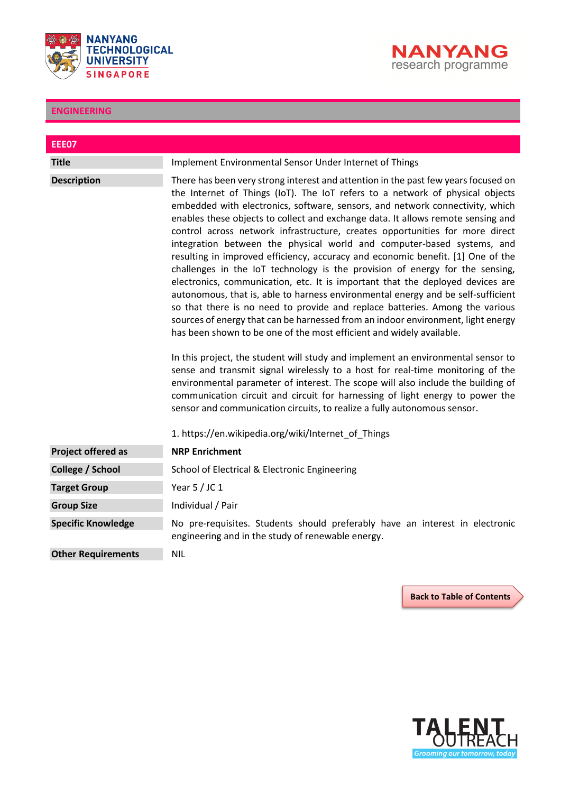



<span id="page-12-0"></span>

| <b>EEE07</b>              |                                                                                                                                                                                                                                                                                                                                                                                                                                                                                                                                                                                                                                                                                                                                                                                                                                                                                                                                                                                                                                                                                                                                                                                                                                                                                                                                                                                                                                                                                                                                                                       |
|---------------------------|-----------------------------------------------------------------------------------------------------------------------------------------------------------------------------------------------------------------------------------------------------------------------------------------------------------------------------------------------------------------------------------------------------------------------------------------------------------------------------------------------------------------------------------------------------------------------------------------------------------------------------------------------------------------------------------------------------------------------------------------------------------------------------------------------------------------------------------------------------------------------------------------------------------------------------------------------------------------------------------------------------------------------------------------------------------------------------------------------------------------------------------------------------------------------------------------------------------------------------------------------------------------------------------------------------------------------------------------------------------------------------------------------------------------------------------------------------------------------------------------------------------------------------------------------------------------------|
| <b>Title</b>              | Implement Environmental Sensor Under Internet of Things                                                                                                                                                                                                                                                                                                                                                                                                                                                                                                                                                                                                                                                                                                                                                                                                                                                                                                                                                                                                                                                                                                                                                                                                                                                                                                                                                                                                                                                                                                               |
| <b>Description</b>        | There has been very strong interest and attention in the past few years focused on<br>the Internet of Things (IoT). The IoT refers to a network of physical objects<br>embedded with electronics, software, sensors, and network connectivity, which<br>enables these objects to collect and exchange data. It allows remote sensing and<br>control across network infrastructure, creates opportunities for more direct<br>integration between the physical world and computer-based systems, and<br>resulting in improved efficiency, accuracy and economic benefit. [1] One of the<br>challenges in the IoT technology is the provision of energy for the sensing,<br>electronics, communication, etc. It is important that the deployed devices are<br>autonomous, that is, able to harness environmental energy and be self-sufficient<br>so that there is no need to provide and replace batteries. Among the various<br>sources of energy that can be harnessed from an indoor environment, light energy<br>has been shown to be one of the most efficient and widely available.<br>In this project, the student will study and implement an environmental sensor to<br>sense and transmit signal wirelessly to a host for real-time monitoring of the<br>environmental parameter of interest. The scope will also include the building of<br>communication circuit and circuit for harnessing of light energy to power the<br>sensor and communication circuits, to realize a fully autonomous sensor.<br>1. https://en.wikipedia.org/wiki/Internet of Things |
| <b>Project offered as</b> | <b>NRP Enrichment</b>                                                                                                                                                                                                                                                                                                                                                                                                                                                                                                                                                                                                                                                                                                                                                                                                                                                                                                                                                                                                                                                                                                                                                                                                                                                                                                                                                                                                                                                                                                                                                 |
|                           |                                                                                                                                                                                                                                                                                                                                                                                                                                                                                                                                                                                                                                                                                                                                                                                                                                                                                                                                                                                                                                                                                                                                                                                                                                                                                                                                                                                                                                                                                                                                                                       |
| College / School          | School of Electrical & Electronic Engineering                                                                                                                                                                                                                                                                                                                                                                                                                                                                                                                                                                                                                                                                                                                                                                                                                                                                                                                                                                                                                                                                                                                                                                                                                                                                                                                                                                                                                                                                                                                         |
| <b>Target Group</b>       | Year $5/$ JC 1                                                                                                                                                                                                                                                                                                                                                                                                                                                                                                                                                                                                                                                                                                                                                                                                                                                                                                                                                                                                                                                                                                                                                                                                                                                                                                                                                                                                                                                                                                                                                        |
| <b>Group Size</b>         | Individual / Pair                                                                                                                                                                                                                                                                                                                                                                                                                                                                                                                                                                                                                                                                                                                                                                                                                                                                                                                                                                                                                                                                                                                                                                                                                                                                                                                                                                                                                                                                                                                                                     |
| <b>Specific Knowledge</b> | No pre-requisites. Students should preferably have an interest in electronic<br>engineering and in the study of renewable energy.                                                                                                                                                                                                                                                                                                                                                                                                                                                                                                                                                                                                                                                                                                                                                                                                                                                                                                                                                                                                                                                                                                                                                                                                                                                                                                                                                                                                                                     |
| <b>Other Requirements</b> | <b>NIL</b>                                                                                                                                                                                                                                                                                                                                                                                                                                                                                                                                                                                                                                                                                                                                                                                                                                                                                                                                                                                                                                                                                                                                                                                                                                                                                                                                                                                                                                                                                                                                                            |

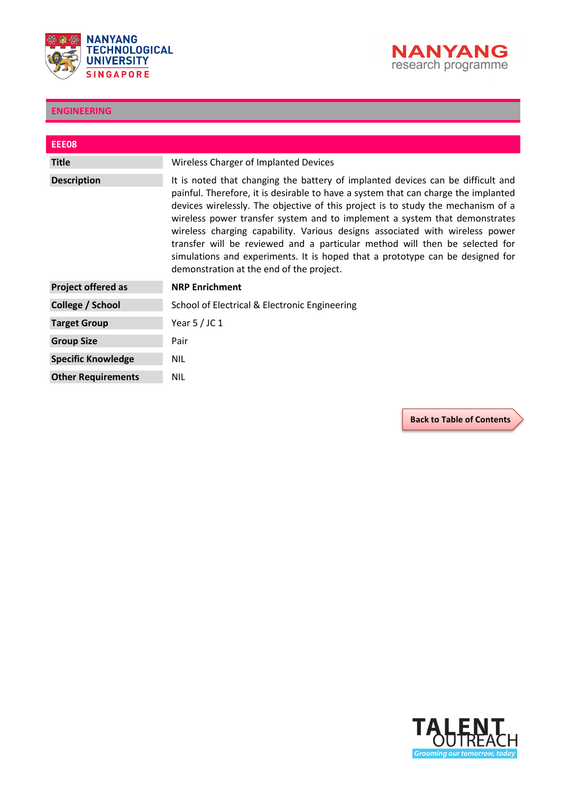



<span id="page-13-0"></span>

| EEE08                     |                                                                                                                                                                                                                                                                                                                                                                                                                                                                                                                                                                                                                                     |
|---------------------------|-------------------------------------------------------------------------------------------------------------------------------------------------------------------------------------------------------------------------------------------------------------------------------------------------------------------------------------------------------------------------------------------------------------------------------------------------------------------------------------------------------------------------------------------------------------------------------------------------------------------------------------|
| <b>Title</b>              | Wireless Charger of Implanted Devices                                                                                                                                                                                                                                                                                                                                                                                                                                                                                                                                                                                               |
| <b>Description</b>        | It is noted that changing the battery of implanted devices can be difficult and<br>painful. Therefore, it is desirable to have a system that can charge the implanted<br>devices wirelessly. The objective of this project is to study the mechanism of a<br>wireless power transfer system and to implement a system that demonstrates<br>wireless charging capability. Various designs associated with wireless power<br>transfer will be reviewed and a particular method will then be selected for<br>simulations and experiments. It is hoped that a prototype can be designed for<br>demonstration at the end of the project. |
| <b>Project offered as</b> | <b>NRP Enrichment</b>                                                                                                                                                                                                                                                                                                                                                                                                                                                                                                                                                                                                               |
| College / School          | School of Electrical & Electronic Engineering                                                                                                                                                                                                                                                                                                                                                                                                                                                                                                                                                                                       |
| <b>Target Group</b>       | Year $5/$ JC 1                                                                                                                                                                                                                                                                                                                                                                                                                                                                                                                                                                                                                      |
| <b>Group Size</b>         | Pair                                                                                                                                                                                                                                                                                                                                                                                                                                                                                                                                                                                                                                |
| <b>Specific Knowledge</b> | <b>NIL</b>                                                                                                                                                                                                                                                                                                                                                                                                                                                                                                                                                                                                                          |
| <b>Other Requirements</b> | <b>NIL</b>                                                                                                                                                                                                                                                                                                                                                                                                                                                                                                                                                                                                                          |

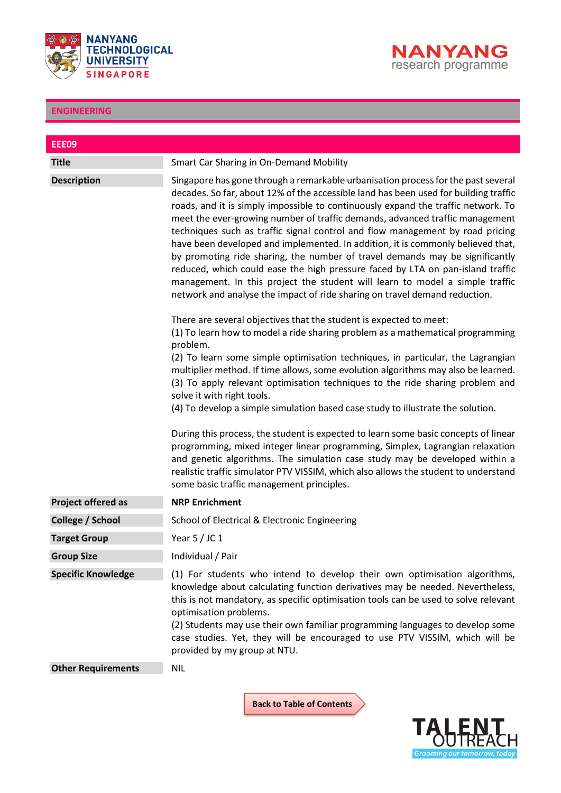



<span id="page-14-0"></span>

| <b>EEE09</b>              |                                                                                                                                                                                                                                                                                                                                                                                                                                                                                                                                                                                                                                                                                                                                                                                                                                                    |
|---------------------------|----------------------------------------------------------------------------------------------------------------------------------------------------------------------------------------------------------------------------------------------------------------------------------------------------------------------------------------------------------------------------------------------------------------------------------------------------------------------------------------------------------------------------------------------------------------------------------------------------------------------------------------------------------------------------------------------------------------------------------------------------------------------------------------------------------------------------------------------------|
| <b>Title</b>              | Smart Car Sharing in On-Demand Mobility                                                                                                                                                                                                                                                                                                                                                                                                                                                                                                                                                                                                                                                                                                                                                                                                            |
| <b>Description</b>        | Singapore has gone through a remarkable urbanisation process for the past several<br>decades. So far, about 12% of the accessible land has been used for building traffic<br>roads, and it is simply impossible to continuously expand the traffic network. To<br>meet the ever-growing number of traffic demands, advanced traffic management<br>techniques such as traffic signal control and flow management by road pricing<br>have been developed and implemented. In addition, it is commonly believed that,<br>by promoting ride sharing, the number of travel demands may be significantly<br>reduced, which could ease the high pressure faced by LTA on pan-island traffic<br>management. In this project the student will learn to model a simple traffic<br>network and analyse the impact of ride sharing on travel demand reduction. |
|                           | There are several objectives that the student is expected to meet:<br>(1) To learn how to model a ride sharing problem as a mathematical programming<br>problem.                                                                                                                                                                                                                                                                                                                                                                                                                                                                                                                                                                                                                                                                                   |
|                           | (2) To learn some simple optimisation techniques, in particular, the Lagrangian<br>multiplier method. If time allows, some evolution algorithms may also be learned.<br>(3) To apply relevant optimisation techniques to the ride sharing problem and<br>solve it with right tools.<br>(4) To develop a simple simulation based case study to illustrate the solution.                                                                                                                                                                                                                                                                                                                                                                                                                                                                             |
|                           | During this process, the student is expected to learn some basic concepts of linear<br>programming, mixed integer linear programming, Simplex, Lagrangian relaxation<br>and genetic algorithms. The simulation case study may be developed within a<br>realistic traffic simulator PTV VISSIM, which also allows the student to understand<br>some basic traffic management principles.                                                                                                                                                                                                                                                                                                                                                                                                                                                            |
| <b>Project offered as</b> | <b>NRP Enrichment</b>                                                                                                                                                                                                                                                                                                                                                                                                                                                                                                                                                                                                                                                                                                                                                                                                                              |
| College / School          | School of Electrical & Electronic Engineering                                                                                                                                                                                                                                                                                                                                                                                                                                                                                                                                                                                                                                                                                                                                                                                                      |
| <b>Target Group</b>       | Year $5/$ JC 1                                                                                                                                                                                                                                                                                                                                                                                                                                                                                                                                                                                                                                                                                                                                                                                                                                     |
| <b>Group Size</b>         | Individual / Pair                                                                                                                                                                                                                                                                                                                                                                                                                                                                                                                                                                                                                                                                                                                                                                                                                                  |
| <b>Specific Knowledge</b> | (1) For students who intend to develop their own optimisation algorithms,<br>knowledge about calculating function derivatives may be needed. Nevertheless,<br>this is not mandatory, as specific optimisation tools can be used to solve relevant<br>optimisation problems.<br>(2) Students may use their own familiar programming languages to develop some<br>case studies. Yet, they will be encouraged to use PTV VISSIM, which will be<br>provided by my group at NTU.                                                                                                                                                                                                                                                                                                                                                                        |
| <b>Other Requirements</b> | <b>NIL</b>                                                                                                                                                                                                                                                                                                                                                                                                                                                                                                                                                                                                                                                                                                                                                                                                                                         |

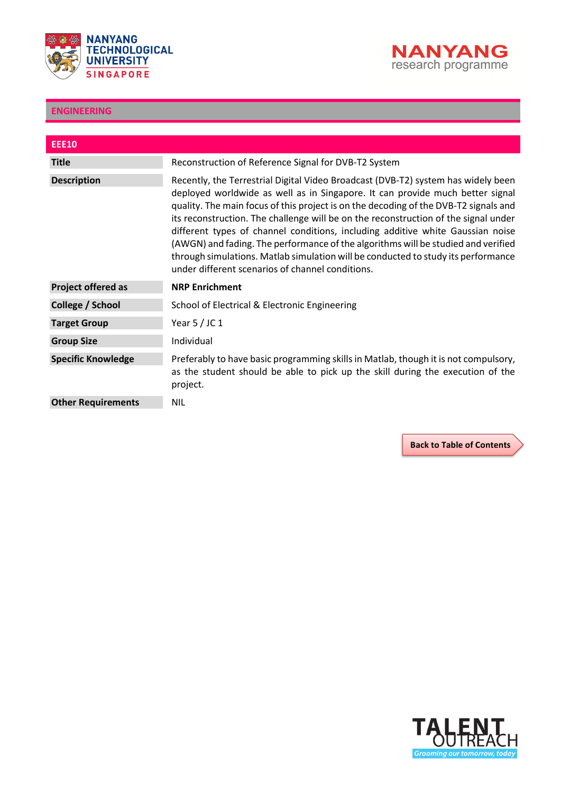



<span id="page-15-0"></span>

| <b>EEE10</b>              |                                                                                                                                                                                                                                                                                                                                                                                                                                                                                                                                                                                                                                                                   |
|---------------------------|-------------------------------------------------------------------------------------------------------------------------------------------------------------------------------------------------------------------------------------------------------------------------------------------------------------------------------------------------------------------------------------------------------------------------------------------------------------------------------------------------------------------------------------------------------------------------------------------------------------------------------------------------------------------|
| <b>Title</b>              | Reconstruction of Reference Signal for DVB-T2 System                                                                                                                                                                                                                                                                                                                                                                                                                                                                                                                                                                                                              |
| <b>Description</b>        | Recently, the Terrestrial Digital Video Broadcast (DVB-T2) system has widely been<br>deployed worldwide as well as in Singapore. It can provide much better signal<br>quality. The main focus of this project is on the decoding of the DVB-T2 signals and<br>its reconstruction. The challenge will be on the reconstruction of the signal under<br>different types of channel conditions, including additive white Gaussian noise<br>(AWGN) and fading. The performance of the algorithms will be studied and verified<br>through simulations. Matlab simulation will be conducted to study its performance<br>under different scenarios of channel conditions. |
| <b>Project offered as</b> | <b>NRP Enrichment</b>                                                                                                                                                                                                                                                                                                                                                                                                                                                                                                                                                                                                                                             |
| College / School          | School of Electrical & Electronic Engineering                                                                                                                                                                                                                                                                                                                                                                                                                                                                                                                                                                                                                     |
| <b>Target Group</b>       | Year $5/$ JC 1                                                                                                                                                                                                                                                                                                                                                                                                                                                                                                                                                                                                                                                    |
| <b>Group Size</b>         | Individual                                                                                                                                                                                                                                                                                                                                                                                                                                                                                                                                                                                                                                                        |
| <b>Specific Knowledge</b> | Preferably to have basic programming skills in Matlab, though it is not compulsory,<br>as the student should be able to pick up the skill during the execution of the<br>project.                                                                                                                                                                                                                                                                                                                                                                                                                                                                                 |
| <b>Other Requirements</b> | NIL.                                                                                                                                                                                                                                                                                                                                                                                                                                                                                                                                                                                                                                                              |

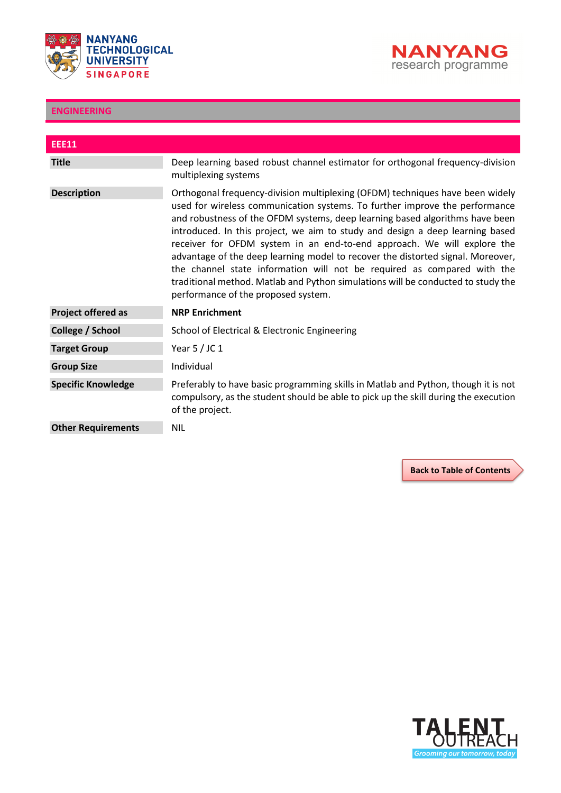



<span id="page-16-0"></span>

| <b>EEE11</b>              |                                                                                                                                                                                                                                                                                                                                                                                                                                                                                                                                                                                                                                                                                                   |
|---------------------------|---------------------------------------------------------------------------------------------------------------------------------------------------------------------------------------------------------------------------------------------------------------------------------------------------------------------------------------------------------------------------------------------------------------------------------------------------------------------------------------------------------------------------------------------------------------------------------------------------------------------------------------------------------------------------------------------------|
| <b>Title</b>              | Deep learning based robust channel estimator for orthogonal frequency-division<br>multiplexing systems                                                                                                                                                                                                                                                                                                                                                                                                                                                                                                                                                                                            |
| <b>Description</b>        | Orthogonal frequency-division multiplexing (OFDM) techniques have been widely<br>used for wireless communication systems. To further improve the performance<br>and robustness of the OFDM systems, deep learning based algorithms have been<br>introduced. In this project, we aim to study and design a deep learning based<br>receiver for OFDM system in an end-to-end approach. We will explore the<br>advantage of the deep learning model to recover the distorted signal. Moreover,<br>the channel state information will not be required as compared with the<br>traditional method. Matlab and Python simulations will be conducted to study the<br>performance of the proposed system. |
| <b>Project offered as</b> | <b>NRP Enrichment</b>                                                                                                                                                                                                                                                                                                                                                                                                                                                                                                                                                                                                                                                                             |
| College / School          | School of Electrical & Electronic Engineering                                                                                                                                                                                                                                                                                                                                                                                                                                                                                                                                                                                                                                                     |
| <b>Target Group</b>       | Year $5/$ JC 1                                                                                                                                                                                                                                                                                                                                                                                                                                                                                                                                                                                                                                                                                    |
| <b>Group Size</b>         | Individual                                                                                                                                                                                                                                                                                                                                                                                                                                                                                                                                                                                                                                                                                        |
| <b>Specific Knowledge</b> | Preferably to have basic programming skills in Matlab and Python, though it is not<br>compulsory, as the student should be able to pick up the skill during the execution<br>of the project.                                                                                                                                                                                                                                                                                                                                                                                                                                                                                                      |
| <b>Other Requirements</b> | <b>NIL</b>                                                                                                                                                                                                                                                                                                                                                                                                                                                                                                                                                                                                                                                                                        |

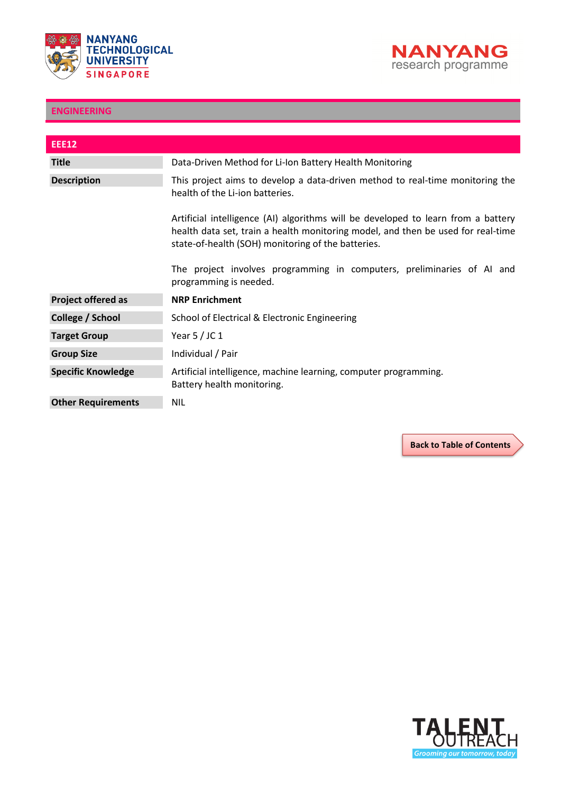



<span id="page-17-0"></span>

| <b>EEE12</b>              |                                                                                                                                                                                                                             |
|---------------------------|-----------------------------------------------------------------------------------------------------------------------------------------------------------------------------------------------------------------------------|
| <b>Title</b>              | Data-Driven Method for Li-Ion Battery Health Monitoring                                                                                                                                                                     |
| <b>Description</b>        | This project aims to develop a data-driven method to real-time monitoring the<br>health of the Li-ion batteries.                                                                                                            |
|                           | Artificial intelligence (AI) algorithms will be developed to learn from a battery<br>health data set, train a health monitoring model, and then be used for real-time<br>state-of-health (SOH) monitoring of the batteries. |
|                           | The project involves programming in computers, preliminaries of AI and<br>programming is needed.                                                                                                                            |
| <b>Project offered as</b> | <b>NRP Enrichment</b>                                                                                                                                                                                                       |
| College / School          | School of Electrical & Electronic Engineering                                                                                                                                                                               |
| <b>Target Group</b>       | Year $5/$ JC 1                                                                                                                                                                                                              |
| <b>Group Size</b>         | Individual / Pair                                                                                                                                                                                                           |
| <b>Specific Knowledge</b> | Artificial intelligence, machine learning, computer programming.<br>Battery health monitoring.                                                                                                                              |
| <b>Other Requirements</b> | <b>NIL</b>                                                                                                                                                                                                                  |

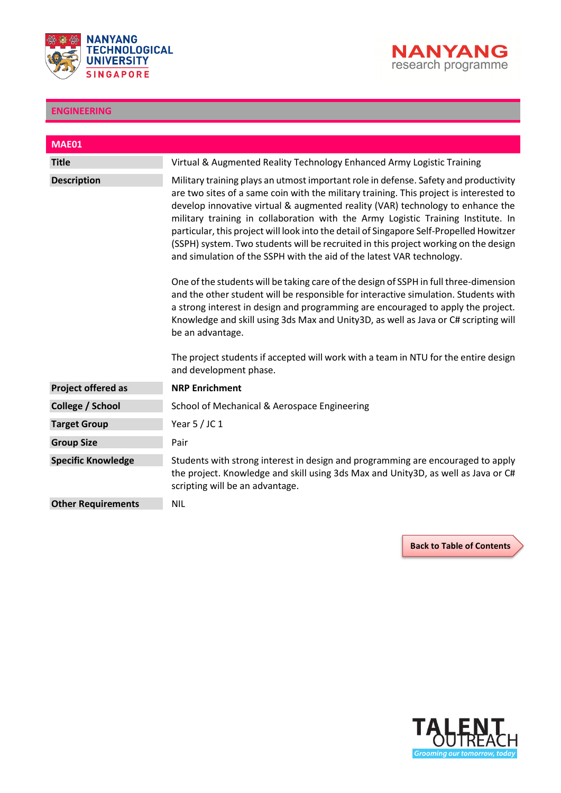



<span id="page-18-0"></span>

| <b>MAE01</b>              |                                                                                                                                                                                                                                                                                                                                                                                                                                                                                                                                                                                                                 |
|---------------------------|-----------------------------------------------------------------------------------------------------------------------------------------------------------------------------------------------------------------------------------------------------------------------------------------------------------------------------------------------------------------------------------------------------------------------------------------------------------------------------------------------------------------------------------------------------------------------------------------------------------------|
| <b>Title</b>              | Virtual & Augmented Reality Technology Enhanced Army Logistic Training                                                                                                                                                                                                                                                                                                                                                                                                                                                                                                                                          |
| <b>Description</b>        | Military training plays an utmost important role in defense. Safety and productivity<br>are two sites of a same coin with the military training. This project is interested to<br>develop innovative virtual & augmented reality (VAR) technology to enhance the<br>military training in collaboration with the Army Logistic Training Institute. In<br>particular, this project will look into the detail of Singapore Self-Propelled Howitzer<br>(SSPH) system. Two students will be recruited in this project working on the design<br>and simulation of the SSPH with the aid of the latest VAR technology. |
|                           | One of the students will be taking care of the design of SSPH in full three-dimension<br>and the other student will be responsible for interactive simulation. Students with<br>a strong interest in design and programming are encouraged to apply the project.<br>Knowledge and skill using 3ds Max and Unity3D, as well as Java or C# scripting will<br>be an advantage.<br>The project students if accepted will work with a team in NTU for the entire design                                                                                                                                              |
|                           | and development phase.                                                                                                                                                                                                                                                                                                                                                                                                                                                                                                                                                                                          |
| <b>Project offered as</b> | <b>NRP Enrichment</b>                                                                                                                                                                                                                                                                                                                                                                                                                                                                                                                                                                                           |
| College / School          | School of Mechanical & Aerospace Engineering                                                                                                                                                                                                                                                                                                                                                                                                                                                                                                                                                                    |
| <b>Target Group</b>       | Year $5/$ JC 1                                                                                                                                                                                                                                                                                                                                                                                                                                                                                                                                                                                                  |
| <b>Group Size</b>         | Pair                                                                                                                                                                                                                                                                                                                                                                                                                                                                                                                                                                                                            |
| <b>Specific Knowledge</b> | Students with strong interest in design and programming are encouraged to apply<br>the project. Knowledge and skill using 3ds Max and Unity3D, as well as Java or C#<br>scripting will be an advantage.                                                                                                                                                                                                                                                                                                                                                                                                         |
| <b>Other Requirements</b> | <b>NIL</b>                                                                                                                                                                                                                                                                                                                                                                                                                                                                                                                                                                                                      |

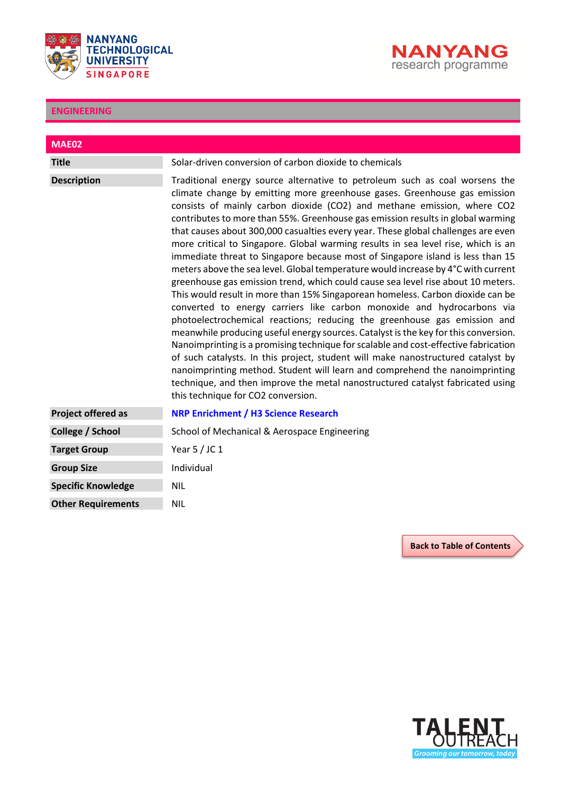



<span id="page-19-0"></span>

| <b>MAE02</b>              |                                                                                                                                                                                                                                                                                                                                                                                                                                                                                                                                                                                                                                                                                                                                                                                                                                                                                                                                                                                                                                                                                                                                                                                                                                                                                                                                                                                                                                                                              |
|---------------------------|------------------------------------------------------------------------------------------------------------------------------------------------------------------------------------------------------------------------------------------------------------------------------------------------------------------------------------------------------------------------------------------------------------------------------------------------------------------------------------------------------------------------------------------------------------------------------------------------------------------------------------------------------------------------------------------------------------------------------------------------------------------------------------------------------------------------------------------------------------------------------------------------------------------------------------------------------------------------------------------------------------------------------------------------------------------------------------------------------------------------------------------------------------------------------------------------------------------------------------------------------------------------------------------------------------------------------------------------------------------------------------------------------------------------------------------------------------------------------|
| <b>Title</b>              | Solar-driven conversion of carbon dioxide to chemicals                                                                                                                                                                                                                                                                                                                                                                                                                                                                                                                                                                                                                                                                                                                                                                                                                                                                                                                                                                                                                                                                                                                                                                                                                                                                                                                                                                                                                       |
| <b>Description</b>        | Traditional energy source alternative to petroleum such as coal worsens the<br>climate change by emitting more greenhouse gases. Greenhouse gas emission<br>consists of mainly carbon dioxide (CO2) and methane emission, where CO2<br>contributes to more than 55%. Greenhouse gas emission results in global warming<br>that causes about 300,000 casualties every year. These global challenges are even<br>more critical to Singapore. Global warming results in sea level rise, which is an<br>immediate threat to Singapore because most of Singapore island is less than 15<br>meters above the sea level. Global temperature would increase by 4°C with current<br>greenhouse gas emission trend, which could cause sea level rise about 10 meters.<br>This would result in more than 15% Singaporean homeless. Carbon dioxide can be<br>converted to energy carriers like carbon monoxide and hydrocarbons via<br>photoelectrochemical reactions; reducing the greenhouse gas emission and<br>meanwhile producing useful energy sources. Catalyst is the key for this conversion.<br>Nanoimprinting is a promising technique for scalable and cost-effective fabrication<br>of such catalysts. In this project, student will make nanostructured catalyst by<br>nanoimprinting method. Student will learn and comprehend the nanoimprinting<br>technique, and then improve the metal nanostructured catalyst fabricated using<br>this technique for CO2 conversion. |
| <b>Project offered as</b> | <b>NRP Enrichment / H3 Science Research</b>                                                                                                                                                                                                                                                                                                                                                                                                                                                                                                                                                                                                                                                                                                                                                                                                                                                                                                                                                                                                                                                                                                                                                                                                                                                                                                                                                                                                                                  |
| College / School          | School of Mechanical & Aerospace Engineering                                                                                                                                                                                                                                                                                                                                                                                                                                                                                                                                                                                                                                                                                                                                                                                                                                                                                                                                                                                                                                                                                                                                                                                                                                                                                                                                                                                                                                 |
| <b>Target Group</b>       | Year 5 / JC 1                                                                                                                                                                                                                                                                                                                                                                                                                                                                                                                                                                                                                                                                                                                                                                                                                                                                                                                                                                                                                                                                                                                                                                                                                                                                                                                                                                                                                                                                |
| <b>Group Size</b>         | Individual                                                                                                                                                                                                                                                                                                                                                                                                                                                                                                                                                                                                                                                                                                                                                                                                                                                                                                                                                                                                                                                                                                                                                                                                                                                                                                                                                                                                                                                                   |
| <b>Specific Knowledge</b> | <b>NIL</b>                                                                                                                                                                                                                                                                                                                                                                                                                                                                                                                                                                                                                                                                                                                                                                                                                                                                                                                                                                                                                                                                                                                                                                                                                                                                                                                                                                                                                                                                   |
| <b>Other Requirements</b> | <b>NIL</b>                                                                                                                                                                                                                                                                                                                                                                                                                                                                                                                                                                                                                                                                                                                                                                                                                                                                                                                                                                                                                                                                                                                                                                                                                                                                                                                                                                                                                                                                   |

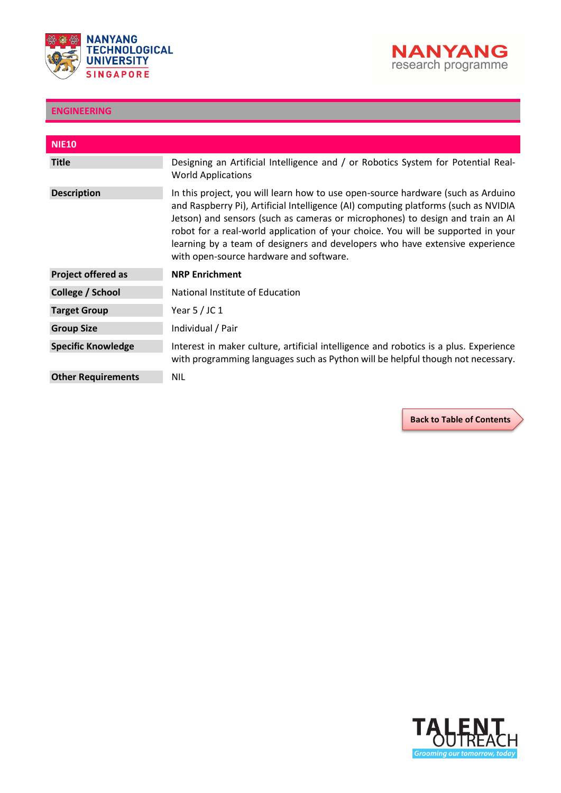



<span id="page-20-0"></span>

| <b>NIE10</b>              |                                                                                                                                                                                                                                                                                                                                                                                                                                                                          |
|---------------------------|--------------------------------------------------------------------------------------------------------------------------------------------------------------------------------------------------------------------------------------------------------------------------------------------------------------------------------------------------------------------------------------------------------------------------------------------------------------------------|
| <b>Title</b>              | Designing an Artificial Intelligence and / or Robotics System for Potential Real-<br><b>World Applications</b>                                                                                                                                                                                                                                                                                                                                                           |
| <b>Description</b>        | In this project, you will learn how to use open-source hardware (such as Arduino<br>and Raspberry Pi), Artificial Intelligence (AI) computing platforms (such as NVIDIA<br>Jetson) and sensors (such as cameras or microphones) to design and train an AI<br>robot for a real-world application of your choice. You will be supported in your<br>learning by a team of designers and developers who have extensive experience<br>with open-source hardware and software. |
| <b>Project offered as</b> | <b>NRP Enrichment</b>                                                                                                                                                                                                                                                                                                                                                                                                                                                    |
| College / School          | National Institute of Education                                                                                                                                                                                                                                                                                                                                                                                                                                          |
| <b>Target Group</b>       | Year $5/$ JC 1                                                                                                                                                                                                                                                                                                                                                                                                                                                           |
| <b>Group Size</b>         | Individual / Pair                                                                                                                                                                                                                                                                                                                                                                                                                                                        |
| <b>Specific Knowledge</b> | Interest in maker culture, artificial intelligence and robotics is a plus. Experience<br>with programming languages such as Python will be helpful though not necessary.                                                                                                                                                                                                                                                                                                 |
| <b>Other Requirements</b> | <b>NIL</b>                                                                                                                                                                                                                                                                                                                                                                                                                                                               |

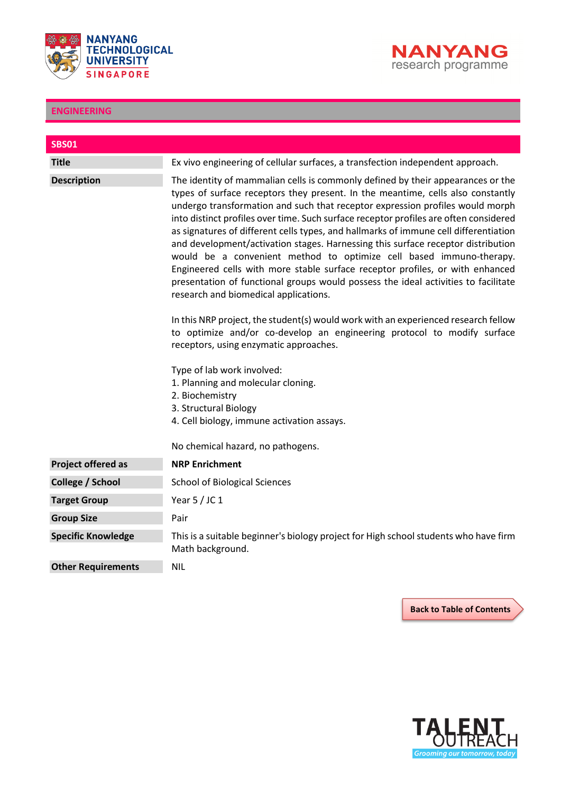



<span id="page-21-0"></span>

| <b>SBS01</b>              |                                                                                                                                                                                                                                                                                                                                                                                                                                                                                                                                                                                                                                                                                                                                                                                                                                                                                                                                                                                                                                                                                                                                                                                                                               |
|---------------------------|-------------------------------------------------------------------------------------------------------------------------------------------------------------------------------------------------------------------------------------------------------------------------------------------------------------------------------------------------------------------------------------------------------------------------------------------------------------------------------------------------------------------------------------------------------------------------------------------------------------------------------------------------------------------------------------------------------------------------------------------------------------------------------------------------------------------------------------------------------------------------------------------------------------------------------------------------------------------------------------------------------------------------------------------------------------------------------------------------------------------------------------------------------------------------------------------------------------------------------|
| <b>Title</b>              | Ex vivo engineering of cellular surfaces, a transfection independent approach.                                                                                                                                                                                                                                                                                                                                                                                                                                                                                                                                                                                                                                                                                                                                                                                                                                                                                                                                                                                                                                                                                                                                                |
| <b>Description</b>        | The identity of mammalian cells is commonly defined by their appearances or the<br>types of surface receptors they present. In the meantime, cells also constantly<br>undergo transformation and such that receptor expression profiles would morph<br>into distinct profiles over time. Such surface receptor profiles are often considered<br>as signatures of different cells types, and hallmarks of immune cell differentiation<br>and development/activation stages. Harnessing this surface receptor distribution<br>would be a convenient method to optimize cell based immuno-therapy.<br>Engineered cells with more stable surface receptor profiles, or with enhanced<br>presentation of functional groups would possess the ideal activities to facilitate<br>research and biomedical applications.<br>In this NRP project, the student(s) would work with an experienced research fellow<br>to optimize and/or co-develop an engineering protocol to modify surface<br>receptors, using enzymatic approaches.<br>Type of lab work involved:<br>1. Planning and molecular cloning.<br>2. Biochemistry<br>3. Structural Biology<br>4. Cell biology, immune activation assays.<br>No chemical hazard, no pathogens. |
| <b>Project offered as</b> | <b>NRP Enrichment</b>                                                                                                                                                                                                                                                                                                                                                                                                                                                                                                                                                                                                                                                                                                                                                                                                                                                                                                                                                                                                                                                                                                                                                                                                         |
| College / School          | <b>School of Biological Sciences</b>                                                                                                                                                                                                                                                                                                                                                                                                                                                                                                                                                                                                                                                                                                                                                                                                                                                                                                                                                                                                                                                                                                                                                                                          |
| <b>Target Group</b>       | Year $5/$ JC 1                                                                                                                                                                                                                                                                                                                                                                                                                                                                                                                                                                                                                                                                                                                                                                                                                                                                                                                                                                                                                                                                                                                                                                                                                |
| <b>Group Size</b>         | Pair                                                                                                                                                                                                                                                                                                                                                                                                                                                                                                                                                                                                                                                                                                                                                                                                                                                                                                                                                                                                                                                                                                                                                                                                                          |
| <b>Specific Knowledge</b> | This is a suitable beginner's biology project for High school students who have firm<br>Math background.                                                                                                                                                                                                                                                                                                                                                                                                                                                                                                                                                                                                                                                                                                                                                                                                                                                                                                                                                                                                                                                                                                                      |
| <b>Other Requirements</b> | <b>NIL</b>                                                                                                                                                                                                                                                                                                                                                                                                                                                                                                                                                                                                                                                                                                                                                                                                                                                                                                                                                                                                                                                                                                                                                                                                                    |

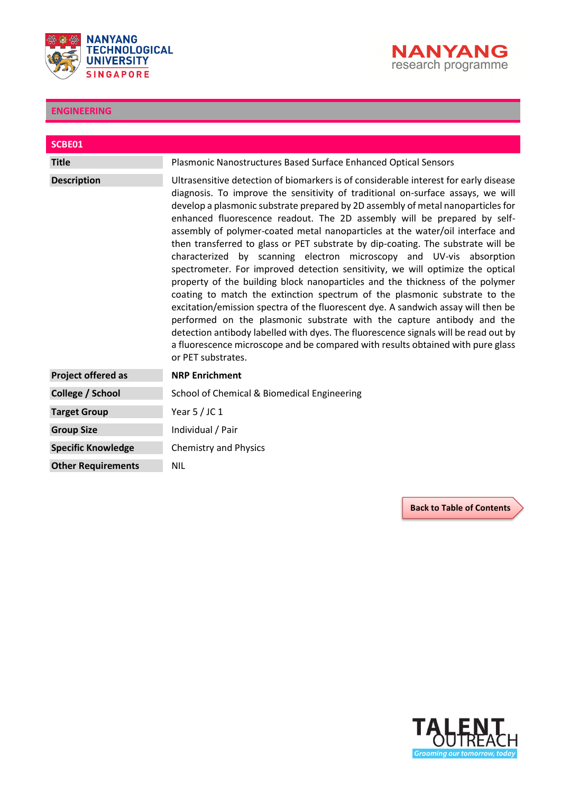



<span id="page-22-0"></span>

| SCBE01                    |                                                                                                                                                                                                                                                                                                                                                                                                                                                                                                                                                                                                                                                                                                                                                                                                                                                                                                                                                                                                                                                                                                                                                                                                     |
|---------------------------|-----------------------------------------------------------------------------------------------------------------------------------------------------------------------------------------------------------------------------------------------------------------------------------------------------------------------------------------------------------------------------------------------------------------------------------------------------------------------------------------------------------------------------------------------------------------------------------------------------------------------------------------------------------------------------------------------------------------------------------------------------------------------------------------------------------------------------------------------------------------------------------------------------------------------------------------------------------------------------------------------------------------------------------------------------------------------------------------------------------------------------------------------------------------------------------------------------|
| <b>Title</b>              | Plasmonic Nanostructures Based Surface Enhanced Optical Sensors                                                                                                                                                                                                                                                                                                                                                                                                                                                                                                                                                                                                                                                                                                                                                                                                                                                                                                                                                                                                                                                                                                                                     |
| <b>Description</b>        | Ultrasensitive detection of biomarkers is of considerable interest for early disease<br>diagnosis. To improve the sensitivity of traditional on-surface assays, we will<br>develop a plasmonic substrate prepared by 2D assembly of metal nanoparticles for<br>enhanced fluorescence readout. The 2D assembly will be prepared by self-<br>assembly of polymer-coated metal nanoparticles at the water/oil interface and<br>then transferred to glass or PET substrate by dip-coating. The substrate will be<br>characterized by scanning electron microscopy and UV-vis absorption<br>spectrometer. For improved detection sensitivity, we will optimize the optical<br>property of the building block nanoparticles and the thickness of the polymer<br>coating to match the extinction spectrum of the plasmonic substrate to the<br>excitation/emission spectra of the fluorescent dye. A sandwich assay will then be<br>performed on the plasmonic substrate with the capture antibody and the<br>detection antibody labelled with dyes. The fluorescence signals will be read out by<br>a fluorescence microscope and be compared with results obtained with pure glass<br>or PET substrates. |
| <b>Project offered as</b> | <b>NRP Enrichment</b>                                                                                                                                                                                                                                                                                                                                                                                                                                                                                                                                                                                                                                                                                                                                                                                                                                                                                                                                                                                                                                                                                                                                                                               |
| College / School          | School of Chemical & Biomedical Engineering                                                                                                                                                                                                                                                                                                                                                                                                                                                                                                                                                                                                                                                                                                                                                                                                                                                                                                                                                                                                                                                                                                                                                         |
| <b>Target Group</b>       | Year $5/$ JC 1                                                                                                                                                                                                                                                                                                                                                                                                                                                                                                                                                                                                                                                                                                                                                                                                                                                                                                                                                                                                                                                                                                                                                                                      |
| <b>Group Size</b>         | Individual / Pair                                                                                                                                                                                                                                                                                                                                                                                                                                                                                                                                                                                                                                                                                                                                                                                                                                                                                                                                                                                                                                                                                                                                                                                   |
| <b>Specific Knowledge</b> | <b>Chemistry and Physics</b>                                                                                                                                                                                                                                                                                                                                                                                                                                                                                                                                                                                                                                                                                                                                                                                                                                                                                                                                                                                                                                                                                                                                                                        |
| <b>Other Requirements</b> | <b>NIL</b>                                                                                                                                                                                                                                                                                                                                                                                                                                                                                                                                                                                                                                                                                                                                                                                                                                                                                                                                                                                                                                                                                                                                                                                          |

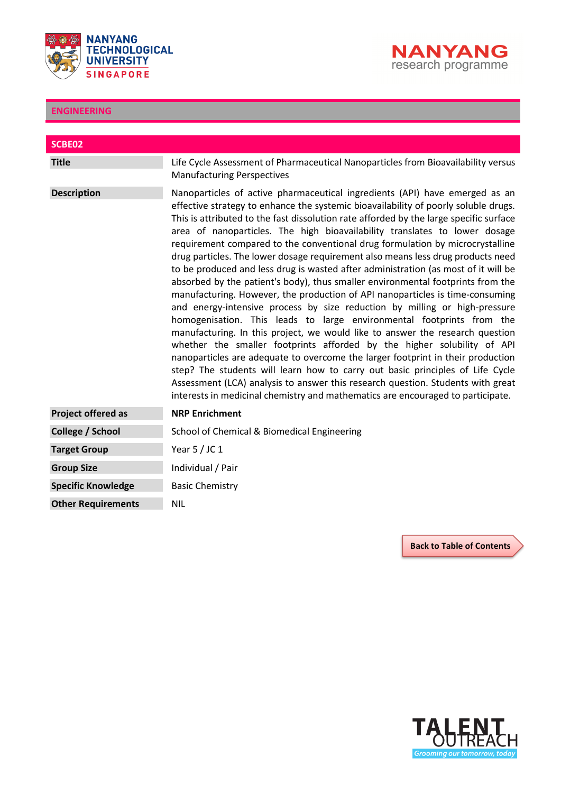



<span id="page-23-0"></span>

| SCBE02                    |                                                                                                                                                                                                                                                                                                                                                                                                                                                                                                                                                                                                                                                                                                                                                                                                                                                                                                                                                                                                                                                                                                                                                                                                                                                                                                                                                                                                                                       |
|---------------------------|---------------------------------------------------------------------------------------------------------------------------------------------------------------------------------------------------------------------------------------------------------------------------------------------------------------------------------------------------------------------------------------------------------------------------------------------------------------------------------------------------------------------------------------------------------------------------------------------------------------------------------------------------------------------------------------------------------------------------------------------------------------------------------------------------------------------------------------------------------------------------------------------------------------------------------------------------------------------------------------------------------------------------------------------------------------------------------------------------------------------------------------------------------------------------------------------------------------------------------------------------------------------------------------------------------------------------------------------------------------------------------------------------------------------------------------|
| <b>Title</b>              | Life Cycle Assessment of Pharmaceutical Nanoparticles from Bioavailability versus<br><b>Manufacturing Perspectives</b>                                                                                                                                                                                                                                                                                                                                                                                                                                                                                                                                                                                                                                                                                                                                                                                                                                                                                                                                                                                                                                                                                                                                                                                                                                                                                                                |
| <b>Description</b>        | Nanoparticles of active pharmaceutical ingredients (API) have emerged as an<br>effective strategy to enhance the systemic bioavailability of poorly soluble drugs.<br>This is attributed to the fast dissolution rate afforded by the large specific surface<br>area of nanoparticles. The high bioavailability translates to lower dosage<br>requirement compared to the conventional drug formulation by microcrystalline<br>drug particles. The lower dosage requirement also means less drug products need<br>to be produced and less drug is wasted after administration (as most of it will be<br>absorbed by the patient's body), thus smaller environmental footprints from the<br>manufacturing. However, the production of API nanoparticles is time-consuming<br>and energy-intensive process by size reduction by milling or high-pressure<br>homogenisation. This leads to large environmental footprints from the<br>manufacturing. In this project, we would like to answer the research question<br>whether the smaller footprints afforded by the higher solubility of API<br>nanoparticles are adequate to overcome the larger footprint in their production<br>step? The students will learn how to carry out basic principles of Life Cycle<br>Assessment (LCA) analysis to answer this research question. Students with great<br>interests in medicinal chemistry and mathematics are encouraged to participate. |
| <b>Project offered as</b> | <b>NRP Enrichment</b>                                                                                                                                                                                                                                                                                                                                                                                                                                                                                                                                                                                                                                                                                                                                                                                                                                                                                                                                                                                                                                                                                                                                                                                                                                                                                                                                                                                                                 |
| College / School          | School of Chemical & Biomedical Engineering                                                                                                                                                                                                                                                                                                                                                                                                                                                                                                                                                                                                                                                                                                                                                                                                                                                                                                                                                                                                                                                                                                                                                                                                                                                                                                                                                                                           |
| <b>Target Group</b>       | Year $5/$ JC 1                                                                                                                                                                                                                                                                                                                                                                                                                                                                                                                                                                                                                                                                                                                                                                                                                                                                                                                                                                                                                                                                                                                                                                                                                                                                                                                                                                                                                        |
| <b>Group Size</b>         | Individual / Pair                                                                                                                                                                                                                                                                                                                                                                                                                                                                                                                                                                                                                                                                                                                                                                                                                                                                                                                                                                                                                                                                                                                                                                                                                                                                                                                                                                                                                     |
| <b>Specific Knowledge</b> | <b>Basic Chemistry</b>                                                                                                                                                                                                                                                                                                                                                                                                                                                                                                                                                                                                                                                                                                                                                                                                                                                                                                                                                                                                                                                                                                                                                                                                                                                                                                                                                                                                                |
| <b>Other Requirements</b> | <b>NIL</b>                                                                                                                                                                                                                                                                                                                                                                                                                                                                                                                                                                                                                                                                                                                                                                                                                                                                                                                                                                                                                                                                                                                                                                                                                                                                                                                                                                                                                            |

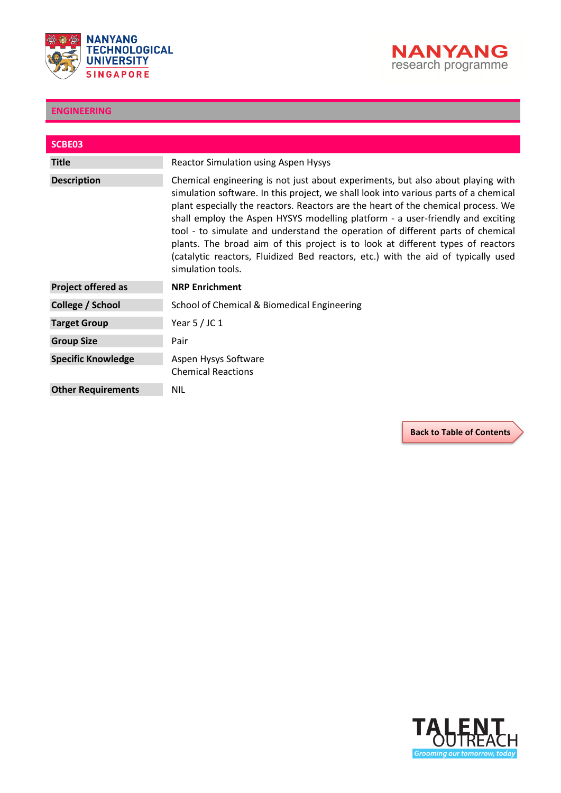



<span id="page-24-0"></span>

| SCBE03                    |                                                                                                                                                                                                                                                                                                                                                                                                                                                                                                                                                                                                                               |
|---------------------------|-------------------------------------------------------------------------------------------------------------------------------------------------------------------------------------------------------------------------------------------------------------------------------------------------------------------------------------------------------------------------------------------------------------------------------------------------------------------------------------------------------------------------------------------------------------------------------------------------------------------------------|
| <b>Title</b>              | <b>Reactor Simulation using Aspen Hysys</b>                                                                                                                                                                                                                                                                                                                                                                                                                                                                                                                                                                                   |
| <b>Description</b>        | Chemical engineering is not just about experiments, but also about playing with<br>simulation software. In this project, we shall look into various parts of a chemical<br>plant especially the reactors. Reactors are the heart of the chemical process. We<br>shall employ the Aspen HYSYS modelling platform - a user-friendly and exciting<br>tool - to simulate and understand the operation of different parts of chemical<br>plants. The broad aim of this project is to look at different types of reactors<br>(catalytic reactors, Fluidized Bed reactors, etc.) with the aid of typically used<br>simulation tools. |
| <b>Project offered as</b> | <b>NRP Enrichment</b>                                                                                                                                                                                                                                                                                                                                                                                                                                                                                                                                                                                                         |
| College / School          | School of Chemical & Biomedical Engineering                                                                                                                                                                                                                                                                                                                                                                                                                                                                                                                                                                                   |
| <b>Target Group</b>       | Year $5/$ JC 1                                                                                                                                                                                                                                                                                                                                                                                                                                                                                                                                                                                                                |
| <b>Group Size</b>         | Pair                                                                                                                                                                                                                                                                                                                                                                                                                                                                                                                                                                                                                          |
| <b>Specific Knowledge</b> | Aspen Hysys Software<br><b>Chemical Reactions</b>                                                                                                                                                                                                                                                                                                                                                                                                                                                                                                                                                                             |
| <b>Other Requirements</b> | <b>NIL</b>                                                                                                                                                                                                                                                                                                                                                                                                                                                                                                                                                                                                                    |

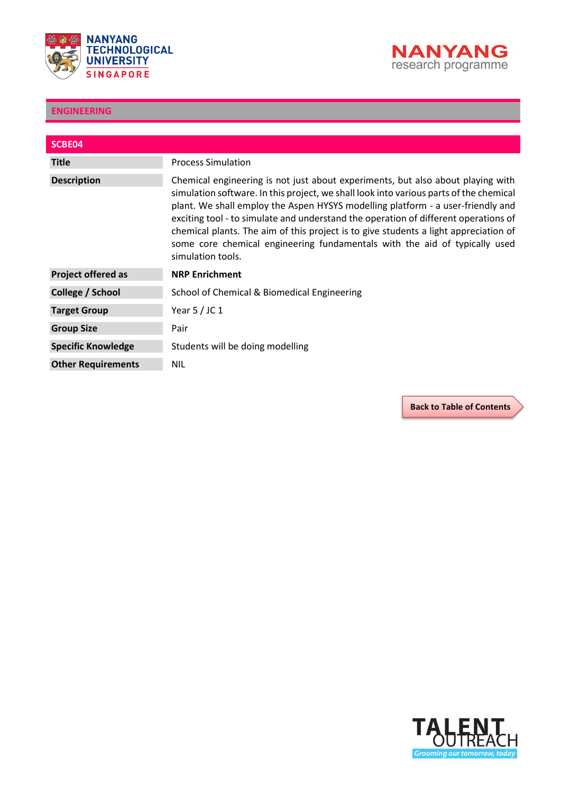



<span id="page-25-0"></span>

| SCBE04                    |                                                                                                                                                                                                                                                                                                                                                                                                                                                                                                                                                |
|---------------------------|------------------------------------------------------------------------------------------------------------------------------------------------------------------------------------------------------------------------------------------------------------------------------------------------------------------------------------------------------------------------------------------------------------------------------------------------------------------------------------------------------------------------------------------------|
| <b>Title</b>              | <b>Process Simulation</b>                                                                                                                                                                                                                                                                                                                                                                                                                                                                                                                      |
| <b>Description</b>        | Chemical engineering is not just about experiments, but also about playing with<br>simulation software. In this project, we shall look into various parts of the chemical<br>plant. We shall employ the Aspen HYSYS modelling platform - a user-friendly and<br>exciting tool - to simulate and understand the operation of different operations of<br>chemical plants. The aim of this project is to give students a light appreciation of<br>some core chemical engineering fundamentals with the aid of typically used<br>simulation tools. |
| <b>Project offered as</b> | <b>NRP Enrichment</b>                                                                                                                                                                                                                                                                                                                                                                                                                                                                                                                          |
| College / School          | School of Chemical & Biomedical Engineering                                                                                                                                                                                                                                                                                                                                                                                                                                                                                                    |
| <b>Target Group</b>       | Year $5/$ JC 1                                                                                                                                                                                                                                                                                                                                                                                                                                                                                                                                 |
| <b>Group Size</b>         | Pair                                                                                                                                                                                                                                                                                                                                                                                                                                                                                                                                           |
| <b>Specific Knowledge</b> | Students will be doing modelling                                                                                                                                                                                                                                                                                                                                                                                                                                                                                                               |
| <b>Other Requirements</b> | <b>NIL</b>                                                                                                                                                                                                                                                                                                                                                                                                                                                                                                                                     |

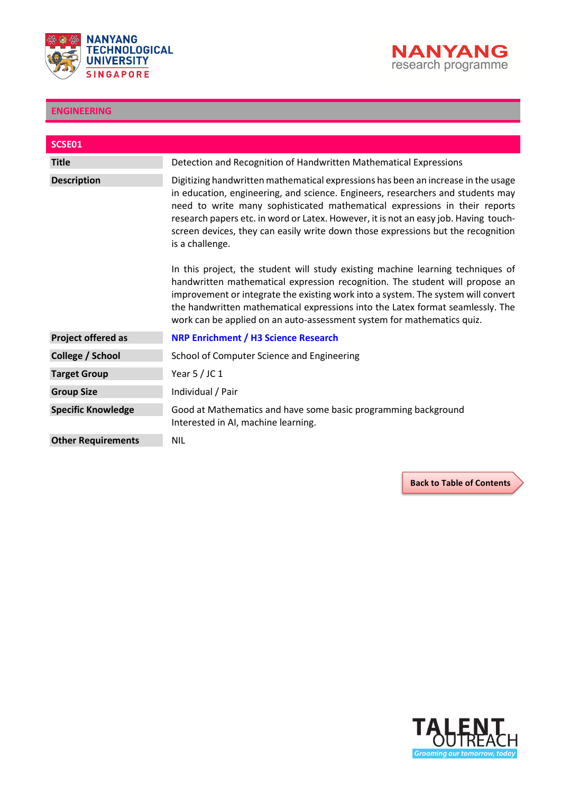



<span id="page-26-0"></span>

| SCSE01                    |                                                                                                                                                                                                                                                                                                                                                                                                                                                   |
|---------------------------|---------------------------------------------------------------------------------------------------------------------------------------------------------------------------------------------------------------------------------------------------------------------------------------------------------------------------------------------------------------------------------------------------------------------------------------------------|
|                           |                                                                                                                                                                                                                                                                                                                                                                                                                                                   |
| <b>Title</b>              | Detection and Recognition of Handwritten Mathematical Expressions                                                                                                                                                                                                                                                                                                                                                                                 |
| <b>Description</b>        | Digitizing handwritten mathematical expressions has been an increase in the usage<br>in education, engineering, and science. Engineers, researchers and students may<br>need to write many sophisticated mathematical expressions in their reports<br>research papers etc. in word or Latex. However, it is not an easy job. Having touch-<br>screen devices, they can easily write down those expressions but the recognition<br>is a challenge. |
|                           | In this project, the student will study existing machine learning techniques of<br>handwritten mathematical expression recognition. The student will propose an<br>improvement or integrate the existing work into a system. The system will convert<br>the handwritten mathematical expressions into the Latex format seamlessly. The<br>work can be applied on an auto-assessment system for mathematics quiz.                                  |
| <b>Project offered as</b> | <b>NRP Enrichment / H3 Science Research</b>                                                                                                                                                                                                                                                                                                                                                                                                       |
| College / School          | School of Computer Science and Engineering                                                                                                                                                                                                                                                                                                                                                                                                        |
| <b>Target Group</b>       | Year $5/$ JC 1                                                                                                                                                                                                                                                                                                                                                                                                                                    |
| <b>Group Size</b>         | Individual / Pair                                                                                                                                                                                                                                                                                                                                                                                                                                 |
| <b>Specific Knowledge</b> | Good at Mathematics and have some basic programming background<br>Interested in AI, machine learning.                                                                                                                                                                                                                                                                                                                                             |
| <b>Other Requirements</b> | <b>NIL</b>                                                                                                                                                                                                                                                                                                                                                                                                                                        |

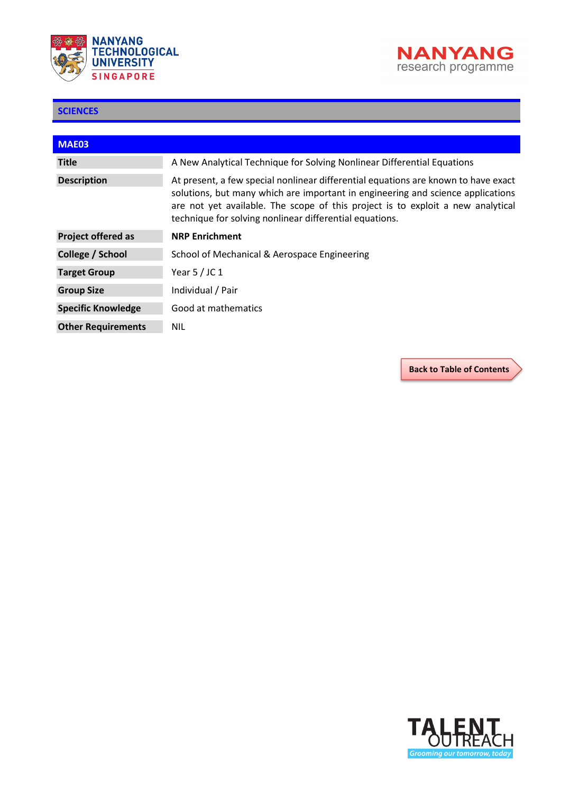



<span id="page-27-0"></span>ı

| <b>MAE03</b>              |                                                                                                                                                                                                                                                                                                                     |
|---------------------------|---------------------------------------------------------------------------------------------------------------------------------------------------------------------------------------------------------------------------------------------------------------------------------------------------------------------|
| <b>Title</b>              | A New Analytical Technique for Solving Nonlinear Differential Equations                                                                                                                                                                                                                                             |
| <b>Description</b>        | At present, a few special nonlinear differential equations are known to have exact<br>solutions, but many which are important in engineering and science applications<br>are not yet available. The scope of this project is to exploit a new analytical<br>technique for solving nonlinear differential equations. |
| <b>Project offered as</b> | <b>NRP Enrichment</b>                                                                                                                                                                                                                                                                                               |
| College / School          | School of Mechanical & Aerospace Engineering                                                                                                                                                                                                                                                                        |
| <b>Target Group</b>       | Year $5/$ JC 1                                                                                                                                                                                                                                                                                                      |
| <b>Group Size</b>         | Individual / Pair                                                                                                                                                                                                                                                                                                   |
| <b>Specific Knowledge</b> | Good at mathematics                                                                                                                                                                                                                                                                                                 |
| <b>Other Requirements</b> | NIL                                                                                                                                                                                                                                                                                                                 |

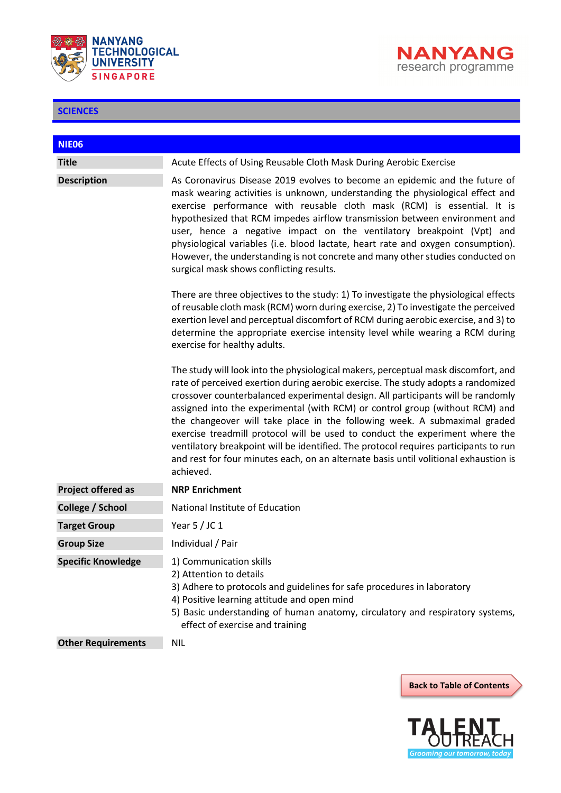



<span id="page-28-0"></span>

| <b>NIE06</b>              |                                                                                                                                                                                                                                                                                                                                                                                                                                                                                                                                                                                                                                                                                                       |
|---------------------------|-------------------------------------------------------------------------------------------------------------------------------------------------------------------------------------------------------------------------------------------------------------------------------------------------------------------------------------------------------------------------------------------------------------------------------------------------------------------------------------------------------------------------------------------------------------------------------------------------------------------------------------------------------------------------------------------------------|
| <b>Title</b>              | Acute Effects of Using Reusable Cloth Mask During Aerobic Exercise                                                                                                                                                                                                                                                                                                                                                                                                                                                                                                                                                                                                                                    |
| <b>Description</b>        | As Coronavirus Disease 2019 evolves to become an epidemic and the future of<br>mask wearing activities is unknown, understanding the physiological effect and<br>exercise performance with reusable cloth mask (RCM) is essential. It is<br>hypothesized that RCM impedes airflow transmission between environment and<br>user, hence a negative impact on the ventilatory breakpoint (Vpt) and<br>physiological variables (i.e. blood lactate, heart rate and oxygen consumption).<br>However, the understanding is not concrete and many other studies conducted on<br>surgical mask shows conflicting results.                                                                                     |
|                           | There are three objectives to the study: 1) To investigate the physiological effects<br>of reusable cloth mask (RCM) worn during exercise, 2) To investigate the perceived<br>exertion level and perceptual discomfort of RCM during aerobic exercise, and 3) to<br>determine the appropriate exercise intensity level while wearing a RCM during<br>exercise for healthy adults.                                                                                                                                                                                                                                                                                                                     |
|                           | The study will look into the physiological makers, perceptual mask discomfort, and<br>rate of perceived exertion during aerobic exercise. The study adopts a randomized<br>crossover counterbalanced experimental design. All participants will be randomly<br>assigned into the experimental (with RCM) or control group (without RCM) and<br>the changeover will take place in the following week. A submaximal graded<br>exercise treadmill protocol will be used to conduct the experiment where the<br>ventilatory breakpoint will be identified. The protocol requires participants to run<br>and rest for four minutes each, on an alternate basis until volitional exhaustion is<br>achieved. |
| <b>Project offered as</b> | <b>NRP Enrichment</b>                                                                                                                                                                                                                                                                                                                                                                                                                                                                                                                                                                                                                                                                                 |
| <b>College / School</b>   | National Institute of Education                                                                                                                                                                                                                                                                                                                                                                                                                                                                                                                                                                                                                                                                       |
| <b>Target Group</b>       | Year $5/$ JC 1                                                                                                                                                                                                                                                                                                                                                                                                                                                                                                                                                                                                                                                                                        |
| <b>Group Size</b>         | Individual / Pair                                                                                                                                                                                                                                                                                                                                                                                                                                                                                                                                                                                                                                                                                     |
| <b>Specific Knowledge</b> | 1) Communication skills<br>2) Attention to details<br>3) Adhere to protocols and guidelines for safe procedures in laboratory<br>4) Positive learning attitude and open mind<br>5) Basic understanding of human anatomy, circulatory and respiratory systems,<br>effect of exercise and training                                                                                                                                                                                                                                                                                                                                                                                                      |
| <b>Other Requirements</b> | <b>NIL</b>                                                                                                                                                                                                                                                                                                                                                                                                                                                                                                                                                                                                                                                                                            |



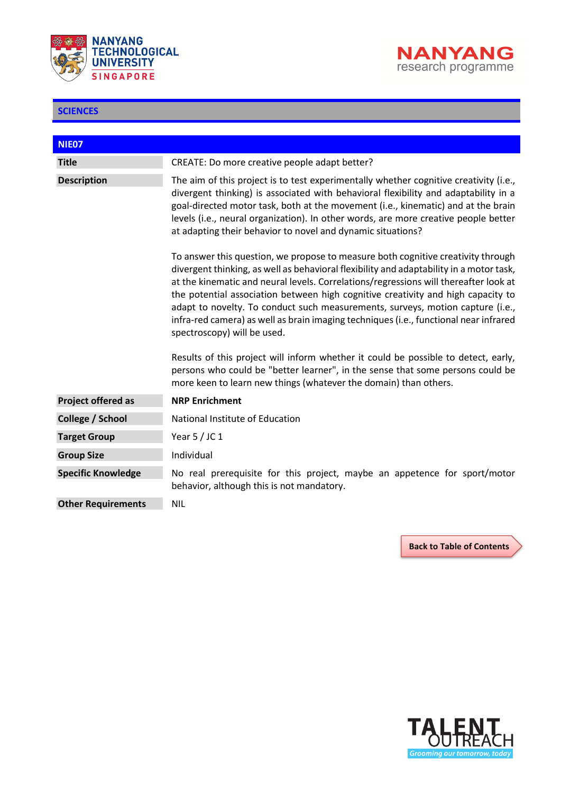



<span id="page-29-0"></span>

| NIE07                     |                                                                                                                                                                                                                                                                                                                                                                                                                                                                                                                                                                   |
|---------------------------|-------------------------------------------------------------------------------------------------------------------------------------------------------------------------------------------------------------------------------------------------------------------------------------------------------------------------------------------------------------------------------------------------------------------------------------------------------------------------------------------------------------------------------------------------------------------|
| <b>Title</b>              | CREATE: Do more creative people adapt better?                                                                                                                                                                                                                                                                                                                                                                                                                                                                                                                     |
| <b>Description</b>        | The aim of this project is to test experimentally whether cognitive creativity (i.e.,<br>divergent thinking) is associated with behavioral flexibility and adaptability in a<br>goal-directed motor task, both at the movement (i.e., kinematic) and at the brain<br>levels (i.e., neural organization). In other words, are more creative people better<br>at adapting their behavior to novel and dynamic situations?                                                                                                                                           |
|                           | To answer this question, we propose to measure both cognitive creativity through<br>divergent thinking, as well as behavioral flexibility and adaptability in a motor task,<br>at the kinematic and neural levels. Correlations/regressions will thereafter look at<br>the potential association between high cognitive creativity and high capacity to<br>adapt to novelty. To conduct such measurements, surveys, motion capture (i.e.,<br>infra-red camera) as well as brain imaging techniques (i.e., functional near infrared<br>spectroscopy) will be used. |
|                           | Results of this project will inform whether it could be possible to detect, early,<br>persons who could be "better learner", in the sense that some persons could be<br>more keen to learn new things (whatever the domain) than others.                                                                                                                                                                                                                                                                                                                          |
| <b>Project offered as</b> | <b>NRP Enrichment</b>                                                                                                                                                                                                                                                                                                                                                                                                                                                                                                                                             |
| College / School          | National Institute of Education                                                                                                                                                                                                                                                                                                                                                                                                                                                                                                                                   |
| <b>Target Group</b>       | Year $5/$ JC 1                                                                                                                                                                                                                                                                                                                                                                                                                                                                                                                                                    |
| <b>Group Size</b>         | Individual                                                                                                                                                                                                                                                                                                                                                                                                                                                                                                                                                        |
| <b>Specific Knowledge</b> | No real prerequisite for this project, maybe an appetence for sport/motor<br>behavior, although this is not mandatory.                                                                                                                                                                                                                                                                                                                                                                                                                                            |
| <b>Other Requirements</b> | <b>NIL</b>                                                                                                                                                                                                                                                                                                                                                                                                                                                                                                                                                        |

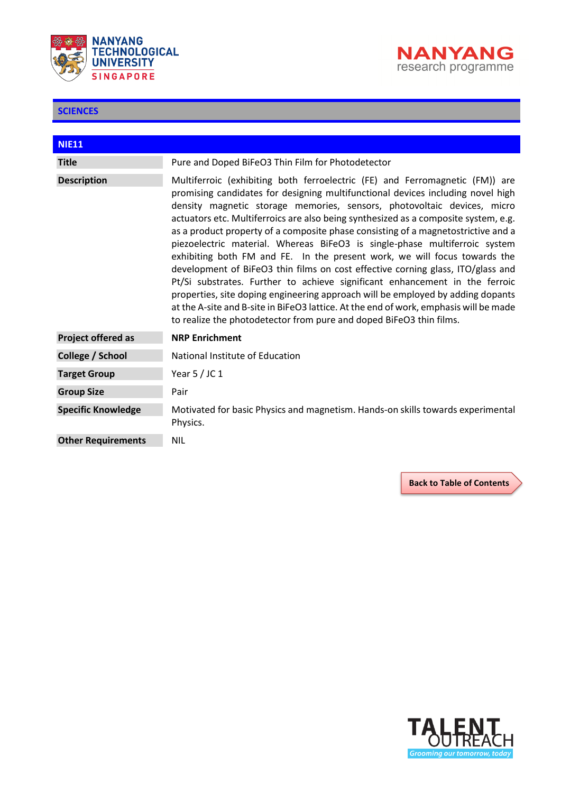



<span id="page-30-0"></span>

| <b>NIE11</b>              |                                                                                                                                                                                                                                                                                                                                                                                                                                                                                                                                                                                                                                                                                                                                                                                                                                                                                                                                                                                                        |
|---------------------------|--------------------------------------------------------------------------------------------------------------------------------------------------------------------------------------------------------------------------------------------------------------------------------------------------------------------------------------------------------------------------------------------------------------------------------------------------------------------------------------------------------------------------------------------------------------------------------------------------------------------------------------------------------------------------------------------------------------------------------------------------------------------------------------------------------------------------------------------------------------------------------------------------------------------------------------------------------------------------------------------------------|
| <b>Title</b>              | Pure and Doped BiFeO3 Thin Film for Photodetector                                                                                                                                                                                                                                                                                                                                                                                                                                                                                                                                                                                                                                                                                                                                                                                                                                                                                                                                                      |
| <b>Description</b>        | Multiferroic (exhibiting both ferroelectric (FE) and Ferromagnetic (FM)) are<br>promising candidates for designing multifunctional devices including novel high<br>density magnetic storage memories, sensors, photovoltaic devices, micro<br>actuators etc. Multiferroics are also being synthesized as a composite system, e.g.<br>as a product property of a composite phase consisting of a magnetostrictive and a<br>piezoelectric material. Whereas BiFeO3 is single-phase multiferroic system<br>exhibiting both FM and FE. In the present work, we will focus towards the<br>development of BiFeO3 thin films on cost effective corning glass, ITO/glass and<br>Pt/Si substrates. Further to achieve significant enhancement in the ferroic<br>properties, site doping engineering approach will be employed by adding dopants<br>at the A-site and B-site in BiFeO3 lattice. At the end of work, emphasis will be made<br>to realize the photodetector from pure and doped BiFeO3 thin films. |
| <b>Project offered as</b> | <b>NRP Enrichment</b>                                                                                                                                                                                                                                                                                                                                                                                                                                                                                                                                                                                                                                                                                                                                                                                                                                                                                                                                                                                  |
| College / School          | National Institute of Education                                                                                                                                                                                                                                                                                                                                                                                                                                                                                                                                                                                                                                                                                                                                                                                                                                                                                                                                                                        |
| <b>Target Group</b>       | Year $5/$ JC 1                                                                                                                                                                                                                                                                                                                                                                                                                                                                                                                                                                                                                                                                                                                                                                                                                                                                                                                                                                                         |
| <b>Group Size</b>         | Pair                                                                                                                                                                                                                                                                                                                                                                                                                                                                                                                                                                                                                                                                                                                                                                                                                                                                                                                                                                                                   |
| <b>Specific Knowledge</b> | Motivated for basic Physics and magnetism. Hands-on skills towards experimental<br>Physics.                                                                                                                                                                                                                                                                                                                                                                                                                                                                                                                                                                                                                                                                                                                                                                                                                                                                                                            |
| <b>Other Requirements</b> | <b>NIL</b>                                                                                                                                                                                                                                                                                                                                                                                                                                                                                                                                                                                                                                                                                                                                                                                                                                                                                                                                                                                             |

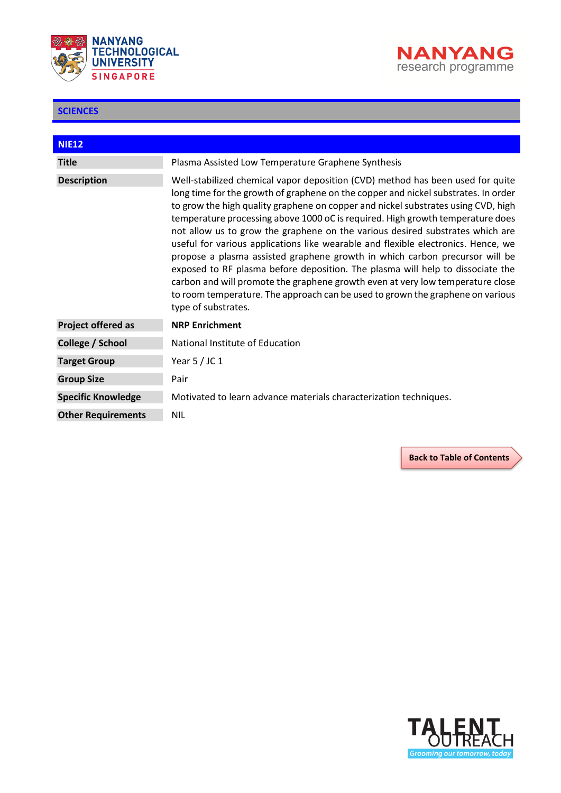



ı

<span id="page-31-0"></span>

| <b>NIE12</b>              |                                                                                                                                                                                                                                                                                                                                                                                                                                                                                                                                                                                                                                                                                                                                                                                                                                                                               |
|---------------------------|-------------------------------------------------------------------------------------------------------------------------------------------------------------------------------------------------------------------------------------------------------------------------------------------------------------------------------------------------------------------------------------------------------------------------------------------------------------------------------------------------------------------------------------------------------------------------------------------------------------------------------------------------------------------------------------------------------------------------------------------------------------------------------------------------------------------------------------------------------------------------------|
| <b>Title</b>              | Plasma Assisted Low Temperature Graphene Synthesis                                                                                                                                                                                                                                                                                                                                                                                                                                                                                                                                                                                                                                                                                                                                                                                                                            |
| <b>Description</b>        | Well-stabilized chemical vapor deposition (CVD) method has been used for quite<br>long time for the growth of graphene on the copper and nickel substrates. In order<br>to grow the high quality graphene on copper and nickel substrates using CVD, high<br>temperature processing above 1000 oC is required. High growth temperature does<br>not allow us to grow the graphene on the various desired substrates which are<br>useful for various applications like wearable and flexible electronics. Hence, we<br>propose a plasma assisted graphene growth in which carbon precursor will be<br>exposed to RF plasma before deposition. The plasma will help to dissociate the<br>carbon and will promote the graphene growth even at very low temperature close<br>to room temperature. The approach can be used to grown the graphene on various<br>type of substrates. |
| <b>Project offered as</b> | <b>NRP Enrichment</b>                                                                                                                                                                                                                                                                                                                                                                                                                                                                                                                                                                                                                                                                                                                                                                                                                                                         |
| College / School          | National Institute of Education                                                                                                                                                                                                                                                                                                                                                                                                                                                                                                                                                                                                                                                                                                                                                                                                                                               |
| <b>Target Group</b>       | Year $5/$ JC 1                                                                                                                                                                                                                                                                                                                                                                                                                                                                                                                                                                                                                                                                                                                                                                                                                                                                |
| <b>Group Size</b>         | Pair                                                                                                                                                                                                                                                                                                                                                                                                                                                                                                                                                                                                                                                                                                                                                                                                                                                                          |
| <b>Specific Knowledge</b> | Motivated to learn advance materials characterization techniques.                                                                                                                                                                                                                                                                                                                                                                                                                                                                                                                                                                                                                                                                                                                                                                                                             |
| <b>Other Requirements</b> | <b>NIL</b>                                                                                                                                                                                                                                                                                                                                                                                                                                                                                                                                                                                                                                                                                                                                                                                                                                                                    |

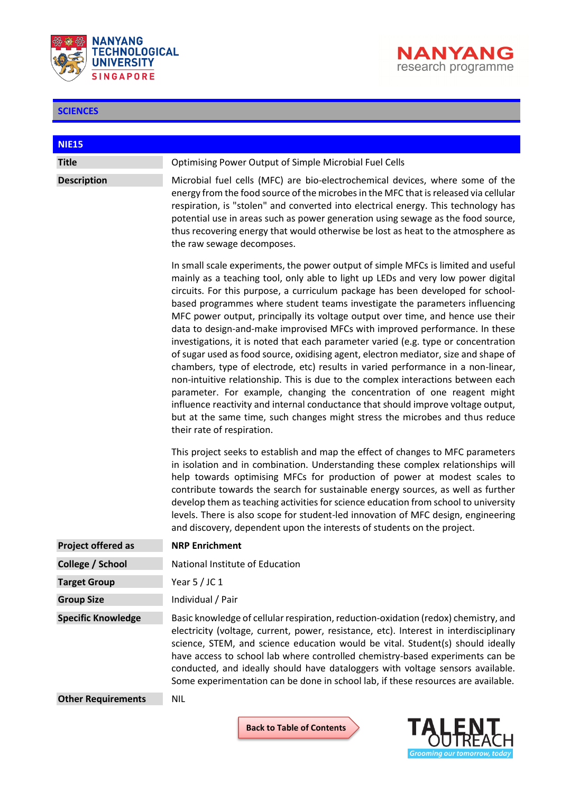



<span id="page-32-0"></span>

| <b>NIE15</b>              |                                                                                                                                                                                                                                                                                                                                                                                                                                                                                                                                                                                                                                                                                                                                                                                                                                                                                                                                                                                                                                                                                                                                              |
|---------------------------|----------------------------------------------------------------------------------------------------------------------------------------------------------------------------------------------------------------------------------------------------------------------------------------------------------------------------------------------------------------------------------------------------------------------------------------------------------------------------------------------------------------------------------------------------------------------------------------------------------------------------------------------------------------------------------------------------------------------------------------------------------------------------------------------------------------------------------------------------------------------------------------------------------------------------------------------------------------------------------------------------------------------------------------------------------------------------------------------------------------------------------------------|
| <b>Title</b>              | <b>Optimising Power Output of Simple Microbial Fuel Cells</b>                                                                                                                                                                                                                                                                                                                                                                                                                                                                                                                                                                                                                                                                                                                                                                                                                                                                                                                                                                                                                                                                                |
| <b>Description</b>        | Microbial fuel cells (MFC) are bio-electrochemical devices, where some of the<br>energy from the food source of the microbes in the MFC that is released via cellular<br>respiration, is "stolen" and converted into electrical energy. This technology has<br>potential use in areas such as power generation using sewage as the food source,<br>thus recovering energy that would otherwise be lost as heat to the atmosphere as<br>the raw sewage decomposes.                                                                                                                                                                                                                                                                                                                                                                                                                                                                                                                                                                                                                                                                            |
|                           | In small scale experiments, the power output of simple MFCs is limited and useful<br>mainly as a teaching tool, only able to light up LEDs and very low power digital<br>circuits. For this purpose, a curriculum package has been developed for school-<br>based programmes where student teams investigate the parameters influencing<br>MFC power output, principally its voltage output over time, and hence use their<br>data to design-and-make improvised MFCs with improved performance. In these<br>investigations, it is noted that each parameter varied (e.g. type or concentration<br>of sugar used as food source, oxidising agent, electron mediator, size and shape of<br>chambers, type of electrode, etc) results in varied performance in a non-linear,<br>non-intuitive relationship. This is due to the complex interactions between each<br>parameter. For example, changing the concentration of one reagent might<br>influence reactivity and internal conductance that should improve voltage output,<br>but at the same time, such changes might stress the microbes and thus reduce<br>their rate of respiration. |
|                           | This project seeks to establish and map the effect of changes to MFC parameters<br>in isolation and in combination. Understanding these complex relationships will<br>help towards optimising MFCs for production of power at modest scales to<br>contribute towards the search for sustainable energy sources, as well as further<br>develop them as teaching activities for science education from school to university<br>levels. There is also scope for student-led innovation of MFC design, engineering<br>and discovery, dependent upon the interests of students on the project.                                                                                                                                                                                                                                                                                                                                                                                                                                                                                                                                                    |
| <b>Project offered as</b> | <b>NRP Enrichment</b>                                                                                                                                                                                                                                                                                                                                                                                                                                                                                                                                                                                                                                                                                                                                                                                                                                                                                                                                                                                                                                                                                                                        |
| College / School          | National Institute of Education                                                                                                                                                                                                                                                                                                                                                                                                                                                                                                                                                                                                                                                                                                                                                                                                                                                                                                                                                                                                                                                                                                              |
| <b>Target Group</b>       | Year $5/$ JC 1                                                                                                                                                                                                                                                                                                                                                                                                                                                                                                                                                                                                                                                                                                                                                                                                                                                                                                                                                                                                                                                                                                                               |
| <b>Group Size</b>         | Individual / Pair                                                                                                                                                                                                                                                                                                                                                                                                                                                                                                                                                                                                                                                                                                                                                                                                                                                                                                                                                                                                                                                                                                                            |
| <b>Specific Knowledge</b> | Basic knowledge of cellular respiration, reduction-oxidation (redox) chemistry, and<br>electricity (voltage, current, power, resistance, etc). Interest in interdisciplinary<br>science, STEM, and science education would be vital. Student(s) should ideally<br>have access to school lab where controlled chemistry-based experiments can be<br>conducted, and ideally should have dataloggers with voltage sensors available.<br>Some experimentation can be done in school lab, if these resources are available.                                                                                                                                                                                                                                                                                                                                                                                                                                                                                                                                                                                                                       |
| <b>Other Requirements</b> | <b>NIL</b>                                                                                                                                                                                                                                                                                                                                                                                                                                                                                                                                                                                                                                                                                                                                                                                                                                                                                                                                                                                                                                                                                                                                   |

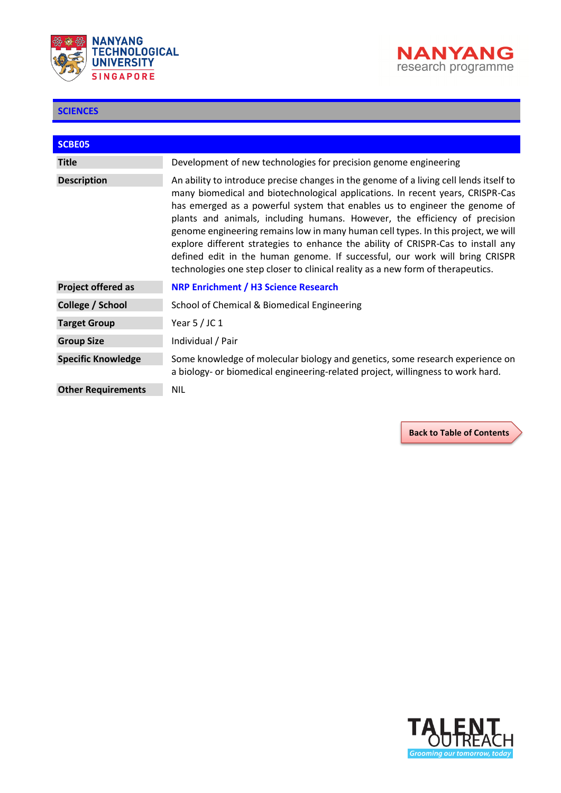



<span id="page-33-0"></span>

| <b>SCBE05</b>             |                                                                                                                                                                                                                                                                                                                                                                                                                                                                                                                                                                                                                                                                                 |
|---------------------------|---------------------------------------------------------------------------------------------------------------------------------------------------------------------------------------------------------------------------------------------------------------------------------------------------------------------------------------------------------------------------------------------------------------------------------------------------------------------------------------------------------------------------------------------------------------------------------------------------------------------------------------------------------------------------------|
| <b>Title</b>              | Development of new technologies for precision genome engineering                                                                                                                                                                                                                                                                                                                                                                                                                                                                                                                                                                                                                |
| <b>Description</b>        | An ability to introduce precise changes in the genome of a living cell lends itself to<br>many biomedical and biotechnological applications. In recent years, CRISPR-Cas<br>has emerged as a powerful system that enables us to engineer the genome of<br>plants and animals, including humans. However, the efficiency of precision<br>genome engineering remains low in many human cell types. In this project, we will<br>explore different strategies to enhance the ability of CRISPR-Cas to install any<br>defined edit in the human genome. If successful, our work will bring CRISPR<br>technologies one step closer to clinical reality as a new form of therapeutics. |
| <b>Project offered as</b> | <b>NRP Enrichment / H3 Science Research</b>                                                                                                                                                                                                                                                                                                                                                                                                                                                                                                                                                                                                                                     |
| College / School          | School of Chemical & Biomedical Engineering                                                                                                                                                                                                                                                                                                                                                                                                                                                                                                                                                                                                                                     |
| <b>Target Group</b>       | Year $5/$ JC 1                                                                                                                                                                                                                                                                                                                                                                                                                                                                                                                                                                                                                                                                  |
| <b>Group Size</b>         | Individual / Pair                                                                                                                                                                                                                                                                                                                                                                                                                                                                                                                                                                                                                                                               |
| <b>Specific Knowledge</b> | Some knowledge of molecular biology and genetics, some research experience on<br>a biology- or biomedical engineering-related project, willingness to work hard.                                                                                                                                                                                                                                                                                                                                                                                                                                                                                                                |
| <b>Other Requirements</b> | <b>NIL</b>                                                                                                                                                                                                                                                                                                                                                                                                                                                                                                                                                                                                                                                                      |

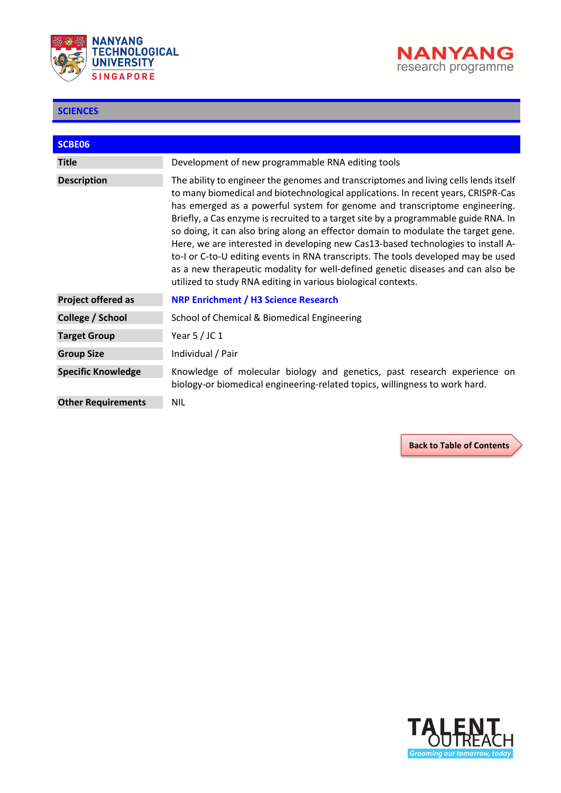



<span id="page-34-0"></span>

| SCBE06                    |                                                                                                                                                                                                                                                                                                                                                                                                                                                                                                                                                                                                                                                                                                                                                                  |
|---------------------------|------------------------------------------------------------------------------------------------------------------------------------------------------------------------------------------------------------------------------------------------------------------------------------------------------------------------------------------------------------------------------------------------------------------------------------------------------------------------------------------------------------------------------------------------------------------------------------------------------------------------------------------------------------------------------------------------------------------------------------------------------------------|
| <b>Title</b>              | Development of new programmable RNA editing tools                                                                                                                                                                                                                                                                                                                                                                                                                                                                                                                                                                                                                                                                                                                |
| <b>Description</b>        | The ability to engineer the genomes and transcriptomes and living cells lends itself<br>to many biomedical and biotechnological applications. In recent years, CRISPR-Cas<br>has emerged as a powerful system for genome and transcriptome engineering.<br>Briefly, a Cas enzyme is recruited to a target site by a programmable guide RNA. In<br>so doing, it can also bring along an effector domain to modulate the target gene.<br>Here, we are interested in developing new Cas13-based technologies to install A-<br>to-I or C-to-U editing events in RNA transcripts. The tools developed may be used<br>as a new therapeutic modality for well-defined genetic diseases and can also be<br>utilized to study RNA editing in various biological contexts. |
| <b>Project offered as</b> | <b>NRP Enrichment / H3 Science Research</b>                                                                                                                                                                                                                                                                                                                                                                                                                                                                                                                                                                                                                                                                                                                      |
| College / School          | School of Chemical & Biomedical Engineering                                                                                                                                                                                                                                                                                                                                                                                                                                                                                                                                                                                                                                                                                                                      |
| <b>Target Group</b>       | Year $5/$ JC 1                                                                                                                                                                                                                                                                                                                                                                                                                                                                                                                                                                                                                                                                                                                                                   |
| <b>Group Size</b>         | Individual / Pair                                                                                                                                                                                                                                                                                                                                                                                                                                                                                                                                                                                                                                                                                                                                                |
| <b>Specific Knowledge</b> | Knowledge of molecular biology and genetics, past research experience on<br>biology-or biomedical engineering-related topics, willingness to work hard.                                                                                                                                                                                                                                                                                                                                                                                                                                                                                                                                                                                                          |
| <b>Other Requirements</b> | <b>NIL</b>                                                                                                                                                                                                                                                                                                                                                                                                                                                                                                                                                                                                                                                                                                                                                       |

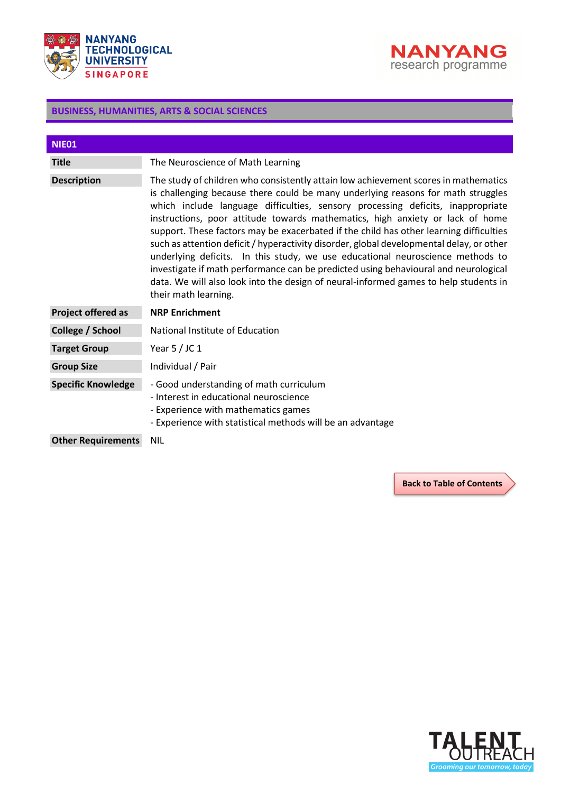



<span id="page-35-0"></span>

| NIE01                     |                                                                                                                                                                                                                                                                                                                                                                                                                                                                                                                                                                                                                                                                                                                                                                                                                            |
|---------------------------|----------------------------------------------------------------------------------------------------------------------------------------------------------------------------------------------------------------------------------------------------------------------------------------------------------------------------------------------------------------------------------------------------------------------------------------------------------------------------------------------------------------------------------------------------------------------------------------------------------------------------------------------------------------------------------------------------------------------------------------------------------------------------------------------------------------------------|
| <b>Title</b>              | The Neuroscience of Math Learning                                                                                                                                                                                                                                                                                                                                                                                                                                                                                                                                                                                                                                                                                                                                                                                          |
| <b>Description</b>        | The study of children who consistently attain low achievement scores in mathematics<br>is challenging because there could be many underlying reasons for math struggles<br>which include language difficulties, sensory processing deficits, inappropriate<br>instructions, poor attitude towards mathematics, high anxiety or lack of home<br>support. These factors may be exacerbated if the child has other learning difficulties<br>such as attention deficit / hyperactivity disorder, global developmental delay, or other<br>underlying deficits. In this study, we use educational neuroscience methods to<br>investigate if math performance can be predicted using behavioural and neurological<br>data. We will also look into the design of neural-informed games to help students in<br>their math learning. |
| Project offered as        | <b>NRP Enrichment</b>                                                                                                                                                                                                                                                                                                                                                                                                                                                                                                                                                                                                                                                                                                                                                                                                      |
| College / School          | National Institute of Education                                                                                                                                                                                                                                                                                                                                                                                                                                                                                                                                                                                                                                                                                                                                                                                            |
| <b>Target Group</b>       | Year 5 / JC 1                                                                                                                                                                                                                                                                                                                                                                                                                                                                                                                                                                                                                                                                                                                                                                                                              |
| <b>Group Size</b>         | Individual / Pair                                                                                                                                                                                                                                                                                                                                                                                                                                                                                                                                                                                                                                                                                                                                                                                                          |
| <b>Specific Knowledge</b> | - Good understanding of math curriculum<br>- Interest in educational neuroscience<br>- Experience with mathematics games<br>- Experience with statistical methods will be an advantage                                                                                                                                                                                                                                                                                                                                                                                                                                                                                                                                                                                                                                     |
| <b>Other Requirements</b> | <b>NIL</b>                                                                                                                                                                                                                                                                                                                                                                                                                                                                                                                                                                                                                                                                                                                                                                                                                 |

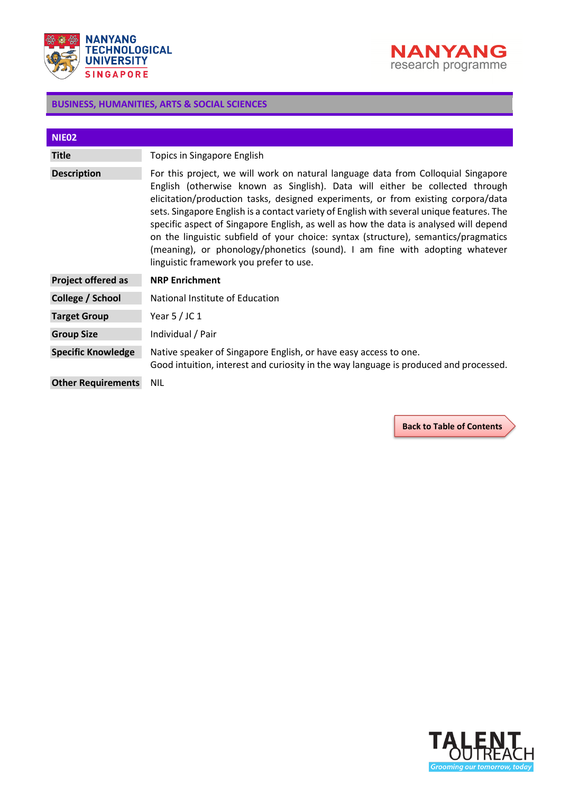



<span id="page-36-0"></span>

| NIE <sub>02</sub>         |                                                                                                                                                                                                                                                                                                                                                                                                                                                                                                                                                                                                                                                               |
|---------------------------|---------------------------------------------------------------------------------------------------------------------------------------------------------------------------------------------------------------------------------------------------------------------------------------------------------------------------------------------------------------------------------------------------------------------------------------------------------------------------------------------------------------------------------------------------------------------------------------------------------------------------------------------------------------|
| <b>Title</b>              | Topics in Singapore English                                                                                                                                                                                                                                                                                                                                                                                                                                                                                                                                                                                                                                   |
| <b>Description</b>        | For this project, we will work on natural language data from Colloquial Singapore<br>English (otherwise known as Singlish). Data will either be collected through<br>elicitation/production tasks, designed experiments, or from existing corpora/data<br>sets. Singapore English is a contact variety of English with several unique features. The<br>specific aspect of Singapore English, as well as how the data is analysed will depend<br>on the linguistic subfield of your choice: syntax (structure), semantics/pragmatics<br>(meaning), or phonology/phonetics (sound). I am fine with adopting whatever<br>linguistic framework you prefer to use. |
| <b>Project offered as</b> | <b>NRP Enrichment</b>                                                                                                                                                                                                                                                                                                                                                                                                                                                                                                                                                                                                                                         |
| College / School          | National Institute of Education                                                                                                                                                                                                                                                                                                                                                                                                                                                                                                                                                                                                                               |
| <b>Target Group</b>       | Year $5$ / JC 1                                                                                                                                                                                                                                                                                                                                                                                                                                                                                                                                                                                                                                               |
| <b>Group Size</b>         | Individual / Pair                                                                                                                                                                                                                                                                                                                                                                                                                                                                                                                                                                                                                                             |
| <b>Specific Knowledge</b> | Native speaker of Singapore English, or have easy access to one.<br>Good intuition, interest and curiosity in the way language is produced and processed.                                                                                                                                                                                                                                                                                                                                                                                                                                                                                                     |
| <b>Other Requirements</b> | <b>NIL</b>                                                                                                                                                                                                                                                                                                                                                                                                                                                                                                                                                                                                                                                    |

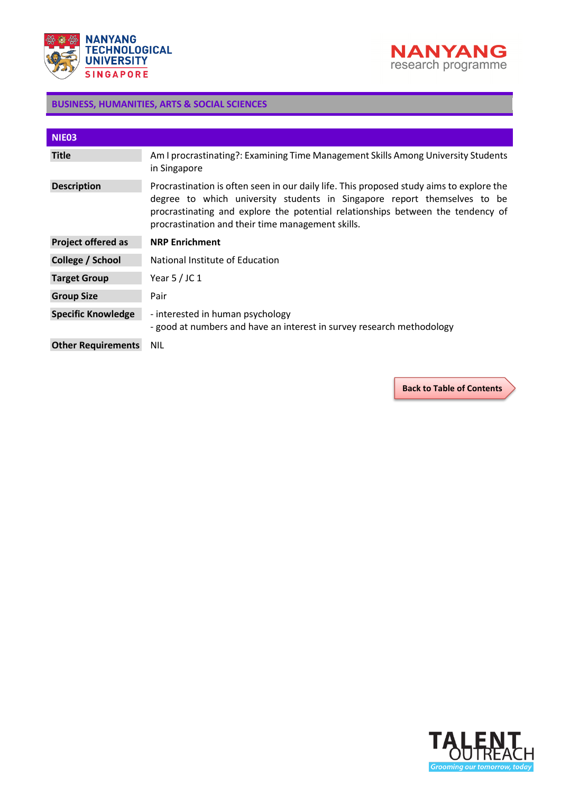



<span id="page-37-0"></span>

| NIE03                     |                                                                                                                                                                                                                                                                                                              |
|---------------------------|--------------------------------------------------------------------------------------------------------------------------------------------------------------------------------------------------------------------------------------------------------------------------------------------------------------|
| <b>Title</b>              | Am I procrastinating?: Examining Time Management Skills Among University Students<br>in Singapore                                                                                                                                                                                                            |
| <b>Description</b>        | Procrastination is often seen in our daily life. This proposed study aims to explore the<br>degree to which university students in Singapore report themselves to be<br>procrastinating and explore the potential relationships between the tendency of<br>procrastination and their time management skills. |
| <b>Project offered as</b> | <b>NRP Enrichment</b>                                                                                                                                                                                                                                                                                        |
| College / School          | National Institute of Education                                                                                                                                                                                                                                                                              |
| <b>Target Group</b>       | Year $5/$ JC 1                                                                                                                                                                                                                                                                                               |
| <b>Group Size</b>         | Pair                                                                                                                                                                                                                                                                                                         |
| <b>Specific Knowledge</b> | - interested in human psychology<br>- good at numbers and have an interest in survey research methodology                                                                                                                                                                                                    |
| <b>Other Requirements</b> | <b>NIL</b>                                                                                                                                                                                                                                                                                                   |

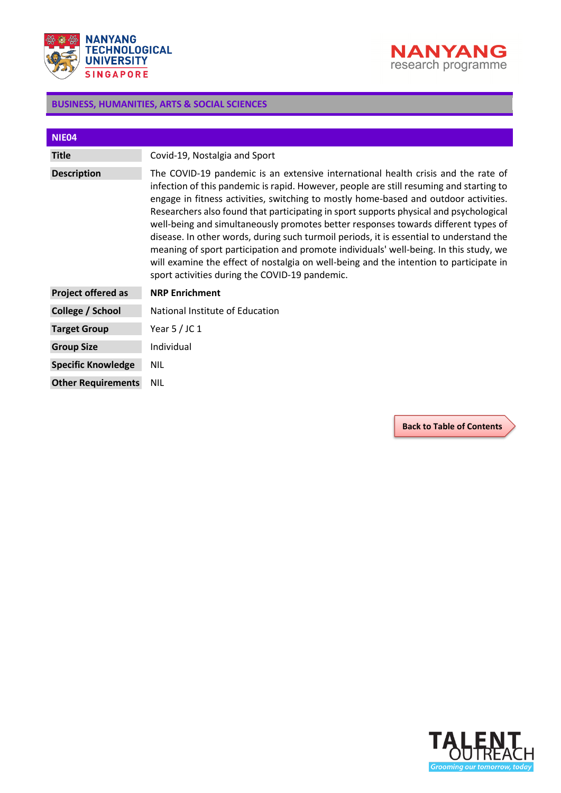



<span id="page-38-0"></span>

| NIE04                     |                                                                                                                                                                                                                                                                                                                                                                                                                                                                                                                                                                                                                                                                                                                                                                                      |
|---------------------------|--------------------------------------------------------------------------------------------------------------------------------------------------------------------------------------------------------------------------------------------------------------------------------------------------------------------------------------------------------------------------------------------------------------------------------------------------------------------------------------------------------------------------------------------------------------------------------------------------------------------------------------------------------------------------------------------------------------------------------------------------------------------------------------|
| <b>Title</b>              | Covid-19, Nostalgia and Sport                                                                                                                                                                                                                                                                                                                                                                                                                                                                                                                                                                                                                                                                                                                                                        |
| <b>Description</b>        | The COVID-19 pandemic is an extensive international health crisis and the rate of<br>infection of this pandemic is rapid. However, people are still resuming and starting to<br>engage in fitness activities, switching to mostly home-based and outdoor activities.<br>Researchers also found that participating in sport supports physical and psychological<br>well-being and simultaneously promotes better responses towards different types of<br>disease. In other words, during such turmoil periods, it is essential to understand the<br>meaning of sport participation and promote individuals' well-being. In this study, we<br>will examine the effect of nostalgia on well-being and the intention to participate in<br>sport activities during the COVID-19 pandemic. |
| <b>Project offered as</b> | <b>NRP Enrichment</b>                                                                                                                                                                                                                                                                                                                                                                                                                                                                                                                                                                                                                                                                                                                                                                |
| College / School          | National Institute of Education                                                                                                                                                                                                                                                                                                                                                                                                                                                                                                                                                                                                                                                                                                                                                      |
| <b>Target Group</b>       | Year $5/$ JC 1                                                                                                                                                                                                                                                                                                                                                                                                                                                                                                                                                                                                                                                                                                                                                                       |
| <b>Group Size</b>         | Individual                                                                                                                                                                                                                                                                                                                                                                                                                                                                                                                                                                                                                                                                                                                                                                           |
| <b>Specific Knowledge</b> | <b>NIL</b>                                                                                                                                                                                                                                                                                                                                                                                                                                                                                                                                                                                                                                                                                                                                                                           |
| <b>Other Requirements</b> | <b>NIL</b>                                                                                                                                                                                                                                                                                                                                                                                                                                                                                                                                                                                                                                                                                                                                                                           |

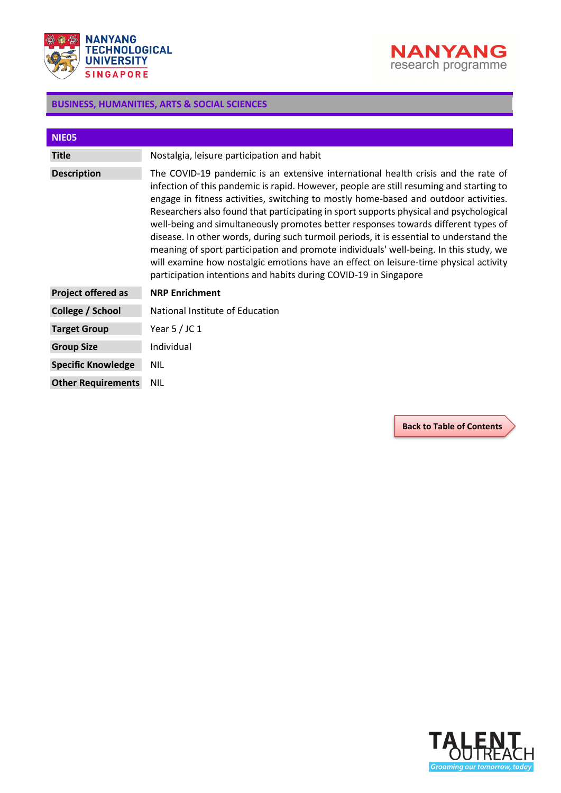



<span id="page-39-0"></span>

| NIE05                     |                                                                                                                                                                                                                                                                                                                                                                                                                                                                                                                                                                                                                                                                                                                                                                                                      |
|---------------------------|------------------------------------------------------------------------------------------------------------------------------------------------------------------------------------------------------------------------------------------------------------------------------------------------------------------------------------------------------------------------------------------------------------------------------------------------------------------------------------------------------------------------------------------------------------------------------------------------------------------------------------------------------------------------------------------------------------------------------------------------------------------------------------------------------|
| <b>Title</b>              | Nostalgia, leisure participation and habit                                                                                                                                                                                                                                                                                                                                                                                                                                                                                                                                                                                                                                                                                                                                                           |
| <b>Description</b>        | The COVID-19 pandemic is an extensive international health crisis and the rate of<br>infection of this pandemic is rapid. However, people are still resuming and starting to<br>engage in fitness activities, switching to mostly home-based and outdoor activities.<br>Researchers also found that participating in sport supports physical and psychological<br>well-being and simultaneously promotes better responses towards different types of<br>disease. In other words, during such turmoil periods, it is essential to understand the<br>meaning of sport participation and promote individuals' well-being. In this study, we<br>will examine how nostalgic emotions have an effect on leisure-time physical activity<br>participation intentions and habits during COVID-19 in Singapore |
| Project offered as        | <b>NRP Enrichment</b>                                                                                                                                                                                                                                                                                                                                                                                                                                                                                                                                                                                                                                                                                                                                                                                |
| College / School          | National Institute of Education                                                                                                                                                                                                                                                                                                                                                                                                                                                                                                                                                                                                                                                                                                                                                                      |
| <b>Target Group</b>       | Year $5/$ JC 1                                                                                                                                                                                                                                                                                                                                                                                                                                                                                                                                                                                                                                                                                                                                                                                       |
| <b>Group Size</b>         | Individual                                                                                                                                                                                                                                                                                                                                                                                                                                                                                                                                                                                                                                                                                                                                                                                           |
| <b>Specific Knowledge</b> | <b>NIL</b>                                                                                                                                                                                                                                                                                                                                                                                                                                                                                                                                                                                                                                                                                                                                                                                           |
| <b>Other Requirements</b> | <b>NIL</b>                                                                                                                                                                                                                                                                                                                                                                                                                                                                                                                                                                                                                                                                                                                                                                                           |

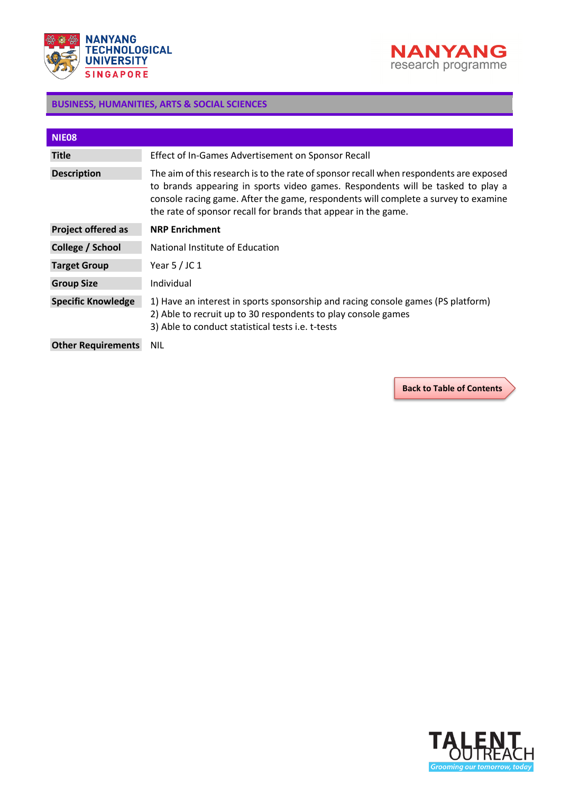



<span id="page-40-0"></span>

| NIE08                     |                                                                                                                                                                                                                                                                                                                                   |
|---------------------------|-----------------------------------------------------------------------------------------------------------------------------------------------------------------------------------------------------------------------------------------------------------------------------------------------------------------------------------|
| <b>Title</b>              | Effect of In-Games Advertisement on Sponsor Recall                                                                                                                                                                                                                                                                                |
| <b>Description</b>        | The aim of this research is to the rate of sponsor recall when respondents are exposed<br>to brands appearing in sports video games. Respondents will be tasked to play a<br>console racing game. After the game, respondents will complete a survey to examine<br>the rate of sponsor recall for brands that appear in the game. |
| <b>Project offered as</b> | <b>NRP Enrichment</b>                                                                                                                                                                                                                                                                                                             |
| College / School          | National Institute of Education                                                                                                                                                                                                                                                                                                   |
| <b>Target Group</b>       | Year $5$ / JC 1                                                                                                                                                                                                                                                                                                                   |
| <b>Group Size</b>         | Individual                                                                                                                                                                                                                                                                                                                        |
| <b>Specific Knowledge</b> | 1) Have an interest in sports sponsorship and racing console games (PS platform)<br>2) Able to recruit up to 30 respondents to play console games<br>3) Able to conduct statistical tests i.e. t-tests                                                                                                                            |
| <b>Other Requirements</b> | NIL                                                                                                                                                                                                                                                                                                                               |

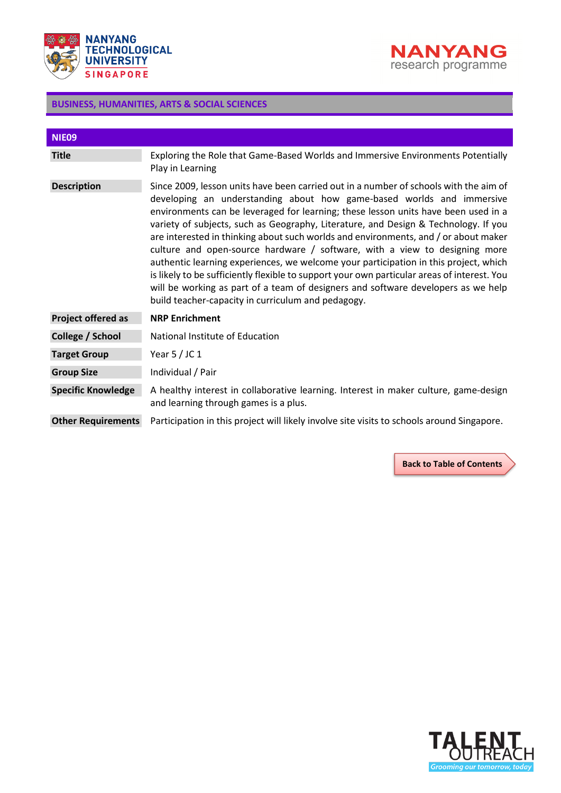



<span id="page-41-0"></span>

| NIE <sub>09</sub>         |                                                                                                                                                                                                                                                                                                                                                                                                                                                                                                                                                                                                                                                                                                                                                                                                                                                    |
|---------------------------|----------------------------------------------------------------------------------------------------------------------------------------------------------------------------------------------------------------------------------------------------------------------------------------------------------------------------------------------------------------------------------------------------------------------------------------------------------------------------------------------------------------------------------------------------------------------------------------------------------------------------------------------------------------------------------------------------------------------------------------------------------------------------------------------------------------------------------------------------|
| <b>Title</b>              | Exploring the Role that Game-Based Worlds and Immersive Environments Potentially<br>Play in Learning                                                                                                                                                                                                                                                                                                                                                                                                                                                                                                                                                                                                                                                                                                                                               |
| <b>Description</b>        | Since 2009, lesson units have been carried out in a number of schools with the aim of<br>developing an understanding about how game-based worlds and immersive<br>environments can be leveraged for learning; these lesson units have been used in a<br>variety of subjects, such as Geography, Literature, and Design & Technology. If you<br>are interested in thinking about such worlds and environments, and / or about maker<br>culture and open-source hardware / software, with a view to designing more<br>authentic learning experiences, we welcome your participation in this project, which<br>is likely to be sufficiently flexible to support your own particular areas of interest. You<br>will be working as part of a team of designers and software developers as we help<br>build teacher-capacity in curriculum and pedagogy. |
| <b>Project offered as</b> | <b>NRP Enrichment</b>                                                                                                                                                                                                                                                                                                                                                                                                                                                                                                                                                                                                                                                                                                                                                                                                                              |
| College / School          | National Institute of Education                                                                                                                                                                                                                                                                                                                                                                                                                                                                                                                                                                                                                                                                                                                                                                                                                    |
| <b>Target Group</b>       | Year $5/$ JC 1                                                                                                                                                                                                                                                                                                                                                                                                                                                                                                                                                                                                                                                                                                                                                                                                                                     |
| <b>Group Size</b>         | Individual / Pair                                                                                                                                                                                                                                                                                                                                                                                                                                                                                                                                                                                                                                                                                                                                                                                                                                  |
| <b>Specific Knowledge</b> | A healthy interest in collaborative learning. Interest in maker culture, game-design<br>and learning through games is a plus.                                                                                                                                                                                                                                                                                                                                                                                                                                                                                                                                                                                                                                                                                                                      |
| <b>Other Requirements</b> | Participation in this project will likely involve site visits to schools around Singapore.                                                                                                                                                                                                                                                                                                                                                                                                                                                                                                                                                                                                                                                                                                                                                         |

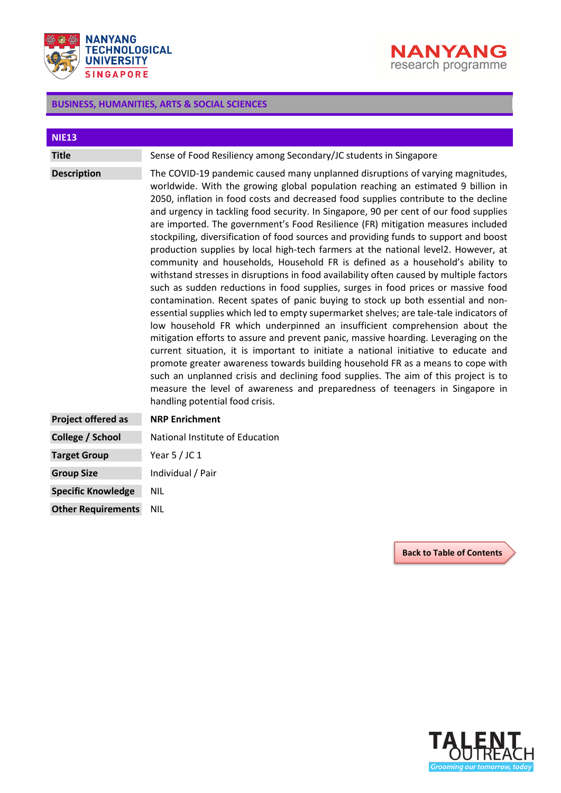



<span id="page-42-0"></span>

| <b>NIE13</b>              |                                                                                                                                                                                                                                                                                                                                                                                                                                                                                                                                                                                                                                                                                                                                                                                                                                                                                                                                                                                                                                                                                                                                                                                                                                                                                                                                                                                                                                                                                                                                                                                                                               |
|---------------------------|-------------------------------------------------------------------------------------------------------------------------------------------------------------------------------------------------------------------------------------------------------------------------------------------------------------------------------------------------------------------------------------------------------------------------------------------------------------------------------------------------------------------------------------------------------------------------------------------------------------------------------------------------------------------------------------------------------------------------------------------------------------------------------------------------------------------------------------------------------------------------------------------------------------------------------------------------------------------------------------------------------------------------------------------------------------------------------------------------------------------------------------------------------------------------------------------------------------------------------------------------------------------------------------------------------------------------------------------------------------------------------------------------------------------------------------------------------------------------------------------------------------------------------------------------------------------------------------------------------------------------------|
| <b>Title</b>              | Sense of Food Resiliency among Secondary/JC students in Singapore                                                                                                                                                                                                                                                                                                                                                                                                                                                                                                                                                                                                                                                                                                                                                                                                                                                                                                                                                                                                                                                                                                                                                                                                                                                                                                                                                                                                                                                                                                                                                             |
| <b>Description</b>        | The COVID-19 pandemic caused many unplanned disruptions of varying magnitudes,<br>worldwide. With the growing global population reaching an estimated 9 billion in<br>2050, inflation in food costs and decreased food supplies contribute to the decline<br>and urgency in tackling food security. In Singapore, 90 per cent of our food supplies<br>are imported. The government's Food Resilience (FR) mitigation measures included<br>stockpiling, diversification of food sources and providing funds to support and boost<br>production supplies by local high-tech farmers at the national level2. However, at<br>community and households, Household FR is defined as a household's ability to<br>withstand stresses in disruptions in food availability often caused by multiple factors<br>such as sudden reductions in food supplies, surges in food prices or massive food<br>contamination. Recent spates of panic buying to stock up both essential and non-<br>essential supplies which led to empty supermarket shelves; are tale-tale indicators of<br>low household FR which underpinned an insufficient comprehension about the<br>mitigation efforts to assure and prevent panic, massive hoarding. Leveraging on the<br>current situation, it is important to initiate a national initiative to educate and<br>promote greater awareness towards building household FR as a means to cope with<br>such an unplanned crisis and declining food supplies. The aim of this project is to<br>measure the level of awareness and preparedness of teenagers in Singapore in<br>handling potential food crisis. |
| <b>Project offered as</b> | <b>NRP Enrichment</b>                                                                                                                                                                                                                                                                                                                                                                                                                                                                                                                                                                                                                                                                                                                                                                                                                                                                                                                                                                                                                                                                                                                                                                                                                                                                                                                                                                                                                                                                                                                                                                                                         |
| College / School          | National Institute of Education                                                                                                                                                                                                                                                                                                                                                                                                                                                                                                                                                                                                                                                                                                                                                                                                                                                                                                                                                                                                                                                                                                                                                                                                                                                                                                                                                                                                                                                                                                                                                                                               |
| <b>Target Group</b>       | Year $5/$ JC 1                                                                                                                                                                                                                                                                                                                                                                                                                                                                                                                                                                                                                                                                                                                                                                                                                                                                                                                                                                                                                                                                                                                                                                                                                                                                                                                                                                                                                                                                                                                                                                                                                |
| <b>Group Size</b>         | Individual / Pair                                                                                                                                                                                                                                                                                                                                                                                                                                                                                                                                                                                                                                                                                                                                                                                                                                                                                                                                                                                                                                                                                                                                                                                                                                                                                                                                                                                                                                                                                                                                                                                                             |
| <b>Specific Knowledge</b> | <b>NIL</b>                                                                                                                                                                                                                                                                                                                                                                                                                                                                                                                                                                                                                                                                                                                                                                                                                                                                                                                                                                                                                                                                                                                                                                                                                                                                                                                                                                                                                                                                                                                                                                                                                    |
| <b>Other Requirements</b> | <b>NIL</b>                                                                                                                                                                                                                                                                                                                                                                                                                                                                                                                                                                                                                                                                                                                                                                                                                                                                                                                                                                                                                                                                                                                                                                                                                                                                                                                                                                                                                                                                                                                                                                                                                    |

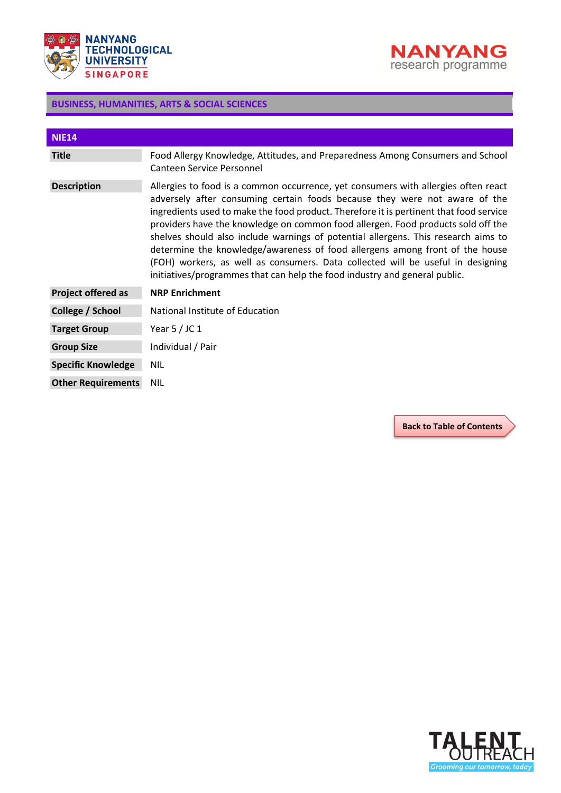



<span id="page-43-0"></span>

| <b>NIE14</b>              |                                                                                                                                                                                                                                                                                                                                                                                                                                                                                                                                                                                                                                                                                       |
|---------------------------|---------------------------------------------------------------------------------------------------------------------------------------------------------------------------------------------------------------------------------------------------------------------------------------------------------------------------------------------------------------------------------------------------------------------------------------------------------------------------------------------------------------------------------------------------------------------------------------------------------------------------------------------------------------------------------------|
| <b>Title</b>              | Food Allergy Knowledge, Attitudes, and Preparedness Among Consumers and School<br>Canteen Service Personnel                                                                                                                                                                                                                                                                                                                                                                                                                                                                                                                                                                           |
| <b>Description</b>        | Allergies to food is a common occurrence, yet consumers with allergies often react<br>adversely after consuming certain foods because they were not aware of the<br>ingredients used to make the food product. Therefore it is pertinent that food service<br>providers have the knowledge on common food allergen. Food products sold off the<br>shelves should also include warnings of potential allergens. This research aims to<br>determine the knowledge/awareness of food allergens among front of the house<br>(FOH) workers, as well as consumers. Data collected will be useful in designing<br>initiatives/programmes that can help the food industry and general public. |
| Project offered as        | <b>NRP Enrichment</b>                                                                                                                                                                                                                                                                                                                                                                                                                                                                                                                                                                                                                                                                 |
| College / School          | National Institute of Education                                                                                                                                                                                                                                                                                                                                                                                                                                                                                                                                                                                                                                                       |
| <b>Target Group</b>       | Year $5/$ JC 1                                                                                                                                                                                                                                                                                                                                                                                                                                                                                                                                                                                                                                                                        |
| <b>Group Size</b>         | Individual / Pair                                                                                                                                                                                                                                                                                                                                                                                                                                                                                                                                                                                                                                                                     |
| <b>Specific Knowledge</b> | NIL.                                                                                                                                                                                                                                                                                                                                                                                                                                                                                                                                                                                                                                                                                  |
| <b>Other Requirements</b> | <b>NIL</b>                                                                                                                                                                                                                                                                                                                                                                                                                                                                                                                                                                                                                                                                            |

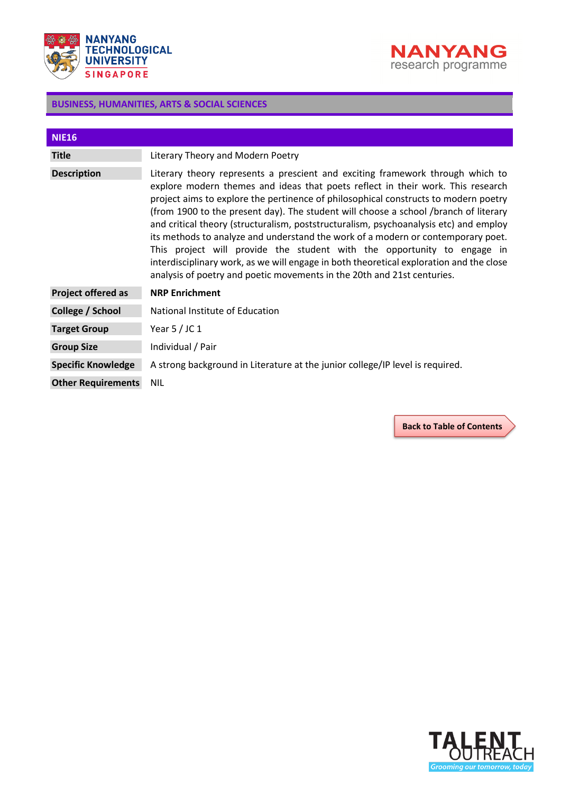



<span id="page-44-0"></span>

| <b>NIE16</b>              |                                                                                                                                                                                                                                                                                                                                                                                                                                                                                                                                                                                                                                                                                                                                                                                |
|---------------------------|--------------------------------------------------------------------------------------------------------------------------------------------------------------------------------------------------------------------------------------------------------------------------------------------------------------------------------------------------------------------------------------------------------------------------------------------------------------------------------------------------------------------------------------------------------------------------------------------------------------------------------------------------------------------------------------------------------------------------------------------------------------------------------|
| <b>Title</b>              | Literary Theory and Modern Poetry                                                                                                                                                                                                                                                                                                                                                                                                                                                                                                                                                                                                                                                                                                                                              |
| <b>Description</b>        | Literary theory represents a prescient and exciting framework through which to<br>explore modern themes and ideas that poets reflect in their work. This research<br>project aims to explore the pertinence of philosophical constructs to modern poetry<br>(from 1900 to the present day). The student will choose a school /branch of literary<br>and critical theory (structuralism, poststructuralism, psychoanalysis etc) and employ<br>its methods to analyze and understand the work of a modern or contemporary poet.<br>This project will provide the student with the opportunity to engage in<br>interdisciplinary work, as we will engage in both theoretical exploration and the close<br>analysis of poetry and poetic movements in the 20th and 21st centuries. |
| Project offered as        | <b>NRP Enrichment</b>                                                                                                                                                                                                                                                                                                                                                                                                                                                                                                                                                                                                                                                                                                                                                          |
| College / School          | National Institute of Education                                                                                                                                                                                                                                                                                                                                                                                                                                                                                                                                                                                                                                                                                                                                                |
| <b>Target Group</b>       | Year $5/$ JC 1                                                                                                                                                                                                                                                                                                                                                                                                                                                                                                                                                                                                                                                                                                                                                                 |
| <b>Group Size</b>         | Individual / Pair                                                                                                                                                                                                                                                                                                                                                                                                                                                                                                                                                                                                                                                                                                                                                              |
| <b>Specific Knowledge</b> | A strong background in Literature at the junior college/IP level is required.                                                                                                                                                                                                                                                                                                                                                                                                                                                                                                                                                                                                                                                                                                  |
| <b>Other Requirements</b> | <b>NIL</b>                                                                                                                                                                                                                                                                                                                                                                                                                                                                                                                                                                                                                                                                                                                                                                     |

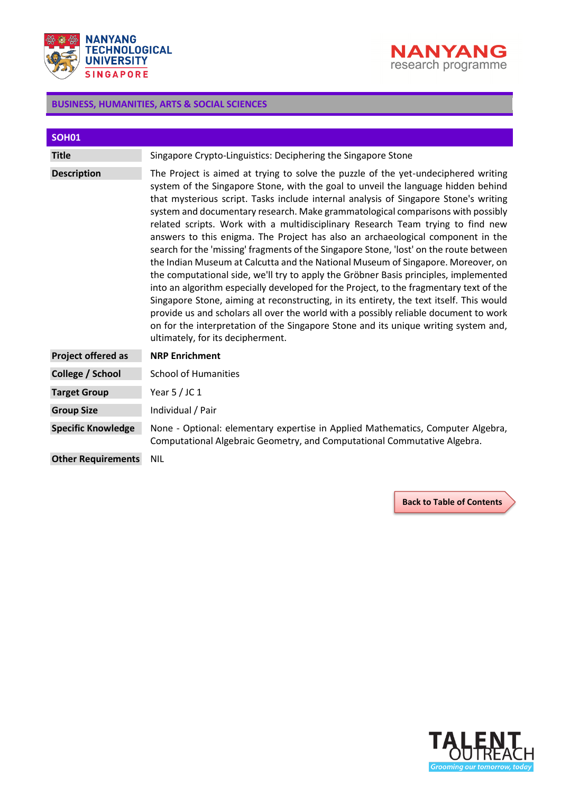



<span id="page-45-0"></span>

| <b>SOH01</b>              |                                                                                                                                                                                                                                                                                                                                                                                                                                                                                                                                                                                                                                                                                                                                                                                                                                                                                                                                                                                                                                                                                                                                                                                                         |
|---------------------------|---------------------------------------------------------------------------------------------------------------------------------------------------------------------------------------------------------------------------------------------------------------------------------------------------------------------------------------------------------------------------------------------------------------------------------------------------------------------------------------------------------------------------------------------------------------------------------------------------------------------------------------------------------------------------------------------------------------------------------------------------------------------------------------------------------------------------------------------------------------------------------------------------------------------------------------------------------------------------------------------------------------------------------------------------------------------------------------------------------------------------------------------------------------------------------------------------------|
| <b>Title</b>              | Singapore Crypto-Linguistics: Deciphering the Singapore Stone                                                                                                                                                                                                                                                                                                                                                                                                                                                                                                                                                                                                                                                                                                                                                                                                                                                                                                                                                                                                                                                                                                                                           |
| <b>Description</b>        | The Project is aimed at trying to solve the puzzle of the yet-undeciphered writing<br>system of the Singapore Stone, with the goal to unveil the language hidden behind<br>that mysterious script. Tasks include internal analysis of Singapore Stone's writing<br>system and documentary research. Make grammatological comparisons with possibly<br>related scripts. Work with a multidisciplinary Research Team trying to find new<br>answers to this enigma. The Project has also an archaeological component in the<br>search for the 'missing' fragments of the Singapore Stone, 'lost' on the route between<br>the Indian Museum at Calcutta and the National Museum of Singapore. Moreover, on<br>the computational side, we'll try to apply the Gröbner Basis principles, implemented<br>into an algorithm especially developed for the Project, to the fragmentary text of the<br>Singapore Stone, aiming at reconstructing, in its entirety, the text itself. This would<br>provide us and scholars all over the world with a possibly reliable document to work<br>on for the interpretation of the Singapore Stone and its unique writing system and,<br>ultimately, for its decipherment. |
| <b>Project offered as</b> | <b>NRP Enrichment</b>                                                                                                                                                                                                                                                                                                                                                                                                                                                                                                                                                                                                                                                                                                                                                                                                                                                                                                                                                                                                                                                                                                                                                                                   |
| College / School          | <b>School of Humanities</b>                                                                                                                                                                                                                                                                                                                                                                                                                                                                                                                                                                                                                                                                                                                                                                                                                                                                                                                                                                                                                                                                                                                                                                             |
| <b>Target Group</b>       | Year $5/$ JC 1                                                                                                                                                                                                                                                                                                                                                                                                                                                                                                                                                                                                                                                                                                                                                                                                                                                                                                                                                                                                                                                                                                                                                                                          |
| <b>Group Size</b>         | Individual / Pair                                                                                                                                                                                                                                                                                                                                                                                                                                                                                                                                                                                                                                                                                                                                                                                                                                                                                                                                                                                                                                                                                                                                                                                       |
| <b>Specific Knowledge</b> | None - Optional: elementary expertise in Applied Mathematics, Computer Algebra,<br>Computational Algebraic Geometry, and Computational Commutative Algebra.                                                                                                                                                                                                                                                                                                                                                                                                                                                                                                                                                                                                                                                                                                                                                                                                                                                                                                                                                                                                                                             |
| <b>Other Requirements</b> | <b>NIL</b>                                                                                                                                                                                                                                                                                                                                                                                                                                                                                                                                                                                                                                                                                                                                                                                                                                                                                                                                                                                                                                                                                                                                                                                              |

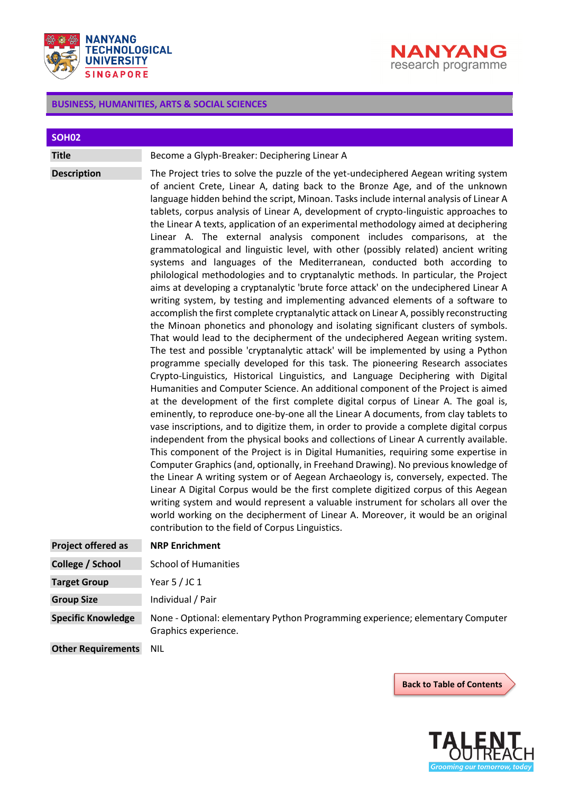



<span id="page-46-0"></span>

| <b>SOH02</b>              |                                                                                                                                                                                                                                                                                                                                                                                                                                                                                                                                                                                                                                                                                                                                                                                                                                                                                                                                                                                                                                                                                                                                                                                                                                                                                                                                                                                                                                                                                                                                                                                                                                                                                                                                                                                                                                                                                                                                                                                                                                                                                                                                                                                                                                                                                                                                                                                                                                                                                                                                      |
|---------------------------|--------------------------------------------------------------------------------------------------------------------------------------------------------------------------------------------------------------------------------------------------------------------------------------------------------------------------------------------------------------------------------------------------------------------------------------------------------------------------------------------------------------------------------------------------------------------------------------------------------------------------------------------------------------------------------------------------------------------------------------------------------------------------------------------------------------------------------------------------------------------------------------------------------------------------------------------------------------------------------------------------------------------------------------------------------------------------------------------------------------------------------------------------------------------------------------------------------------------------------------------------------------------------------------------------------------------------------------------------------------------------------------------------------------------------------------------------------------------------------------------------------------------------------------------------------------------------------------------------------------------------------------------------------------------------------------------------------------------------------------------------------------------------------------------------------------------------------------------------------------------------------------------------------------------------------------------------------------------------------------------------------------------------------------------------------------------------------------------------------------------------------------------------------------------------------------------------------------------------------------------------------------------------------------------------------------------------------------------------------------------------------------------------------------------------------------------------------------------------------------------------------------------------------------|
| <b>Title</b>              | Become a Glyph-Breaker: Deciphering Linear A                                                                                                                                                                                                                                                                                                                                                                                                                                                                                                                                                                                                                                                                                                                                                                                                                                                                                                                                                                                                                                                                                                                                                                                                                                                                                                                                                                                                                                                                                                                                                                                                                                                                                                                                                                                                                                                                                                                                                                                                                                                                                                                                                                                                                                                                                                                                                                                                                                                                                         |
| <b>Description</b>        | The Project tries to solve the puzzle of the yet-undeciphered Aegean writing system<br>of ancient Crete, Linear A, dating back to the Bronze Age, and of the unknown<br>language hidden behind the script, Minoan. Tasks include internal analysis of Linear A<br>tablets, corpus analysis of Linear A, development of crypto-linguistic approaches to<br>the Linear A texts, application of an experimental methodology aimed at deciphering<br>Linear A. The external analysis component includes comparisons, at the<br>grammatological and linguistic level, with other (possibly related) ancient writing<br>systems and languages of the Mediterranean, conducted both according to<br>philological methodologies and to cryptanalytic methods. In particular, the Project<br>aims at developing a cryptanalytic 'brute force attack' on the undeciphered Linear A<br>writing system, by testing and implementing advanced elements of a software to<br>accomplish the first complete cryptanalytic attack on Linear A, possibly reconstructing<br>the Minoan phonetics and phonology and isolating significant clusters of symbols.<br>That would lead to the decipherment of the undeciphered Aegean writing system.<br>The test and possible 'cryptanalytic attack' will be implemented by using a Python<br>programme specially developed for this task. The pioneering Research associates<br>Crypto-Linguistics, Historical Linguistics, and Language Deciphering with Digital<br>Humanities and Computer Science. An additional component of the Project is aimed<br>at the development of the first complete digital corpus of Linear A. The goal is,<br>eminently, to reproduce one-by-one all the Linear A documents, from clay tablets to<br>vase inscriptions, and to digitize them, in order to provide a complete digital corpus<br>independent from the physical books and collections of Linear A currently available.<br>This component of the Project is in Digital Humanities, requiring some expertise in<br>Computer Graphics (and, optionally, in Freehand Drawing). No previous knowledge of<br>the Linear A writing system or of Aegean Archaeology is, conversely, expected. The<br>Linear A Digital Corpus would be the first complete digitized corpus of this Aegean<br>writing system and would represent a valuable instrument for scholars all over the<br>world working on the decipherment of Linear A. Moreover, it would be an original<br>contribution to the field of Corpus Linguistics. |
| <b>Project offered as</b> | <b>NRP Enrichment</b>                                                                                                                                                                                                                                                                                                                                                                                                                                                                                                                                                                                                                                                                                                                                                                                                                                                                                                                                                                                                                                                                                                                                                                                                                                                                                                                                                                                                                                                                                                                                                                                                                                                                                                                                                                                                                                                                                                                                                                                                                                                                                                                                                                                                                                                                                                                                                                                                                                                                                                                |
| College / School          | <b>School of Humanities</b>                                                                                                                                                                                                                                                                                                                                                                                                                                                                                                                                                                                                                                                                                                                                                                                                                                                                                                                                                                                                                                                                                                                                                                                                                                                                                                                                                                                                                                                                                                                                                                                                                                                                                                                                                                                                                                                                                                                                                                                                                                                                                                                                                                                                                                                                                                                                                                                                                                                                                                          |
| <b>Target Group</b>       | Year $5/$ JC 1                                                                                                                                                                                                                                                                                                                                                                                                                                                                                                                                                                                                                                                                                                                                                                                                                                                                                                                                                                                                                                                                                                                                                                                                                                                                                                                                                                                                                                                                                                                                                                                                                                                                                                                                                                                                                                                                                                                                                                                                                                                                                                                                                                                                                                                                                                                                                                                                                                                                                                                       |
| <b>Group Size</b>         | Individual / Pair                                                                                                                                                                                                                                                                                                                                                                                                                                                                                                                                                                                                                                                                                                                                                                                                                                                                                                                                                                                                                                                                                                                                                                                                                                                                                                                                                                                                                                                                                                                                                                                                                                                                                                                                                                                                                                                                                                                                                                                                                                                                                                                                                                                                                                                                                                                                                                                                                                                                                                                    |
| <b>Specific Knowledge</b> | None - Optional: elementary Python Programming experience; elementary Computer<br>Graphics experience.                                                                                                                                                                                                                                                                                                                                                                                                                                                                                                                                                                                                                                                                                                                                                                                                                                                                                                                                                                                                                                                                                                                                                                                                                                                                                                                                                                                                                                                                                                                                                                                                                                                                                                                                                                                                                                                                                                                                                                                                                                                                                                                                                                                                                                                                                                                                                                                                                               |
| <b>Other Requirements</b> | <b>NIL</b>                                                                                                                                                                                                                                                                                                                                                                                                                                                                                                                                                                                                                                                                                                                                                                                                                                                                                                                                                                                                                                                                                                                                                                                                                                                                                                                                                                                                                                                                                                                                                                                                                                                                                                                                                                                                                                                                                                                                                                                                                                                                                                                                                                                                                                                                                                                                                                                                                                                                                                                           |

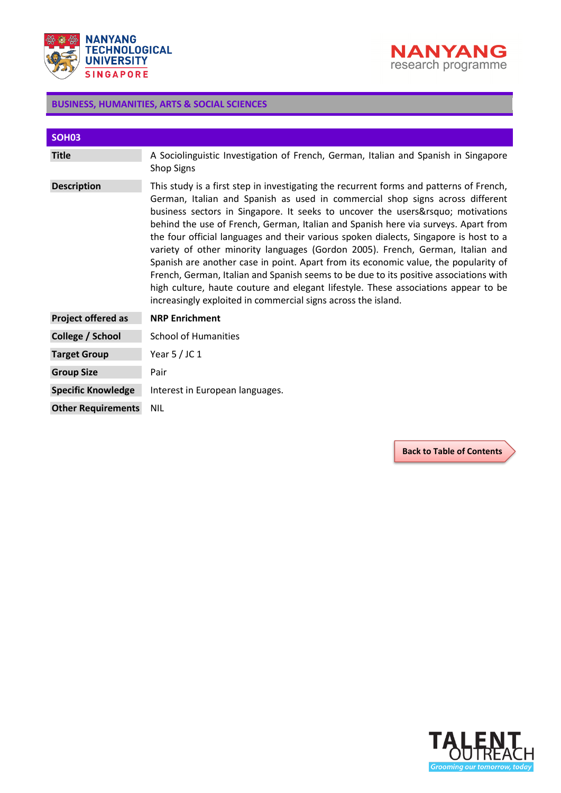



<span id="page-47-0"></span>

| <b>SOH03</b>              |                                                                                                                                                                                                                                                                                                                                                                                                                                                                                                                                                                                                                                                                                                                                                                                                                                                               |
|---------------------------|---------------------------------------------------------------------------------------------------------------------------------------------------------------------------------------------------------------------------------------------------------------------------------------------------------------------------------------------------------------------------------------------------------------------------------------------------------------------------------------------------------------------------------------------------------------------------------------------------------------------------------------------------------------------------------------------------------------------------------------------------------------------------------------------------------------------------------------------------------------|
| <b>Title</b>              | A Sociolinguistic Investigation of French, German, Italian and Spanish in Singapore<br><b>Shop Signs</b>                                                                                                                                                                                                                                                                                                                                                                                                                                                                                                                                                                                                                                                                                                                                                      |
| <b>Description</b>        | This study is a first step in investigating the recurrent forms and patterns of French,<br>German, Italian and Spanish as used in commercial shop signs across different<br>business sectors in Singapore. It seeks to uncover the users' motivations<br>behind the use of French, German, Italian and Spanish here via surveys. Apart from<br>the four official languages and their various spoken dialects, Singapore is host to a<br>variety of other minority languages (Gordon 2005). French, German, Italian and<br>Spanish are another case in point. Apart from its economic value, the popularity of<br>French, German, Italian and Spanish seems to be due to its positive associations with<br>high culture, haute couture and elegant lifestyle. These associations appear to be<br>increasingly exploited in commercial signs across the island. |
| Project offered as        | <b>NRP Enrichment</b>                                                                                                                                                                                                                                                                                                                                                                                                                                                                                                                                                                                                                                                                                                                                                                                                                                         |
| College / School          | <b>School of Humanities</b>                                                                                                                                                                                                                                                                                                                                                                                                                                                                                                                                                                                                                                                                                                                                                                                                                                   |
| <b>Target Group</b>       | Year $5/$ JC 1                                                                                                                                                                                                                                                                                                                                                                                                                                                                                                                                                                                                                                                                                                                                                                                                                                                |
| <b>Group Size</b>         | Pair                                                                                                                                                                                                                                                                                                                                                                                                                                                                                                                                                                                                                                                                                                                                                                                                                                                          |
| <b>Specific Knowledge</b> | Interest in European languages.                                                                                                                                                                                                                                                                                                                                                                                                                                                                                                                                                                                                                                                                                                                                                                                                                               |
| <b>Other Requirements</b> | <b>NIL</b>                                                                                                                                                                                                                                                                                                                                                                                                                                                                                                                                                                                                                                                                                                                                                                                                                                                    |

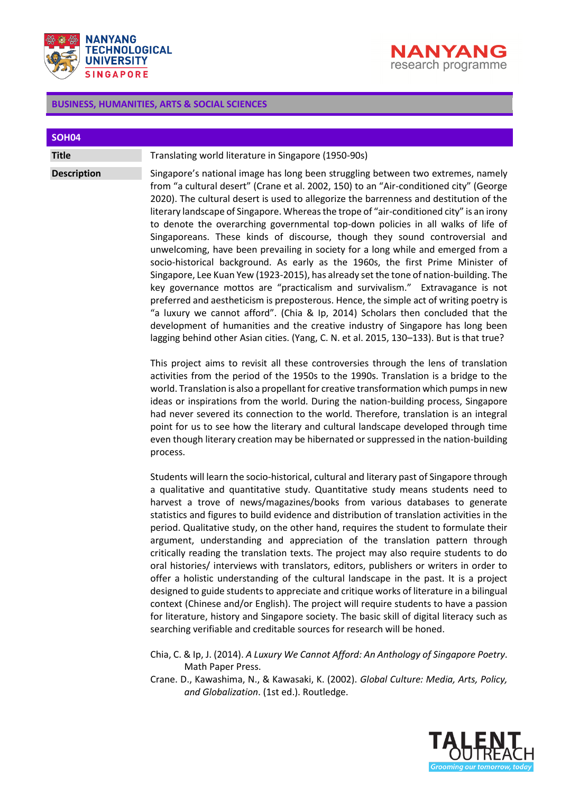



<span id="page-48-0"></span>

| SOH04              |                                                                                                                                                                                                                                                                                                                                                                                                                                                                                                                                                                                                                                                                                                                                                                                                                                                                                                                                                                                                                                                                                                                                                                                                                                                 |
|--------------------|-------------------------------------------------------------------------------------------------------------------------------------------------------------------------------------------------------------------------------------------------------------------------------------------------------------------------------------------------------------------------------------------------------------------------------------------------------------------------------------------------------------------------------------------------------------------------------------------------------------------------------------------------------------------------------------------------------------------------------------------------------------------------------------------------------------------------------------------------------------------------------------------------------------------------------------------------------------------------------------------------------------------------------------------------------------------------------------------------------------------------------------------------------------------------------------------------------------------------------------------------|
| <b>Title</b>       | Translating world literature in Singapore (1950-90s)                                                                                                                                                                                                                                                                                                                                                                                                                                                                                                                                                                                                                                                                                                                                                                                                                                                                                                                                                                                                                                                                                                                                                                                            |
| <b>Description</b> | Singapore's national image has long been struggling between two extremes, namely<br>from "a cultural desert" (Crane et al. 2002, 150) to an "Air-conditioned city" (George<br>2020). The cultural desert is used to allegorize the barrenness and destitution of the<br>literary landscape of Singapore. Whereas the trope of "air-conditioned city" is an irony<br>to denote the overarching governmental top-down policies in all walks of life of<br>Singaporeans. These kinds of discourse, though they sound controversial and<br>unwelcoming, have been prevailing in society for a long while and emerged from a<br>socio-historical background. As early as the 1960s, the first Prime Minister of<br>Singapore, Lee Kuan Yew (1923-2015), has already set the tone of nation-building. The<br>key governance mottos are "practicalism and survivalism." Extravagance is not<br>preferred and aestheticism is preposterous. Hence, the simple act of writing poetry is<br>"a luxury we cannot afford". (Chia & Ip, 2014) Scholars then concluded that the<br>development of humanities and the creative industry of Singapore has long been<br>lagging behind other Asian cities. (Yang, C. N. et al. 2015, 130–133). But is that true? |

This project aims to revisit all these controversies through the lens of translation activities from the period of the 1950s to the 1990s. Translation is a bridge to the world. Translation is also a propellant for creative transformation which pumps in new ideas or inspirations from the world. During the nation-building process, Singapore had never severed its connection to the world. Therefore, translation is an integral point for us to see how the literary and cultural landscape developed through time even though literary creation may be hibernated or suppressed in the nation-building process.

Students will learn the socio-historical, cultural and literary past of Singapore through a qualitative and quantitative study. Quantitative study means students need to harvest a trove of news/magazines/books from various databases to generate statistics and figures to build evidence and distribution of translation activities in the period. Qualitative study, on the other hand, requires the student to formulate their argument, understanding and appreciation of the translation pattern through critically reading the translation texts. The project may also require students to do oral histories/ interviews with translators, editors, publishers or writers in order to offer a holistic understanding of the cultural landscape in the past. It is a project designed to guide students to appreciate and critique works of literature in a bilingual context (Chinese and/or English). The project will require students to have a passion for literature, history and Singapore society. The basic skill of digital literacy such as searching verifiable and creditable sources for research will be honed.

Chia, C. & Ip, J. (2014). *A Luxury We Cannot Afford: An Anthology of Singapore Poetry*. Math Paper Press.

Crane. D., Kawashima, N., & Kawasaki, K. (2002). *Global Culture: Media, Arts, Policy, and Globalization*. (1st ed.). Routledge.

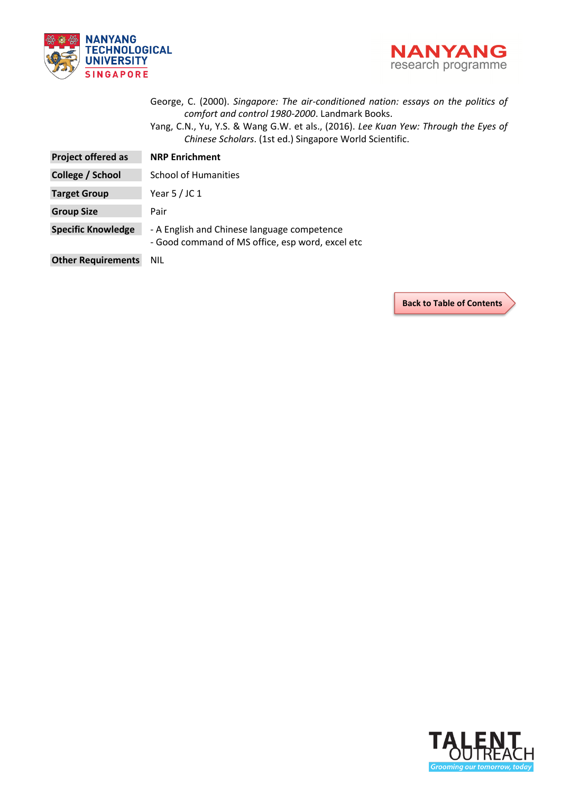



|                           | George, C. (2000). Singapore: The air-conditioned nation: essays on the politics of<br>comfort and control 1980-2000. Landmark Books.<br>Yang, C.N., Yu, Y.S. & Wang G.W. et als., (2016). Lee Kuan Yew: Through the Eyes of<br>Chinese Scholars. (1st ed.) Singapore World Scientific. |
|---------------------------|-----------------------------------------------------------------------------------------------------------------------------------------------------------------------------------------------------------------------------------------------------------------------------------------|
| <b>Project offered as</b> | <b>NRP Enrichment</b>                                                                                                                                                                                                                                                                   |
| College / School          | <b>School of Humanities</b>                                                                                                                                                                                                                                                             |
| <b>Target Group</b>       | Year $5$ / JC 1                                                                                                                                                                                                                                                                         |
| <b>Group Size</b>         | Pair                                                                                                                                                                                                                                                                                    |
| <b>Specific Knowledge</b> | - A English and Chinese language competence<br>- Good command of MS office, esp word, excel etc                                                                                                                                                                                         |
| <b>Other Requirements</b> | <b>NIL</b>                                                                                                                                                                                                                                                                              |

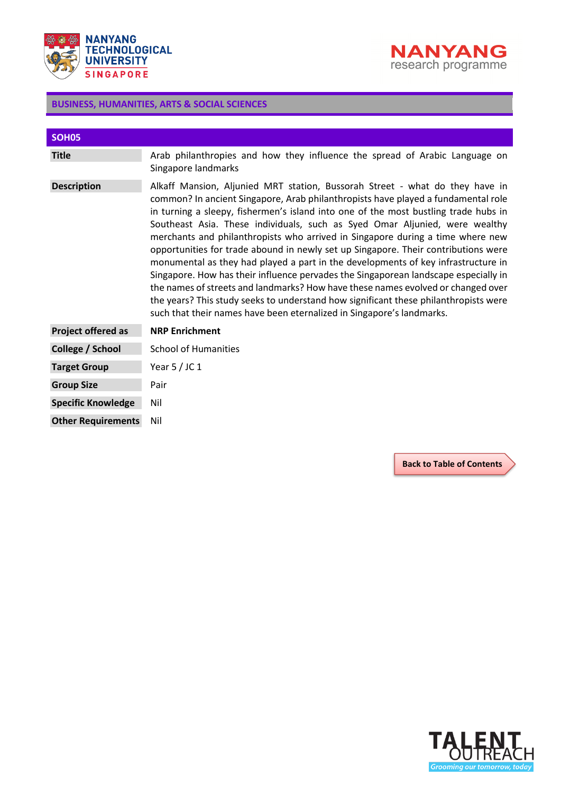



<span id="page-50-0"></span>

| SOH <sub>05</sub>         |                                                                                                                                                                                                                                                                                                                                                                                                                                                                                                                                                                                                                                                                                                                                                                                                                                                                                                                                                  |
|---------------------------|--------------------------------------------------------------------------------------------------------------------------------------------------------------------------------------------------------------------------------------------------------------------------------------------------------------------------------------------------------------------------------------------------------------------------------------------------------------------------------------------------------------------------------------------------------------------------------------------------------------------------------------------------------------------------------------------------------------------------------------------------------------------------------------------------------------------------------------------------------------------------------------------------------------------------------------------------|
| <b>Title</b>              | Arab philanthropies and how they influence the spread of Arabic Language on<br>Singapore landmarks                                                                                                                                                                                                                                                                                                                                                                                                                                                                                                                                                                                                                                                                                                                                                                                                                                               |
| <b>Description</b>        | Alkaff Mansion, Aljunied MRT station, Bussorah Street - what do they have in<br>common? In ancient Singapore, Arab philanthropists have played a fundamental role<br>in turning a sleepy, fishermen's island into one of the most bustling trade hubs in<br>Southeast Asia. These individuals, such as Syed Omar Aljunied, were wealthy<br>merchants and philanthropists who arrived in Singapore during a time where new<br>opportunities for trade abound in newly set up Singapore. Their contributions were<br>monumental as they had played a part in the developments of key infrastructure in<br>Singapore. How has their influence pervades the Singaporean landscape especially in<br>the names of streets and landmarks? How have these names evolved or changed over<br>the years? This study seeks to understand how significant these philanthropists were<br>such that their names have been eternalized in Singapore's landmarks. |
| <b>Project offered as</b> | <b>NRP Enrichment</b>                                                                                                                                                                                                                                                                                                                                                                                                                                                                                                                                                                                                                                                                                                                                                                                                                                                                                                                            |
| College / School          | <b>School of Humanities</b>                                                                                                                                                                                                                                                                                                                                                                                                                                                                                                                                                                                                                                                                                                                                                                                                                                                                                                                      |
| <b>Target Group</b>       | Year $5/$ JC 1                                                                                                                                                                                                                                                                                                                                                                                                                                                                                                                                                                                                                                                                                                                                                                                                                                                                                                                                   |
| <b>Group Size</b>         | Pair                                                                                                                                                                                                                                                                                                                                                                                                                                                                                                                                                                                                                                                                                                                                                                                                                                                                                                                                             |
| <b>Specific Knowledge</b> | Nil                                                                                                                                                                                                                                                                                                                                                                                                                                                                                                                                                                                                                                                                                                                                                                                                                                                                                                                                              |
| <b>Other Requirements</b> | Nil                                                                                                                                                                                                                                                                                                                                                                                                                                                                                                                                                                                                                                                                                                                                                                                                                                                                                                                                              |

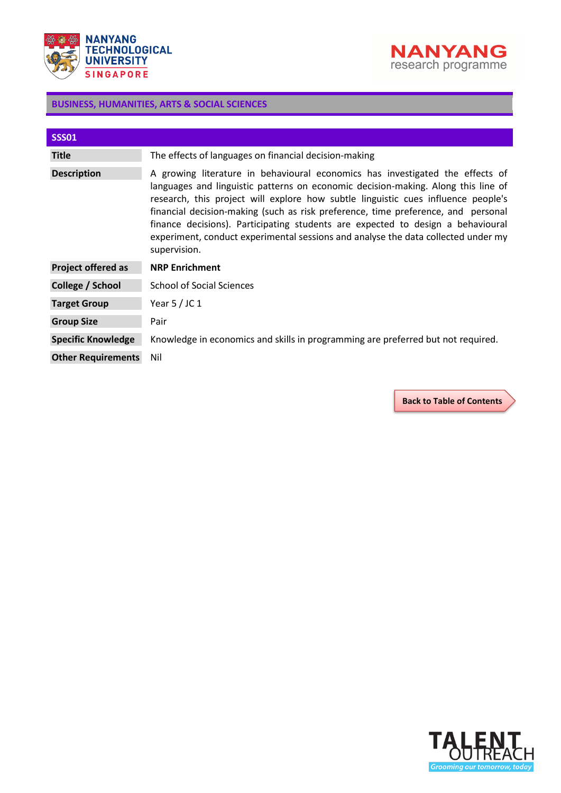



<span id="page-51-0"></span>

| <b>SSS01</b>              |                                                                                                                                                                                                                                                                                                                                                                                                                                                                                                                                      |
|---------------------------|--------------------------------------------------------------------------------------------------------------------------------------------------------------------------------------------------------------------------------------------------------------------------------------------------------------------------------------------------------------------------------------------------------------------------------------------------------------------------------------------------------------------------------------|
| <b>Title</b>              | The effects of languages on financial decision-making                                                                                                                                                                                                                                                                                                                                                                                                                                                                                |
| <b>Description</b>        | A growing literature in behavioural economics has investigated the effects of<br>languages and linguistic patterns on economic decision-making. Along this line of<br>research, this project will explore how subtle linguistic cues influence people's<br>financial decision-making (such as risk preference, time preference, and personal<br>finance decisions). Participating students are expected to design a behavioural<br>experiment, conduct experimental sessions and analyse the data collected under my<br>supervision. |
| <b>Project offered as</b> | <b>NRP Enrichment</b>                                                                                                                                                                                                                                                                                                                                                                                                                                                                                                                |
| College / School          | School of Social Sciences                                                                                                                                                                                                                                                                                                                                                                                                                                                                                                            |
| <b>Target Group</b>       | Year $5$ / JC 1                                                                                                                                                                                                                                                                                                                                                                                                                                                                                                                      |
| <b>Group Size</b>         | Pair                                                                                                                                                                                                                                                                                                                                                                                                                                                                                                                                 |
| <b>Specific Knowledge</b> | Knowledge in economics and skills in programming are preferred but not required.                                                                                                                                                                                                                                                                                                                                                                                                                                                     |
| <b>Other Requirements</b> | Nil                                                                                                                                                                                                                                                                                                                                                                                                                                                                                                                                  |

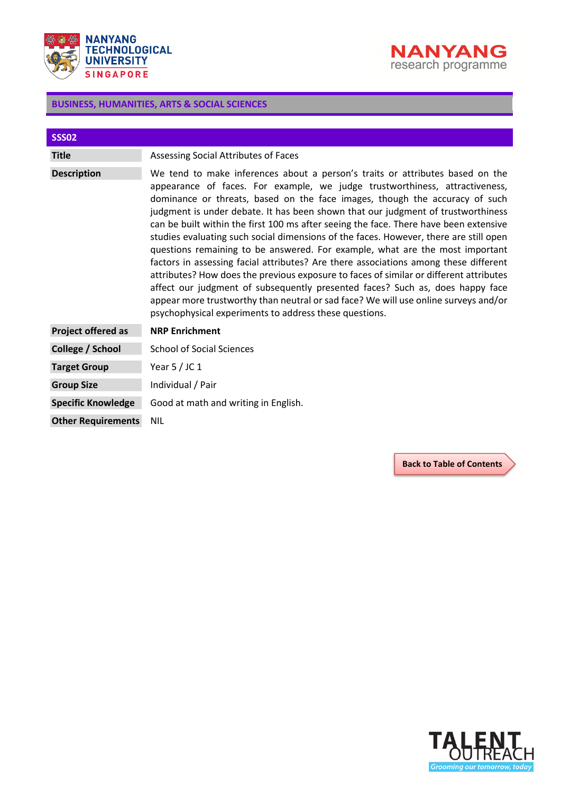



<span id="page-52-0"></span>

| <b>SSS02</b>              |                                                                                                                                                                                                                                                                                                                                                                                                                                                                                                                                                                                                                                                                                                                                                                                                                                                                                                                                                                                                                       |
|---------------------------|-----------------------------------------------------------------------------------------------------------------------------------------------------------------------------------------------------------------------------------------------------------------------------------------------------------------------------------------------------------------------------------------------------------------------------------------------------------------------------------------------------------------------------------------------------------------------------------------------------------------------------------------------------------------------------------------------------------------------------------------------------------------------------------------------------------------------------------------------------------------------------------------------------------------------------------------------------------------------------------------------------------------------|
| <b>Title</b>              | Assessing Social Attributes of Faces                                                                                                                                                                                                                                                                                                                                                                                                                                                                                                                                                                                                                                                                                                                                                                                                                                                                                                                                                                                  |
| <b>Description</b>        | We tend to make inferences about a person's traits or attributes based on the<br>appearance of faces. For example, we judge trustworthiness, attractiveness,<br>dominance or threats, based on the face images, though the accuracy of such<br>judgment is under debate. It has been shown that our judgment of trustworthiness<br>can be built within the first 100 ms after seeing the face. There have been extensive<br>studies evaluating such social dimensions of the faces. However, there are still open<br>questions remaining to be answered. For example, what are the most important<br>factors in assessing facial attributes? Are there associations among these different<br>attributes? How does the previous exposure to faces of similar or different attributes<br>affect our judgment of subsequently presented faces? Such as, does happy face<br>appear more trustworthy than neutral or sad face? We will use online surveys and/or<br>psychophysical experiments to address these questions. |
| <b>Project offered as</b> | <b>NRP Enrichment</b>                                                                                                                                                                                                                                                                                                                                                                                                                                                                                                                                                                                                                                                                                                                                                                                                                                                                                                                                                                                                 |
| College / School          | <b>School of Social Sciences</b>                                                                                                                                                                                                                                                                                                                                                                                                                                                                                                                                                                                                                                                                                                                                                                                                                                                                                                                                                                                      |
| <b>Target Group</b>       | Year $5/$ JC 1                                                                                                                                                                                                                                                                                                                                                                                                                                                                                                                                                                                                                                                                                                                                                                                                                                                                                                                                                                                                        |
| <b>Group Size</b>         | Individual / Pair                                                                                                                                                                                                                                                                                                                                                                                                                                                                                                                                                                                                                                                                                                                                                                                                                                                                                                                                                                                                     |
| <b>Specific Knowledge</b> | Good at math and writing in English.                                                                                                                                                                                                                                                                                                                                                                                                                                                                                                                                                                                                                                                                                                                                                                                                                                                                                                                                                                                  |
| <b>Other Requirements</b> | <b>NIL</b>                                                                                                                                                                                                                                                                                                                                                                                                                                                                                                                                                                                                                                                                                                                                                                                                                                                                                                                                                                                                            |

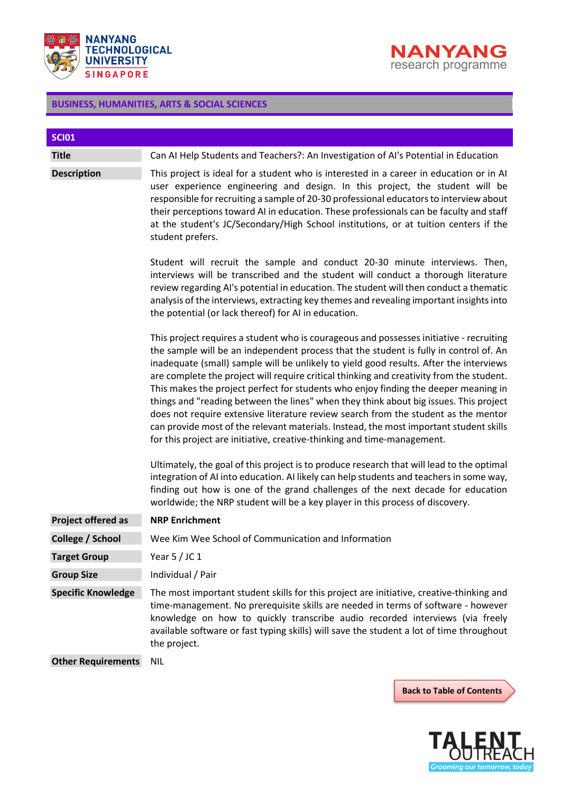



<span id="page-53-0"></span>

| <b>SCI01</b>              |                                                                                                                                                                                                                                                                                                                                                                                                                                                                                                                                                                                                                                                                                                                                                                                                                                                                                                                                                                                                                                                                                              |
|---------------------------|----------------------------------------------------------------------------------------------------------------------------------------------------------------------------------------------------------------------------------------------------------------------------------------------------------------------------------------------------------------------------------------------------------------------------------------------------------------------------------------------------------------------------------------------------------------------------------------------------------------------------------------------------------------------------------------------------------------------------------------------------------------------------------------------------------------------------------------------------------------------------------------------------------------------------------------------------------------------------------------------------------------------------------------------------------------------------------------------|
| <b>Title</b>              | Can AI Help Students and Teachers?: An Investigation of AI's Potential in Education                                                                                                                                                                                                                                                                                                                                                                                                                                                                                                                                                                                                                                                                                                                                                                                                                                                                                                                                                                                                          |
| <b>Description</b>        | This project is ideal for a student who is interested in a career in education or in AI<br>user experience engineering and design. In this project, the student will be<br>responsible for recruiting a sample of 20-30 professional educators to interview about<br>their perceptions toward AI in education. These professionals can be faculty and staff<br>at the student's JC/Secondary/High School institutions, or at tuition centers if the<br>student prefers.                                                                                                                                                                                                                                                                                                                                                                                                                                                                                                                                                                                                                      |
|                           | Student will recruit the sample and conduct 20-30 minute interviews. Then,<br>interviews will be transcribed and the student will conduct a thorough literature<br>review regarding AI's potential in education. The student will then conduct a thematic<br>analysis of the interviews, extracting key themes and revealing important insights into<br>the potential (or lack thereof) for AI in education.                                                                                                                                                                                                                                                                                                                                                                                                                                                                                                                                                                                                                                                                                 |
|                           | This project requires a student who is courageous and possesses initiative - recruiting<br>the sample will be an independent process that the student is fully in control of. An<br>inadequate (small) sample will be unlikely to yield good results. After the interviews<br>are complete the project will require critical thinking and creativity from the student.<br>This makes the project perfect for students who enjoy finding the deeper meaning in<br>things and "reading between the lines" when they think about big issues. This project<br>does not require extensive literature review search from the student as the mentor<br>can provide most of the relevant materials. Instead, the most important student skills<br>for this project are initiative, creative-thinking and time-management.<br>Ultimately, the goal of this project is to produce research that will lead to the optimal<br>integration of AI into education. AI likely can help students and teachers in some way,<br>finding out how is one of the grand challenges of the next decade for education |
| <b>Project offered as</b> | worldwide; the NRP student will be a key player in this process of discovery.<br><b>NRP Enrichment</b>                                                                                                                                                                                                                                                                                                                                                                                                                                                                                                                                                                                                                                                                                                                                                                                                                                                                                                                                                                                       |
| College / School          | Wee Kim Wee School of Communication and Information                                                                                                                                                                                                                                                                                                                                                                                                                                                                                                                                                                                                                                                                                                                                                                                                                                                                                                                                                                                                                                          |
| <b>Target Group</b>       | Year $5/$ JC 1                                                                                                                                                                                                                                                                                                                                                                                                                                                                                                                                                                                                                                                                                                                                                                                                                                                                                                                                                                                                                                                                               |
| <b>Group Size</b>         | Individual / Pair                                                                                                                                                                                                                                                                                                                                                                                                                                                                                                                                                                                                                                                                                                                                                                                                                                                                                                                                                                                                                                                                            |
| <b>Specific Knowledge</b> | The most important student skills for this project are initiative, creative-thinking and<br>time-management. No prerequisite skills are needed in terms of software - however<br>knowledge on how to quickly transcribe audio recorded interviews (via freely<br>available software or fast typing skills) will save the student a lot of time throughout<br>the project.                                                                                                                                                                                                                                                                                                                                                                                                                                                                                                                                                                                                                                                                                                                    |
| <b>Other Requirements</b> | <b>NIL</b>                                                                                                                                                                                                                                                                                                                                                                                                                                                                                                                                                                                                                                                                                                                                                                                                                                                                                                                                                                                                                                                                                   |

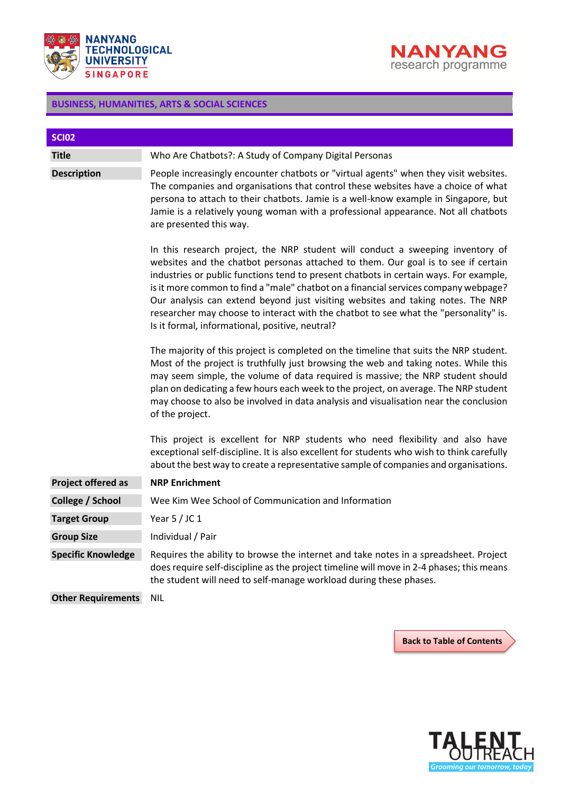



<span id="page-54-0"></span>

| <b>SCI02</b>              |                                                                                                                                                                                                                                                                                                                                                                                                                                                                                                                                                                                   |
|---------------------------|-----------------------------------------------------------------------------------------------------------------------------------------------------------------------------------------------------------------------------------------------------------------------------------------------------------------------------------------------------------------------------------------------------------------------------------------------------------------------------------------------------------------------------------------------------------------------------------|
| <b>Title</b>              | Who Are Chatbots?: A Study of Company Digital Personas                                                                                                                                                                                                                                                                                                                                                                                                                                                                                                                            |
| <b>Description</b>        | People increasingly encounter chatbots or "virtual agents" when they visit websites.<br>The companies and organisations that control these websites have a choice of what<br>persona to attach to their chatbots. Jamie is a well-know example in Singapore, but<br>Jamie is a relatively young woman with a professional appearance. Not all chatbots<br>are presented this way.                                                                                                                                                                                                 |
|                           | In this research project, the NRP student will conduct a sweeping inventory of<br>websites and the chatbot personas attached to them. Our goal is to see if certain<br>industries or public functions tend to present chatbots in certain ways. For example,<br>is it more common to find a "male" chatbot on a financial services company webpage?<br>Our analysis can extend beyond just visiting websites and taking notes. The NRP<br>researcher may choose to interact with the chatbot to see what the "personality" is.<br>Is it formal, informational, positive, neutral? |
|                           | The majority of this project is completed on the timeline that suits the NRP student.<br>Most of the project is truthfully just browsing the web and taking notes. While this<br>may seem simple, the volume of data required is massive; the NRP student should<br>plan on dedicating a few hours each week to the project, on average. The NRP student<br>may choose to also be involved in data analysis and visualisation near the conclusion<br>of the project.                                                                                                              |
|                           | This project is excellent for NRP students who need flexibility and also have<br>exceptional self-discipline. It is also excellent for students who wish to think carefully<br>about the best way to create a representative sample of companies and organisations.                                                                                                                                                                                                                                                                                                               |
| <b>Project offered as</b> | <b>NRP Enrichment</b>                                                                                                                                                                                                                                                                                                                                                                                                                                                                                                                                                             |
| College / School          | Wee Kim Wee School of Communication and Information                                                                                                                                                                                                                                                                                                                                                                                                                                                                                                                               |
| <b>Target Group</b>       | Year $5/$ JC 1                                                                                                                                                                                                                                                                                                                                                                                                                                                                                                                                                                    |
| <b>Group Size</b>         | Individual / Pair                                                                                                                                                                                                                                                                                                                                                                                                                                                                                                                                                                 |
| <b>Specific Knowledge</b> | Requires the ability to browse the internet and take notes in a spreadsheet. Project<br>does require self-discipline as the project timeline will move in 2-4 phases; this means<br>the student will need to self-manage workload during these phases.                                                                                                                                                                                                                                                                                                                            |
| <b>Other Requirements</b> | <b>NIL</b>                                                                                                                                                                                                                                                                                                                                                                                                                                                                                                                                                                        |

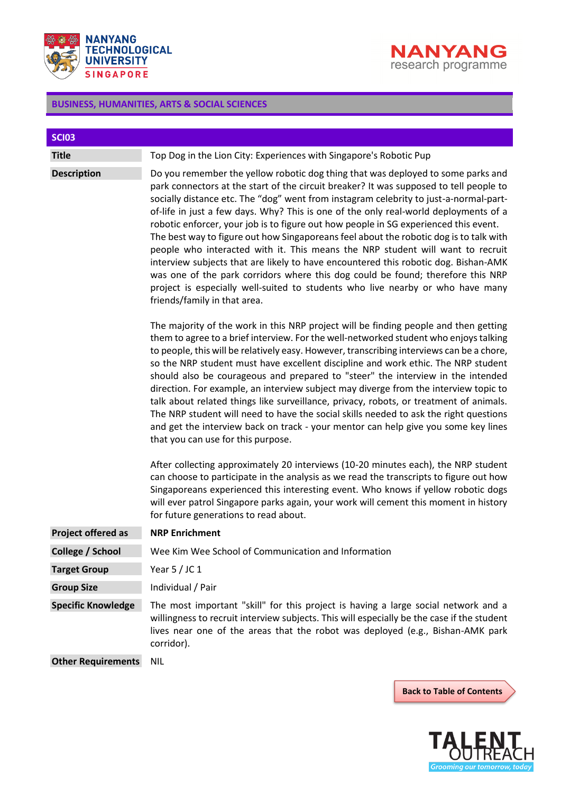



<span id="page-55-0"></span>

| <b>SCI03</b>              |                                                                                                                                                                                                                                                                                                                                                                                                                                                                                                                                                                                                                                                                                                                                                                                                                                                                                                                             |
|---------------------------|-----------------------------------------------------------------------------------------------------------------------------------------------------------------------------------------------------------------------------------------------------------------------------------------------------------------------------------------------------------------------------------------------------------------------------------------------------------------------------------------------------------------------------------------------------------------------------------------------------------------------------------------------------------------------------------------------------------------------------------------------------------------------------------------------------------------------------------------------------------------------------------------------------------------------------|
| <b>Title</b>              | Top Dog in the Lion City: Experiences with Singapore's Robotic Pup                                                                                                                                                                                                                                                                                                                                                                                                                                                                                                                                                                                                                                                                                                                                                                                                                                                          |
| <b>Description</b>        | Do you remember the yellow robotic dog thing that was deployed to some parks and<br>park connectors at the start of the circuit breaker? It was supposed to tell people to<br>socially distance etc. The "dog" went from instagram celebrity to just-a-normal-part-<br>of-life in just a few days. Why? This is one of the only real-world deployments of a<br>robotic enforcer, your job is to figure out how people in SG experienced this event.<br>The best way to figure out how Singaporeans feel about the robotic dog is to talk with<br>people who interacted with it. This means the NRP student will want to recruit<br>interview subjects that are likely to have encountered this robotic dog. Bishan-AMK<br>was one of the park corridors where this dog could be found; therefore this NRP<br>project is especially well-suited to students who live nearby or who have many<br>friends/family in that area. |
|                           | The majority of the work in this NRP project will be finding people and then getting<br>them to agree to a brief interview. For the well-networked student who enjoys talking<br>to people, this will be relatively easy. However, transcribing interviews can be a chore,<br>so the NRP student must have excellent discipline and work ethic. The NRP student<br>should also be courageous and prepared to "steer" the interview in the intended<br>direction. For example, an interview subject may diverge from the interview topic to<br>talk about related things like surveillance, privacy, robots, or treatment of animals.<br>The NRP student will need to have the social skills needed to ask the right questions<br>and get the interview back on track - your mentor can help give you some key lines<br>that you can use for this purpose.                                                                   |
|                           | After collecting approximately 20 interviews (10-20 minutes each), the NRP student<br>can choose to participate in the analysis as we read the transcripts to figure out how<br>Singaporeans experienced this interesting event. Who knows if yellow robotic dogs<br>will ever patrol Singapore parks again, your work will cement this moment in history<br>for future generations to read about.                                                                                                                                                                                                                                                                                                                                                                                                                                                                                                                          |
| <b>Project offered as</b> | <b>NRP Enrichment</b>                                                                                                                                                                                                                                                                                                                                                                                                                                                                                                                                                                                                                                                                                                                                                                                                                                                                                                       |
| College / School          | Wee Kim Wee School of Communication and Information                                                                                                                                                                                                                                                                                                                                                                                                                                                                                                                                                                                                                                                                                                                                                                                                                                                                         |
| <b>Target Group</b>       | Year $5/$ JC 1                                                                                                                                                                                                                                                                                                                                                                                                                                                                                                                                                                                                                                                                                                                                                                                                                                                                                                              |
| <b>Group Size</b>         | Individual / Pair                                                                                                                                                                                                                                                                                                                                                                                                                                                                                                                                                                                                                                                                                                                                                                                                                                                                                                           |
| <b>Specific Knowledge</b> | The most important "skill" for this project is having a large social network and a<br>willingness to recruit interview subjects. This will especially be the case if the student<br>lives near one of the areas that the robot was deployed (e.g., Bishan-AMK park<br>corridor).                                                                                                                                                                                                                                                                                                                                                                                                                                                                                                                                                                                                                                            |
| <b>Other Requirements</b> | <b>NIL</b>                                                                                                                                                                                                                                                                                                                                                                                                                                                                                                                                                                                                                                                                                                                                                                                                                                                                                                                  |